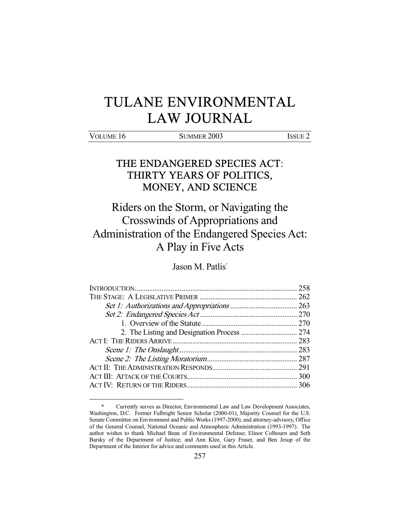# TULANE ENVIRONMENTAL LAW JOURNAL

-

VOLUME 16 SUMMER 2003 ISSUE 2

# THE ENDANGERED SPECIES ACT: THIRTY YEARS OF POLITICS, MONEY, AND SCIENCE

Riders on the Storm, or Navigating the Crosswinds of Appropriations and Administration of the Endangered Species Act: A Play in Five Acts

Jason M. Patlis\*

 <sup>\*</sup> Currently serves as Director, Environmental Law and Law Development Associates, Washington, D.C. Former Fulbright Senior Scholar (2000-01), Majority Counsel for the U.S. Senate Committee on Environment and Public Works (1997-2000), and attorney-advisory, Office of the General Counsel, National Oceanic and Atmospheric Administration (1993-1997). The author wishes to thank Michael Bean of Environmental Defense; Elinor Colbourn and Seth Barsky of the Department of Justice; and Ann Klee, Gary Fraser, and Ben Jesup of the Department of the Interior for advice and comments used in this Article.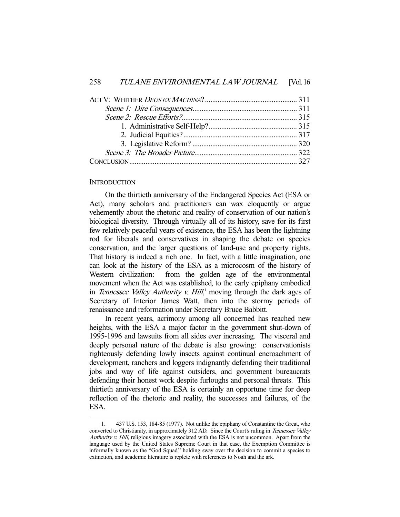### **INTRODUCTION**

-

 On the thirtieth anniversary of the Endangered Species Act (ESA or Act), many scholars and practitioners can wax eloquently or argue vehemently about the rhetoric and reality of conservation of our nation's biological diversity. Through virtually all of its history, save for its first few relatively peaceful years of existence, the ESA has been the lightning rod for liberals and conservatives in shaping the debate on species conservation, and the larger questions of land-use and property rights. That history is indeed a rich one. In fact, with a little imagination, one can look at the history of the ESA as a microcosm of the history of Western civilization: from the golden age of the environmental movement when the Act was established, to the early epiphany embodied in Tennessee Valley Authority v. Hill,<sup>1</sup> moving through the dark ages of Secretary of Interior James Watt, then into the stormy periods of renaissance and reformation under Secretary Bruce Babbitt.

 In recent years, acrimony among all concerned has reached new heights, with the ESA a major factor in the government shut-down of 1995-1996 and lawsuits from all sides ever increasing. The visceral and deeply personal nature of the debate is also growing: conservationists righteously defending lowly insects against continual encroachment of development, ranchers and loggers indignantly defending their traditional jobs and way of life against outsiders, and government bureaucrats defending their honest work despite furloughs and personal threats. This thirtieth anniversary of the ESA is certainly an opportune time for deep reflection of the rhetoric and reality, the successes and failures, of the ESA.

 <sup>1. 437</sup> U.S. 153, 184-85 (1977). Not unlike the epiphany of Constantine the Great, who converted to Christianity, in approximately 312 AD. Since the Court's ruling in Tennessee Valley Authority v. Hill, religious imagery associated with the ESA is not uncommon. Apart from the language used by the United States Supreme Court in that case, the Exemption Committee is informally known as the "God Squad," holding sway over the decision to commit a species to extinction, and academic literature is replete with references to Noah and the ark.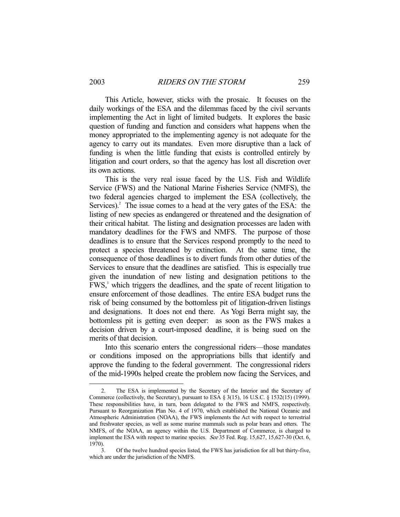This Article, however, sticks with the prosaic. It focuses on the daily workings of the ESA and the dilemmas faced by the civil servants implementing the Act in light of limited budgets. It explores the basic question of funding and function and considers what happens when the money appropriated to the implementing agency is not adequate for the agency to carry out its mandates. Even more disruptive than a lack of funding is when the little funding that exists is controlled entirely by litigation and court orders, so that the agency has lost all discretion over its own actions.

 This is the very real issue faced by the U.S. Fish and Wildlife Service (FWS) and the National Marine Fisheries Service (NMFS), the two federal agencies charged to implement the ESA (collectively, the Services).<sup>2</sup> The issue comes to a head at the very gates of the ESA: the listing of new species as endangered or threatened and the designation of their critical habitat. The listing and designation processes are laden with mandatory deadlines for the FWS and NMFS. The purpose of those deadlines is to ensure that the Services respond promptly to the need to protect a species threatened by extinction. At the same time, the consequence of those deadlines is to divert funds from other duties of the Services to ensure that the deadlines are satisfied. This is especially true given the inundation of new listing and designation petitions to the FWS,<sup>3</sup> which triggers the deadlines, and the spate of recent litigation to ensure enforcement of those deadlines. The entire ESA budget runs the risk of being consumed by the bottomless pit of litigation-driven listings and designations. It does not end there. As Yogi Berra might say, the bottomless pit is getting even deeper: as soon as the FWS makes a decision driven by a court-imposed deadline, it is being sued on the merits of that decision.

 Into this scenario enters the congressional riders—those mandates or conditions imposed on the appropriations bills that identify and approve the funding to the federal government. The congressional riders of the mid-1990s helped create the problem now facing the Services, and

 <sup>2.</sup> The ESA is implemented by the Secretary of the Interior and the Secretary of Commerce (collectively, the Secretary), pursuant to ESA § 3(15), 16 U.S.C. § 1532(15) (1999). These responsibilities have, in turn, been delegated to the FWS and NMFS, respectively. Pursuant to Reorganization Plan No. 4 of 1970, which established the National Oceanic and Atmospheric Administration (NOAA), the FWS implements the Act with respect to terrestrial and freshwater species, as well as some marine mammals such as polar bears and otters. The NMFS, of the NOAA, an agency within the U.S. Department of Commerce, is charged to implement the ESA with respect to marine species. See 35 Fed. Reg. 15,627, 15,627-30 (Oct. 6, 1970).

 <sup>3.</sup> Of the twelve hundred species listed, the FWS has jurisdiction for all but thirty-five, which are under the jurisdiction of the NMFS.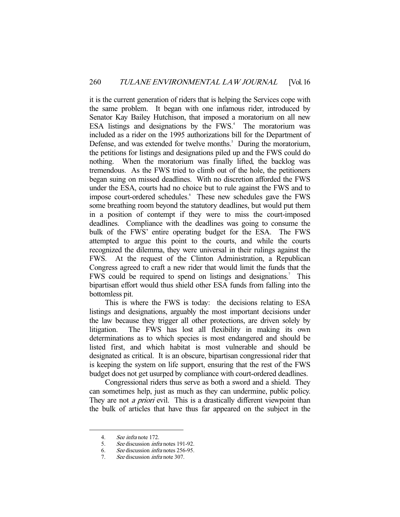it is the current generation of riders that is helping the Services cope with the same problem. It began with one infamous rider, introduced by Senator Kay Bailey Hutchison, that imposed a moratorium on all new ESA listings and designations by the  $FWS<sup>4</sup>$ . The moratorium was included as a rider on the 1995 authorizations bill for the Department of Defense, and was extended for twelve months.<sup>5</sup> During the moratorium, the petitions for listings and designations piled up and the FWS could do nothing. When the moratorium was finally lifted, the backlog was tremendous. As the FWS tried to climb out of the hole, the petitioners began suing on missed deadlines. With no discretion afforded the FWS under the ESA, courts had no choice but to rule against the FWS and to impose court-ordered schedules. These new schedules gave the FWS some breathing room beyond the statutory deadlines, but would put them in a position of contempt if they were to miss the court-imposed deadlines. Compliance with the deadlines was going to consume the bulk of the FWS' entire operating budget for the ESA. The FWS attempted to argue this point to the courts, and while the courts recognized the dilemma, they were universal in their rulings against the FWS. At the request of the Clinton Administration, a Republican Congress agreed to craft a new rider that would limit the funds that the FWS could be required to spend on listings and designations.<sup>7</sup> This bipartisan effort would thus shield other ESA funds from falling into the bottomless pit.

 This is where the FWS is today: the decisions relating to ESA listings and designations, arguably the most important decisions under the law because they trigger all other protections, are driven solely by litigation. The FWS has lost all flexibility in making its own determinations as to which species is most endangered and should be listed first, and which habitat is most vulnerable and should be designated as critical. It is an obscure, bipartisan congressional rider that is keeping the system on life support, ensuring that the rest of the FWS budget does not get usurped by compliance with court-ordered deadlines.

 Congressional riders thus serve as both a sword and a shield. They can sometimes help, just as much as they can undermine, public policy. They are not *a priori* evil. This is a drastically different viewpoint than the bulk of articles that have thus far appeared on the subject in the

 <sup>4.</sup> See infra note 172.

<sup>5.</sup> See discussion *infra* notes 191-92.

 <sup>6.</sup> See discussion infra notes 256-95.

<sup>7.</sup> See discussion *infra* note 307.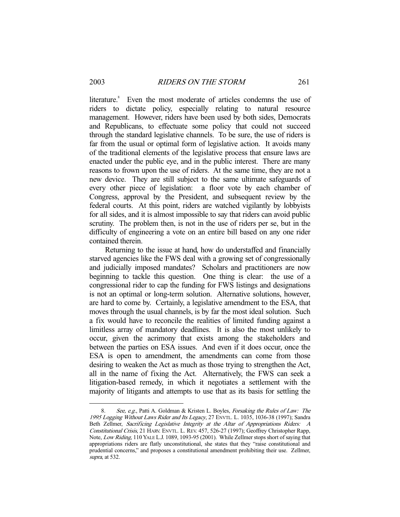literature.<sup>8</sup> Even the most moderate of articles condemns the use of riders to dictate policy, especially relating to natural resource management. However, riders have been used by both sides, Democrats and Republicans, to effectuate some policy that could not succeed through the standard legislative channels. To be sure, the use of riders is far from the usual or optimal form of legislative action. It avoids many of the traditional elements of the legislative process that ensure laws are enacted under the public eye, and in the public interest. There are many reasons to frown upon the use of riders. At the same time, they are not a new device. They are still subject to the same ultimate safeguards of every other piece of legislation: a floor vote by each chamber of Congress, approval by the President, and subsequent review by the federal courts. At this point, riders are watched vigilantly by lobbyists for all sides, and it is almost impossible to say that riders can avoid public scrutiny. The problem then, is not in the use of riders per se, but in the difficulty of engineering a vote on an entire bill based on any one rider contained therein.

 Returning to the issue at hand, how do understaffed and financially starved agencies like the FWS deal with a growing set of congressionally and judicially imposed mandates? Scholars and practitioners are now beginning to tackle this question. One thing is clear: the use of a congressional rider to cap the funding for FWS listings and designations is not an optimal or long-term solution. Alternative solutions, however, are hard to come by. Certainly, a legislative amendment to the ESA, that moves through the usual channels, is by far the most ideal solution. Such a fix would have to reconcile the realities of limited funding against a limitless array of mandatory deadlines. It is also the most unlikely to occur, given the acrimony that exists among the stakeholders and between the parties on ESA issues. And even if it does occur, once the ESA is open to amendment, the amendments can come from those desiring to weaken the Act as much as those trying to strengthen the Act, all in the name of fixing the Act. Alternatively, the FWS can seek a litigation-based remedy, in which it negotiates a settlement with the majority of litigants and attempts to use that as its basis for settling the

 <sup>8.</sup> See, e.g., Patti A. Goldman & Kristen L. Boyles, Forsaking the Rules of Law: The 1995 Logging Without Laws Rider and Its Legacy, 27 ENVTL. L. 1035, 1036-38 (1997); Sandra Beth Zellmer, Sacrificing Legislative Integrity at the Altar of Appropriations Riders: A Constitutional Crisis, 21 HARV. ENVTL. L. REV. 457, 526-27 (1997); Geoffrey Christopher Rapp, Note, Low Riding, 110 YALE L.J. 1089, 1093-95 (2001). While Zellmer stops short of saying that appropriations riders are flatly unconstitutional, she states that they "raise constitutional and prudential concerns," and proposes a constitutional amendment prohibiting their use. Zellmer, supra, at 532.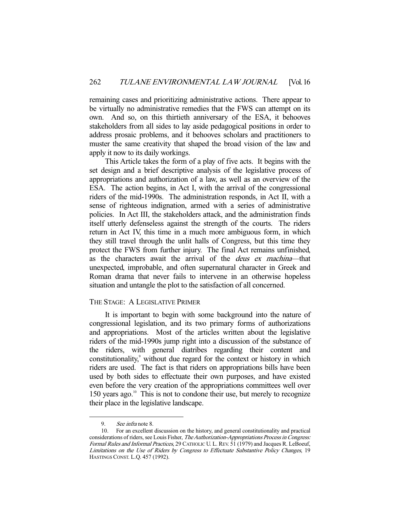remaining cases and prioritizing administrative actions. There appear to be virtually no administrative remedies that the FWS can attempt on its own. And so, on this thirtieth anniversary of the ESA, it behooves stakeholders from all sides to lay aside pedagogical positions in order to address prosaic problems, and it behooves scholars and practitioners to muster the same creativity that shaped the broad vision of the law and apply it now to its daily workings.

 This Article takes the form of a play of five acts. It begins with the set design and a brief descriptive analysis of the legislative process of appropriations and authorization of a law, as well as an overview of the ESA. The action begins, in Act I, with the arrival of the congressional riders of the mid-1990s. The administration responds, in Act II, with a sense of righteous indignation, armed with a series of administrative policies. In Act III, the stakeholders attack, and the administration finds itself utterly defenseless against the strength of the courts. The riders return in Act IV, this time in a much more ambiguous form, in which they still travel through the unlit halls of Congress, but this time they protect the FWS from further injury. The final Act remains unfinished, as the characters await the arrival of the deus ex machina—that unexpected, improbable, and often supernatural character in Greek and Roman drama that never fails to intervene in an otherwise hopeless situation and untangle the plot to the satisfaction of all concerned.

# THE STAGE: A LEGISLATIVE PRIMER

 It is important to begin with some background into the nature of congressional legislation, and its two primary forms of authorizations and appropriations. Most of the articles written about the legislative riders of the mid-1990s jump right into a discussion of the substance of the riders, with general diatribes regarding their content and constitutionality,<sup>9</sup> without due regard for the context or history in which riders are used. The fact is that riders on appropriations bills have been used by both sides to effectuate their own purposes, and have existed even before the very creation of the appropriations committees well over 150 years ago.<sup>10</sup> This is not to condone their use, but merely to recognize their place in the legislative landscape.

<sup>9.</sup> See infra note 8.

 <sup>10.</sup> For an excellent discussion on the history, and general constitutionality and practical considerations of riders, see Louis Fisher, The Authorization-Appropriations Process in Congress: Formal Rules and Informal Practices, 29 CATHOLIC U. L. REV. 51 (1979) and Jacques R. LeBoeuf, Limitations on the Use of Riders by Congress to Effectuate Substantive Policy Changes, 19 HASTINGS CONST. L.Q. 457 (1992).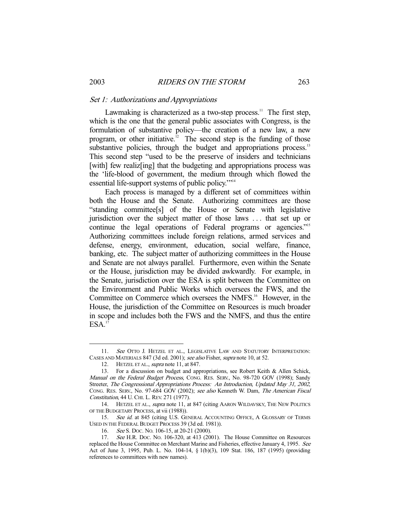#### Set 1: Authorizations and Appropriations

Lawmaking is characterized as a two-step process.<sup>11</sup> The first step, which is the one that the general public associates with Congress, is the formulation of substantive policy—the creation of a new law, a new program, or other initiative.<sup>12</sup> The second step is the funding of those substantive policies, through the budget and appropriations process.<sup>13</sup> This second step "used to be the preserve of insiders and technicians [with] few realiz[ing] that the budgeting and appropriations process was the 'life-blood of government, the medium through which flowed the essential life-support systems of public policy."<sup>14</sup>

 Each process is managed by a different set of committees within both the House and the Senate. Authorizing committees are those "standing committee[s] of the House or Senate with legislative jurisdiction over the subject matter of those laws . . . that set up or continue the legal operations of Federal programs or agencies."<sup>15</sup> Authorizing committees include foreign relations, armed services and defense, energy, environment, education, social welfare, finance, banking, etc. The subject matter of authorizing committees in the House and Senate are not always parallel. Furthermore, even within the Senate or the House, jurisdiction may be divided awkwardly. For example, in the Senate, jurisdiction over the ESA is split between the Committee on the Environment and Public Works which oversees the FWS, and the Committee on Commerce which oversees the NMFS.<sup>16</sup> However, in the House, the jurisdiction of the Committee on Resources is much broader in scope and includes both the FWS and the NMFS, and thus the entire  $ESA.$ <sup>17</sup>

<sup>11.</sup> See OTTO J. HETZEL ET AL., LEGISLATIVE LAW AND STATUTORY INTERPRETATION: CASES AND MATERIALS 847 (3d ed. 2001); see also Fisher, supra note 10, at 52.

<sup>12.</sup> HETZEL ET AL., supra note 11, at 847.

 <sup>13.</sup> For a discussion on budget and appropriations, see Robert Keith & Allen Schick, Manual on the Federal Budget Process, CONG. RES. SERV., No. 98-720 GOV (1998); Sandy Streeter, The Congressional Appropriations Process: An Introduction, Updated May 31, 2002, CONG. RES. SERV., No. 97-684 GOV (2002); see also Kenneth W. Dam, The American Fiscal Constitution, 44 U. CHI. L. REV. 271 (1977).

 <sup>14.</sup> HETZEL ET AL., supra note 11, at 847 (citing AARON WILDAVSKY, THE NEW POLITICS OF THE BUDGETARY PROCESS, at vii (1988)).

<sup>15.</sup> See id. at 845 (citing U.S. GENERAL ACCOUNTING OFFICE, A GLOSSARY OF TERMS USED IN THE FEDERAL BUDGET PROCESS 39 (3d ed. 1981)).

 <sup>16.</sup> See S. DOC. NO. 106-15, at 20-21 (2000).

<sup>17.</sup> See H.R. Doc. No. 106-320, at 413 (2001). The House Committee on Resources replaced the House Committee on Merchant Marine and Fisheries, effective January 4, 1995. See Act of June 3, 1995, Pub. L. No. 104-14, § 1(b)(3), 109 Stat. 186, 187 (1995) (providing references to committees with new names).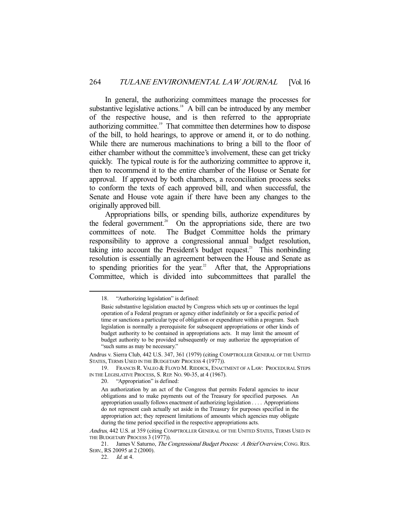In general, the authorizing committees manage the processes for substantive legislative actions. $18$  A bill can be introduced by any member of the respective house, and is then referred to the appropriate authorizing committee.19 That committee then determines how to dispose of the bill, to hold hearings, to approve or amend it, or to do nothing. While there are numerous machinations to bring a bill to the floor of either chamber without the committee's involvement, these can get tricky quickly. The typical route is for the authorizing committee to approve it, then to recommend it to the entire chamber of the House or Senate for approval. If approved by both chambers, a reconciliation process seeks to conform the texts of each approved bill, and when successful, the Senate and House vote again if there have been any changes to the originally approved bill.

 Appropriations bills, or spending bills, authorize expenditures by the federal government.<sup>20</sup> On the appropriations side, there are two committees of note. The Budget Committee holds the primary responsibility to approve a congressional annual budget resolution, taking into account the President's budget request.<sup>21</sup> This nonbinding resolution is essentially an agreement between the House and Senate as to spending priorities for the year.<sup>22</sup> After that, the Appropriations Committee, which is divided into subcommittees that parallel the

20. "Appropriation" is defined:

 <sup>18. &</sup>quot;Authorizing legislation" is defined:

Basic substantive legislation enacted by Congress which sets up or continues the legal operation of a Federal program or agency either indefinitely or for a specific period of time or sanctions a particular type of obligation or expenditure within a program. Such legislation is normally a prerequisite for subsequent appropriations or other kinds of budget authority to be contained in appropriations acts. It may limit the amount of budget authority to be provided subsequently or may authorize the appropriation of "such sums as may be necessary."

Andrus v. Sierra Club, 442 U.S. 347, 361 (1979) (citing COMPTROLLER GENERAL OF THE UNITED STATES, TERMS USED IN THE BUDGETARY PROCESS 4 (1977)).

 <sup>19.</sup> FRANCIS R. VALEO & FLOYD M. RIDDICK, ENACTMENT OF A LAW: PROCEDURAL STEPS IN THE LEGISLATIVE PROCESS, S. REP. NO. 90-35, at 4 (1967).

An authorization by an act of the Congress that permits Federal agencies to incur obligations and to make payments out of the Treasury for specified purposes. An appropriation usually follows enactment of authorizing legislation . . . . Appropriations do not represent cash actually set aside in the Treasury for purposes specified in the appropriation act; they represent limitations of amounts which agencies may obligate during the time period specified in the respective appropriations acts.

Andrus, 442 U.S. at 359 (citing COMPTROLLER GENERAL OF THE UNITED STATES, TERMS USED IN THE BUDGETARY PROCESS 3 (1977)).

<sup>21.</sup> James V. Saturno, The Congressional Budget Process: A Brief Overview, CONG. RES. SERV., RS 20095 at 2 (2000).

 <sup>22.</sup> Id. at 4.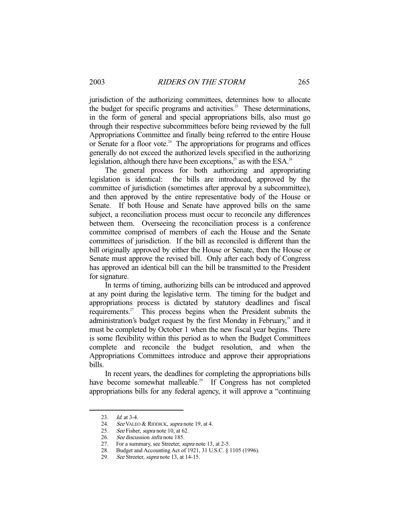jurisdiction of the authorizing committees, determines how to allocate the budget for specific programs and activities.<sup>23</sup> These determinations, in the form of general and special appropriations bills, also must go through their respective subcommittees before being reviewed by the full Appropriations Committee and finally being referred to the entire House or Senate for a floor vote.<sup>24</sup> The appropriations for programs and offices generally do not exceed the authorized levels specified in the authorizing legislation, although there have been exceptions, $^{25}$  as with the ESA.<sup>26</sup>

 The general process for both authorizing and appropriating legislation is identical: the bills are introduced, approved by the committee of jurisdiction (sometimes after approval by a subcommittee), and then approved by the entire representative body of the House or Senate. If both House and Senate have approved bills on the same subject, a reconciliation process must occur to reconcile any differences between them. Overseeing the reconciliation process is a conference committee comprised of members of each the House and the Senate committees of jurisdiction. If the bill as reconciled is different than the bill originally approved by either the House or Senate, then the House or Senate must approve the revised bill. Only after each body of Congress has approved an identical bill can the bill be transmitted to the President for signature.

 In terms of timing, authorizing bills can be introduced and approved at any point during the legislative term. The timing for the budget and appropriations process is dictated by statutory deadlines and fiscal requirements.<sup>27</sup> This process begins when the President submits the administration's budget request by the first Monday in February,<sup>28</sup> and it must be completed by October 1 when the new fiscal year begins. There is some flexibility within this period as to when the Budget Committees complete and reconcile the budget resolution, and when the Appropriations Committees introduce and approve their appropriations bills.

 In recent years, the deadlines for completing the appropriations bills have become somewhat malleable.<sup>29</sup> If Congress has not completed appropriations bills for any federal agency, it will approve a "continuing

<sup>23.</sup> *Id.* at 3-4.<br>24. *See* VALEO See VALEO & RIDDICK, supra note 19, at 4.

<sup>25.</sup> See Fisher, supra note 10, at 62.

 <sup>26.</sup> See discussion infra note 185.

<sup>27.</sup> For a summary, see Streeter, *supra* note 13, at 2-5.

 <sup>28.</sup> Budget and Accounting Act of 1921, 31 U.S.C. § 1105 (1996).

<sup>29.</sup> See Streeter, *supra* note 13, at 14-15.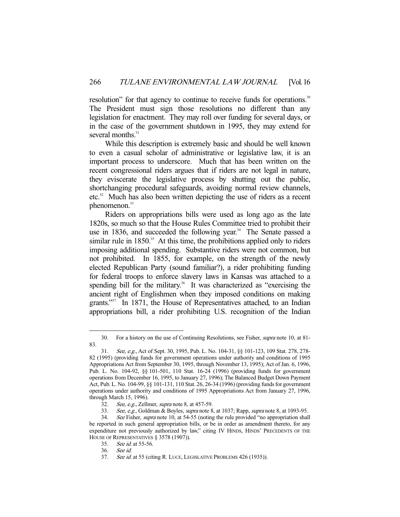resolution" for that agency to continue to receive funds for operations.<sup>30</sup> The President must sign those resolutions no different than any legislation for enactment. They may roll over funding for several days, or in the case of the government shutdown in 1995, they may extend for several months.<sup>31</sup>

 While this description is extremely basic and should be well known to even a casual scholar of administrative or legislative law, it is an important process to underscore. Much that has been written on the recent congressional riders argues that if riders are not legal in nature, they eviscerate the legislative process by shutting out the public, shortchanging procedural safeguards, avoiding normal review channels, etc.32 Much has also been written depicting the use of riders as a recent phenomenon.<sup>33</sup>

 Riders on appropriations bills were used as long ago as the late 1820s, so much so that the House Rules Committee tried to prohibit their use in 1836, and succeeded the following year.<sup>34</sup> The Senate passed a similar rule in  $1850<sup>35</sup>$ . At this time, the prohibitions applied only to riders imposing additional spending. Substantive riders were not common, but not prohibited. In 1855, for example, on the strength of the newly elected Republican Party (sound familiar?), a rider prohibiting funding for federal troops to enforce slavery laws in Kansas was attached to a spending bill for the military.<sup>36</sup> It was characterized as "exercising the ancient right of Englishmen when they imposed conditions on making grants."<sup>37</sup> In 1871, the House of Representatives attached, to an Indian appropriations bill, a rider prohibiting U.S. recognition of the Indian

 <sup>30.</sup> For a history on the use of Continuing Resolutions, see Fisher, supra note 10, at 81- 83.

 <sup>31.</sup> See, e.g., Act of Sept. 30, 1995, Pub. L. No. 104-31, §§ 101-123, 109 Stat. 278, 278- 82 (1995) (providing funds for government operations under authority and conditions of 1995 Appropriations Act from September 30, 1995, through November 13, 1995); Act of Jan. 6, 1996, Pub. L. No. 104-92, §§ 101-501, 110 Stat. 16-24 (1996) (providing funds for government operations from December 16, 1995, to January 27, 1996); The Balanced Budget Down Payment Act, Pub. L. No. 104-99, §§ 101-131, 110 Stat. 26, 26-34 (1996) (providing funds for government operations under authority and conditions of 1995 Appropriations Act from January 27, 1996, through March 15, 1996).<br>32. See. e.g.. Zellr

See, e.g., Zellmer, supra note 8, at 457-59.

<sup>33.</sup> See, e.g., Goldman & Boyles, *supra* note 8, at 1037; Rapp, *supra* note 8, at 1093-95.

<sup>34.</sup> See Fisher, supra note 10, at 54-55 (noting the rule provided "no appropriation shall be reported in such general appropriation bills, or be in order as amendment thereto, for any expenditure not previously authorized by law," citing IV HINDS, HINDS' PRECEDENTS OF THE HOUSE OF REPRESENTATIVES § 3578 (1907)).

 <sup>35.</sup> See id. at 55-56.

 <sup>36.</sup> See id.

<sup>37.</sup> See id. at 55 (citing R. LUCE, LEGISLATIVE PROBLEMS 426 (1935)).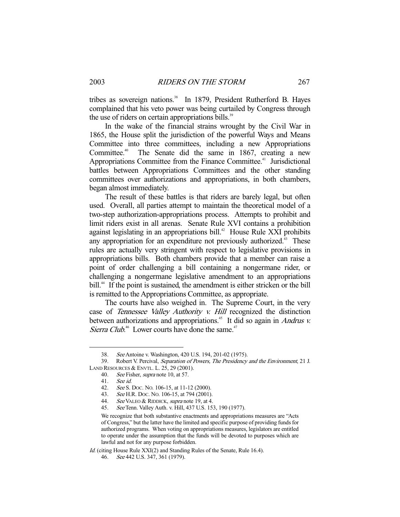tribes as sovereign nations.<sup>38</sup> In 1879, President Rutherford B. Hayes complained that his veto power was being curtailed by Congress through the use of riders on certain appropriations bills.<sup>39</sup>

 In the wake of the financial strains wrought by the Civil War in 1865, the House split the jurisdiction of the powerful Ways and Means Committee into three committees, including a new Appropriations Committee.<sup>40</sup> The Senate did the same in 1867, creating a new Appropriations Committee from the Finance Committee.<sup>41</sup> Jurisdictional battles between Appropriations Committees and the other standing committees over authorizations and appropriations, in both chambers, began almost immediately.

 The result of these battles is that riders are barely legal, but often used. Overall, all parties attempt to maintain the theoretical model of a two-step authorization-appropriations process. Attempts to prohibit and limit riders exist in all arenas. Senate Rule XVI contains a prohibition against legislating in an appropriations bill.<sup>42</sup> House Rule XXI prohibits any appropriation for an expenditure not previously authorized.<sup>43</sup> These rules are actually very stringent with respect to legislative provisions in appropriations bills. Both chambers provide that a member can raise a point of order challenging a bill containing a nongermane rider, or challenging a nongermane legislative amendment to an appropriations bill.<sup>44</sup> If the point is sustained, the amendment is either stricken or the bill is remitted to the Appropriations Committee, as appropriate.

 The courts have also weighed in. The Supreme Court, in the very case of Tennessee Valley Authority v. Hill recognized the distinction between authorizations and appropriations.<sup>45</sup> It did so again in *Andrus v.* Sierra Club.<sup>46</sup> Lower courts have done the same.<sup>47</sup>

<sup>38.</sup> See Antoine v. Washington, 420 U.S. 194, 201-02 (1975).<br>39. Robert V. Percival, *Separation of Powers. The Presidency* 

Robert V. Percival, Separation of Powers, The Presidency and the Environment, 21 J. LAND RESOURCES & ENVTL. L. 25, 29 (2001).

 <sup>40.</sup> See Fisher, supra note 10, at 57.

 <sup>41.</sup> See id.

<sup>42.</sup> See S. Doc. No. 106-15, at 11-12 (2000).

<sup>43.</sup> See H.R. Doc. No. 106-15, at 794 (2001).

<sup>44.</sup> See VALEO & RIDDICK, supra note 19, at 4.

<sup>45.</sup> See Tenn. Valley Auth. v. Hill, 437 U.S. 153, 190 (1977).

We recognize that both substantive enactments and appropriations measures are "Acts of Congress," but the latter have the limited and specific purpose of providing funds for authorized programs. When voting on appropriations measures, legislators are entitled to operate under the assumption that the funds will be devoted to purposes which are lawful and not for any purpose forbidden.

Id. (citing House Rule XXI(2) and Standing Rules of the Senate, Rule 16.4).

 <sup>46.</sup> See 442 U.S. 347, 361 (1979).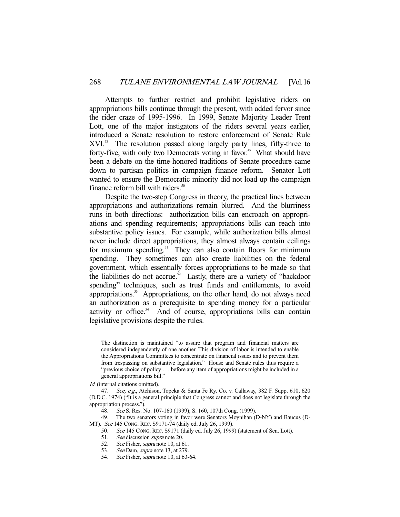Attempts to further restrict and prohibit legislative riders on appropriations bills continue through the present, with added fervor since the rider craze of 1995-1996. In 1999, Senate Majority Leader Trent Lott, one of the major instigators of the riders several years earlier, introduced a Senate resolution to restore enforcement of Senate Rule XVI.48 The resolution passed along largely party lines, fifty-three to forty-five, with only two Democrats voting in favor.<sup>49</sup> What should have been a debate on the time-honored traditions of Senate procedure came down to partisan politics in campaign finance reform. Senator Lott wanted to ensure the Democratic minority did not load up the campaign finance reform bill with riders.<sup>50</sup>

 Despite the two-step Congress in theory, the practical lines between appropriations and authorizations remain blurred. And the blurriness runs in both directions: authorization bills can encroach on appropriations and spending requirements; appropriations bills can reach into substantive policy issues. For example, while authorization bills almost never include direct appropriations, they almost always contain ceilings for maximum spending. $51$  They can also contain floors for minimum spending. They sometimes can also create liabilities on the federal government, which essentially forces appropriations to be made so that the liabilities do not accrue.<sup>52</sup> Lastly, there are a variety of "backdoor" spending" techniques, such as trust funds and entitlements, to avoid appropriations.<sup>53</sup> Appropriations, on the other hand, do not always need an authorization as a prerequisite to spending money for a particular activity or office.<sup>54</sup> And of course, appropriations bills can contain legislative provisions despite the rules.

-

 49. The two senators voting in favor were Senators Moynihan (D-NY) and Baucus (D-MT). See 145 CONG. REC. S9171-74 (daily ed. July 26, 1999).

The distinction is maintained "to assure that program and financial matters are considered independently of one another. This division of labor is intended to enable the Appropriations Committees to concentrate on financial issues and to prevent them from trespassing on substantive legislation." House and Senate rules thus require a "previous choice of policy . . . before any item of appropriations might be included in a general appropriations bill."

Id. (internal citations omitted).

<sup>47.</sup> See, e.g., Atchison, Topeka & Santa Fe Ry. Co. v. Callaway, 382 F. Supp. 610, 620 (D.D.C. 1974) ("It is a general principle that Congress cannot and does not legislate through the appropriation process.").

 <sup>48.</sup> See S. Res. No. 107-160 (1999); S. 160, 107th Cong. (1999).

<sup>50.</sup> See 145 CONG. REC. S9171 (daily ed. July 26, 1999) (statement of Sen. Lott).<br>51. See discussion *supra* note 20.

<sup>51.</sup> See discussion *supra* note 20.<br>52. See Fisher, *supra* note 10, at 6

See Fisher, *supra* note 10, at 61.

<sup>53.</sup> See Dam, supra note 13, at 279.

<sup>54.</sup> See Fisher, *supra* note 10, at 63-64.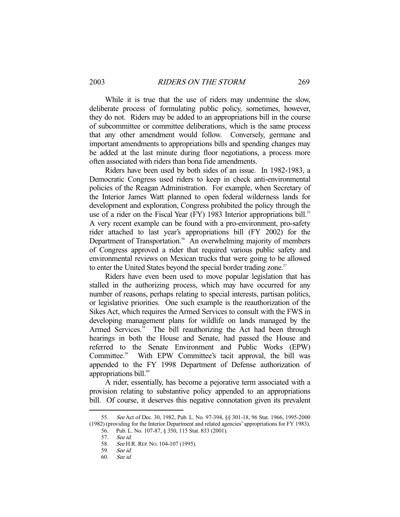While it is true that the use of riders may undermine the slow, deliberate process of formulating public policy, sometimes, however, they do not. Riders may be added to an appropriations bill in the course of subcommittee or committee deliberations, which is the same process that any other amendment would follow. Conversely, germane and important amendments to appropriations bills and spending changes may be added at the last minute during floor negotiations, a process more often associated with riders than bona fide amendments.

 Riders have been used by both sides of an issue. In 1982-1983, a Democratic Congress used riders to keep in check anti-environmental policies of the Reagan Administration. For example, when Secretary of the Interior James Watt planned to open federal wilderness lands for development and exploration, Congress prohibited the policy through the use of a rider on the Fiscal Year (FY) 1983 Interior appropriations bill.<sup>55</sup> A very recent example can be found with a pro-environment, pro-safety rider attached to last year's appropriations bill (FY 2002) for the Department of Transportation.<sup>56</sup> An overwhelming majority of members of Congress approved a rider that required various public safety and environmental reviews on Mexican trucks that were going to be allowed to enter the United States beyond the special border trading zone.<sup>57</sup>

 Riders have even been used to move popular legislation that has stalled in the authorizing process, which may have occurred for any number of reasons, perhaps relating to special interests, partisan politics, or legislative priorities. One such example is the reauthorization of the Sikes Act, which requires the Armed Services to consult with the FWS in developing management plans for wildlife on lands managed by the Armed Services.<sup>58</sup> The bill reauthorizing the Act had been through hearings in both the House and Senate, had passed the House and referred to the Senate Environment and Public Works (EPW) Committee.<sup>59</sup> With EPW Committee's tacit approval, the bill was appended to the FY 1998 Department of Defense authorization of appropriations bill.<sup>60</sup>

 A rider, essentially, has become a pejorative term associated with a provision relating to substantive policy appended to an appropriations bill. Of course, it deserves this negative connotation given its prevalent

<sup>55.</sup> See Act of Dec. 30, 1982, Pub. L. No. 97-394, §§ 301-18, 96 Stat. 1966, 1995-2000 (1982) (providing for the Interior Department and related agencies' appropriations for FY 1983).

 <sup>56.</sup> Pub. L. No. 107-87, § 350, 115 Stat. 833 (2001).

 <sup>57.</sup> See id.

<sup>58.</sup> See H.R. REP. No. 104-107 (1995).

 <sup>59.</sup> See id.

 <sup>60.</sup> See id.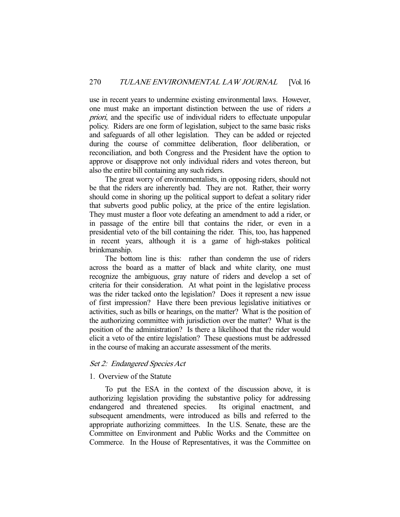use in recent years to undermine existing environmental laws. However, one must make an important distinction between the use of riders <sup>a</sup> priori, and the specific use of individual riders to effectuate unpopular policy. Riders are one form of legislation, subject to the same basic risks and safeguards of all other legislation. They can be added or rejected during the course of committee deliberation, floor deliberation, or reconciliation, and both Congress and the President have the option to approve or disapprove not only individual riders and votes thereon, but also the entire bill containing any such riders.

 The great worry of environmentalists, in opposing riders, should not be that the riders are inherently bad. They are not. Rather, their worry should come in shoring up the political support to defeat a solitary rider that subverts good public policy, at the price of the entire legislation. They must muster a floor vote defeating an amendment to add a rider, or in passage of the entire bill that contains the rider, or even in a presidential veto of the bill containing the rider. This, too, has happened in recent years, although it is a game of high-stakes political brinkmanship.

 The bottom line is this: rather than condemn the use of riders across the board as a matter of black and white clarity, one must recognize the ambiguous, gray nature of riders and develop a set of criteria for their consideration. At what point in the legislative process was the rider tacked onto the legislation? Does it represent a new issue of first impression? Have there been previous legislative initiatives or activities, such as bills or hearings, on the matter? What is the position of the authorizing committee with jurisdiction over the matter? What is the position of the administration? Is there a likelihood that the rider would elicit a veto of the entire legislation? These questions must be addressed in the course of making an accurate assessment of the merits.

# Set 2: Endangered Species Act

# 1. Overview of the Statute

 To put the ESA in the context of the discussion above, it is authorizing legislation providing the substantive policy for addressing endangered and threatened species. Its original enactment, and subsequent amendments, were introduced as bills and referred to the appropriate authorizing committees. In the U.S. Senate, these are the Committee on Environment and Public Works and the Committee on Commerce. In the House of Representatives, it was the Committee on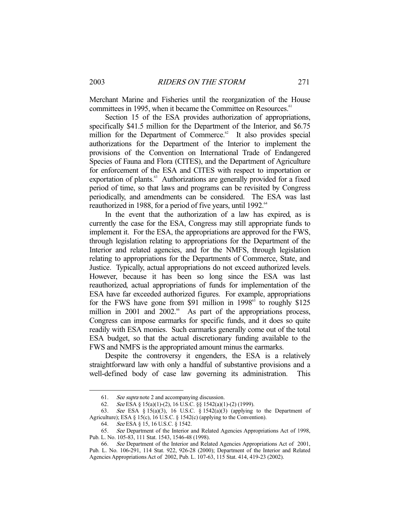Merchant Marine and Fisheries until the reorganization of the House committees in 1995, when it became the Committee on Resources.<sup>61</sup>

 Section 15 of the ESA provides authorization of appropriations, specifically \$41.5 million for the Department of the Interior, and \$6.75 million for the Department of Commerce.<sup>62</sup> It also provides special authorizations for the Department of the Interior to implement the provisions of the Convention on International Trade of Endangered Species of Fauna and Flora (CITES), and the Department of Agriculture for enforcement of the ESA and CITES with respect to importation or exportation of plants.<sup>63</sup> Authorizations are generally provided for a fixed period of time, so that laws and programs can be revisited by Congress periodically, and amendments can be considered. The ESA was last reauthorized in 1988, for a period of five years, until 1992.<sup>64</sup>

 In the event that the authorization of a law has expired, as is currently the case for the ESA, Congress may still appropriate funds to implement it. For the ESA, the appropriations are approved for the FWS, through legislation relating to appropriations for the Department of the Interior and related agencies, and for the NMFS, through legislation relating to appropriations for the Departments of Commerce, State, and Justice. Typically, actual appropriations do not exceed authorized levels. However, because it has been so long since the ESA was last reauthorized, actual appropriations of funds for implementation of the ESA have far exceeded authorized figures. For example, appropriations for the FWS have gone from \$91 million in  $1998^{\circ}$  to roughly \$125 million in 2001 and 2002. $66$  As part of the appropriations process, Congress can impose earmarks for specific funds, and it does so quite readily with ESA monies. Such earmarks generally come out of the total ESA budget, so that the actual discretionary funding available to the FWS and NMFS is the appropriated amount minus the earmarks.

 Despite the controversy it engenders, the ESA is a relatively straightforward law with only a handful of substantive provisions and a well-defined body of case law governing its administration. This

 <sup>61.</sup> See supra note 2 and accompanying discussion.

 <sup>62.</sup> See ESA § 15(a)(1)-(2), 16 U.S.C. §§ 1542(a)(1)-(2) (1999).

<sup>63.</sup> See ESA § 15(a)(3), 16 U.S.C. § 1542(a)(3) (applying to the Department of Agriculture); ESA § 15(c), 16 U.S.C. § 1542(c) (applying to the Convention).

 <sup>64.</sup> See ESA § 15, 16 U.S.C. § 1542.

 <sup>65.</sup> See Department of the Interior and Related Agencies Appropriations Act of 1998, Pub. L. No. 105-83, 111 Stat. 1543, 1546-48 (1998).

<sup>66.</sup> See Department of the Interior and Related Agencies Appropriations Act of 2001, Pub. L. No. 106-291, 114 Stat. 922, 926-28 (2000); Department of the Interior and Related Agencies Appropriations Act of 2002, Pub. L. 107-63, 115 Stat. 414, 419-23 (2002).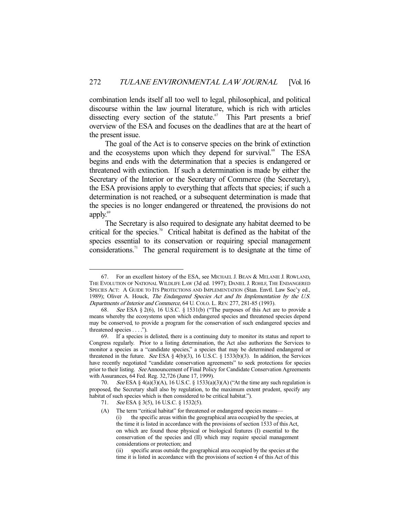combination lends itself all too well to legal, philosophical, and political discourse within the law journal literature, which is rich with articles dissecting every section of the statute. $67$  This Part presents a brief overview of the ESA and focuses on the deadlines that are at the heart of the present issue.

 The goal of the Act is to conserve species on the brink of extinction and the ecosystems upon which they depend for survival.<sup>68</sup> The ESA begins and ends with the determination that a species is endangered or threatened with extinction. If such a determination is made by either the Secretary of the Interior or the Secretary of Commerce (the Secretary), the ESA provisions apply to everything that affects that species; if such a determination is not reached, or a subsequent determination is made that the species is no longer endangered or threatened, the provisions do not apply. $69$ 

 The Secretary is also required to designate any habitat deemed to be critical for the species.<sup>70</sup> Critical habitat is defined as the habitat of the species essential to its conservation or requiring special management considerations.<sup>71</sup> The general requirement is to designate at the time of

 <sup>67.</sup> For an excellent history of the ESA, see MICHAEL J. BEAN & MELANIE J. ROWLAND, THE EVOLUTION OF NATIONAL WILDLIFE LAW (3d ed. 1997); DANIEL J. ROHLF, THE ENDANGERED SPECIES ACT: A GUIDE TO ITS PROTECTIONS AND IMPLEMENTATION (Stan. Envtl. Law Soc'y ed., 1989); Oliver A. Houck, The Endangered Species Act and Its Implementation by the U.S. Departments of Interior and Commerce, 64 U. COLO. L. REV. 277, 281-85 (1993).

<sup>68.</sup> See ESA § 2(6), 16 U.S.C. § 1531(b) ("The purposes of this Act are to provide a means whereby the ecosystems upon which endangered species and threatened species depend may be conserved, to provide a program for the conservation of such endangered species and threatened species . . . .").

 <sup>69.</sup> If a species is delisted, there is a continuing duty to monitor its status and report to Congress regularly. Prior to a listing determination, the Act also authorizes the Services to monitor a species as a "candidate species," a species that may be determined endangered or threatened in the future. See ESA  $\S$  4(b)(3), 16 U.S.C.  $\S$  1533(b)(3). In addition, the Services have recently negotiated "candidate conservation agreements" to seek protections for species prior to their listing. See Announcement of Final Policy for Candidate Conservation Agreements with Assurances, 64 Fed. Reg. 32,726 (June 17, 1999).

<sup>70.</sup> See ESA § 4(a)(3)(A), 16 U.S.C. § 1533(a)(3)(A) ("At the time any such regulation is proposed, the Secretary shall also by regulation, to the maximum extent prudent, specify any habitat of such species which is then considered to be critical habitat.").

<sup>71.</sup> See ESA § 3(5), 16 U.S.C. § 1532(5).

<sup>(</sup>A) The term "critical habitat" for threatened or endangered species means—

 <sup>(</sup>i) the specific areas within the geographical area occupied by the species, at the time it is listed in accordance with the provisions of section 1533 of this Act, on which are found those physical or biological features (I) essential to the conservation of the species and (II) which may require special management considerations or protection; and

 <sup>(</sup>ii) specific areas outside the geographical area occupied by the species at the time it is listed in accordance with the provisions of section 4 of this Act of this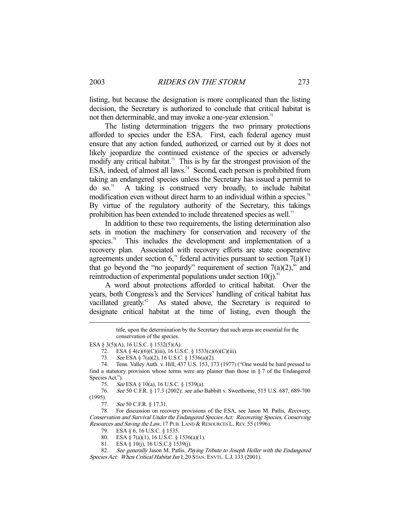listing, but because the designation is more complicated than the listing decision, the Secretary is authorized to conclude that critical habitat is not then determinable, and may invoke a one-year extension.<sup>72</sup>

 The listing determination triggers the two primary protections afforded to species under the ESA. First, each federal agency must ensure that any action funded, authorized, or carried out by it does not likely jeopardize the continued existence of the species or adversely modify any critical habitat.<sup>73</sup> This is by far the strongest provision of the ESA, indeed, of almost all laws.<sup>74</sup> Second, each person is prohibited from taking an endangered species unless the Secretary has issued a permit to  $\alpha$  so.<sup>75</sup> A taking is construed very broadly, to include habitat modification even without direct harm to an individual within a species.<sup>76</sup> By virtue of the regulatory authority of the Secretary, this takings prohibition has been extended to include threatened species as well.<sup>77</sup>

 In addition to these two requirements, the listing determination also sets in motion the machinery for conservation and recovery of the species.<sup>78</sup> This includes the development and implementation of a recovery plan. Associated with recovery efforts are state cooperative agreements under section  $6<sup>79</sup>$  federal activities pursuant to section  $7(a)(1)$ that go beyond the "no jeopardy" requirement of section  $7(a)(2)$ ,<sup>80</sup> and reintroduction of experimental populations under section  $10(j)$ .<sup>8</sup>

 A word about protections afforded to critical habitat. Over the years, both Congress's and the Services' handling of critical habitat has vacillated greatly.<sup>82</sup> As stated above, the Secretary is required to As stated above, the Secretary is required to designate critical habitat at the time of listing, even though the

73. See ESA § 7(a)(2), 16 U.S.C. § 1536(a)(2).

title, upon the determination by the Secretary that such areas are essential for the conservation of the species.

ESA § 3(5)(A), 16 U.S.C. § 1532(5)(A).

 <sup>72.</sup> ESA § 4(c)(6)(C)(iii), 16 U.S.C. § 1533(c)(6)(C)(iii).

 <sup>74.</sup> Tenn. Valley Auth. v. Hill, 437 U.S. 153, 173 (1977) ("One would be hard pressed to find a statutory provision whose terms were any plainer than those in  $\S 7$  of the Endangered Species Act.").

<sup>75.</sup> See ESA § 10(a), 16 U.S.C. § 1539(a).

 <sup>76.</sup> See 50 C.F.R. § 17.3 (2002); see also Babbitt v. Sweethome, 515 U.S. 687, 689-700 (1995).

<sup>77.</sup> See 50 C.F.R. § 17.31.

 <sup>78.</sup> For discussion on recovery provisions of the ESA, see Jason M. Patlis, Recovery, Conservation and Survival Under the Endangered Species Act: Recovering Species, Conserving Resources and Saving the Law, 17 PUB. LAND & RESOURCES L. REV. 55 (1996).

 <sup>79.</sup> ESA § 6, 16 U.S.C. § 1535.

<sup>80.</sup> ESA  $\frac{5}{5}$  7(a)(1), 16 U.S.C. § 1536(a)(1).

 <sup>81.</sup> ESA § 10(j), 16 U.S.C.§ 1539(j).

<sup>82.</sup> See generally Jason M. Patlis, Paying Tribute to Joseph Heller with the Endangered Species Act: When Critical Habitat Isn't, 20 STAN. ENVTL. L.J. 133 (2001).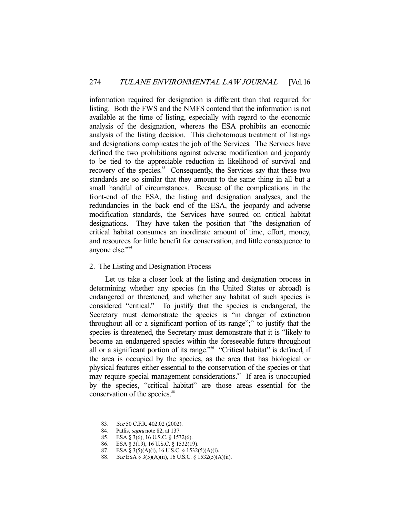information required for designation is different than that required for listing. Both the FWS and the NMFS contend that the information is not available at the time of listing, especially with regard to the economic analysis of the designation, whereas the ESA prohibits an economic analysis of the listing decision. This dichotomous treatment of listings and designations complicates the job of the Services. The Services have defined the two prohibitions against adverse modification and jeopardy to be tied to the appreciable reduction in likelihood of survival and recovery of the species.<sup>83</sup> Consequently, the Services say that these two standards are so similar that they amount to the same thing in all but a small handful of circumstances. Because of the complications in the front-end of the ESA, the listing and designation analyses, and the redundancies in the back end of the ESA, the jeopardy and adverse modification standards, the Services have soured on critical habitat designations. They have taken the position that "the designation of critical habitat consumes an inordinate amount of time, effort, money, and resources for little benefit for conservation, and little consequence to anyone else."<sup>84</sup>

# 2. The Listing and Designation Process

 Let us take a closer look at the listing and designation process in determining whether any species (in the United States or abroad) is endangered or threatened, and whether any habitat of such species is considered "critical." To justify that the species is endangered, the Secretary must demonstrate the species is "in danger of extinction throughout all or a significant portion of its range"; $\frac{85}{5}$  to justify that the species is threatened, the Secretary must demonstrate that it is "likely to become an endangered species within the foreseeable future throughout all or a significant portion of its range."<sup>86</sup> "Critical habitat" is defined, if the area is occupied by the species, as the area that has biological or physical features either essential to the conservation of the species or that may require special management considerations.<sup>87</sup> If area is unoccupied by the species, "critical habitat" are those areas essential for the conservation of the species.<sup>88</sup>

<sup>83.</sup> See 50 C.F.R. 402.02 (2002).

<sup>84.</sup> Patlis, *supra* note 82, at 137.

 <sup>85.</sup> ESA § 3(6), 16 U.S.C. § 1532(6).

 <sup>86.</sup> ESA § 3(19), 16 U.S.C. § 1532(19).

 <sup>87.</sup> ESA § 3(5)(A)(i), 16 U.S.C. § 1532(5)(A)(i).

<sup>88.</sup> See ESA § 3(5)(A)(ii), 16 U.S.C. § 1532(5)(A)(ii).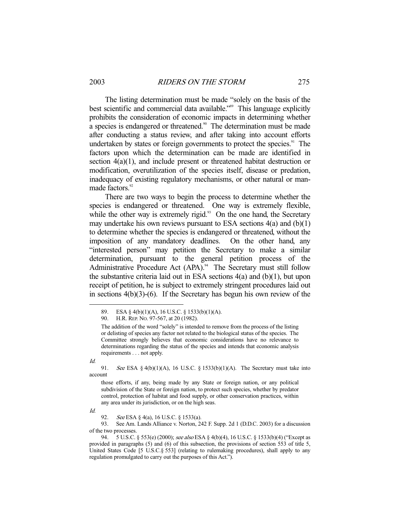The listing determination must be made "solely on the basis of the best scientific and commercial data available.<sup>389</sup> This language explicitly prohibits the consideration of economic impacts in determining whether a species is endangered or threatened.<sup>90</sup> The determination must be made after conducting a status review, and after taking into account efforts undertaken by states or foreign governments to protect the species.<sup>91</sup> The factors upon which the determination can be made are identified in section  $4(a)(1)$ , and include present or threatened habitat destruction or modification, overutilization of the species itself, disease or predation, inadequacy of existing regulatory mechanisms, or other natural or manmade factors.<sup>92</sup>

 There are two ways to begin the process to determine whether the species is endangered or threatened. One way is extremely flexible, while the other way is extremely rigid. $93$  On the one hand, the Secretary may undertake his own reviews pursuant to ESA sections  $4(a)$  and  $(b)(1)$ to determine whether the species is endangered or threatened, without the imposition of any mandatory deadlines. On the other hand, any "interested person" may petition the Secretary to make a similar determination, pursuant to the general petition process of the Administrative Procedure Act  $(APA)$ .<sup>94</sup> The Secretary must still follow the substantive criteria laid out in ESA sections  $4(a)$  and  $(b)(1)$ , but upon receipt of petition, he is subject to extremely stringent procedures laid out in sections  $4(b)(3)-(6)$ . If the Secretary has begun his own review of the

Id.

-

Id.

 93. See Am. Lands Alliance v. Norton, 242 F. Supp. 2d 1 (D.D.C. 2003) for a discussion of the two processes.

94. 5 U.S.C. § 553(e) (2000); see also ESA § 4(b)(4), 16 U.S.C. § 1533(b)(4) ("Except as provided in paragraphs (5) and (6) of this subsection, the provisions of section 553 of title 5, United States Code [5 U.S.C.§ 553] (relating to rulemaking procedures), shall apply to any regulation promulgated to carry out the purposes of this Act.").

 <sup>89.</sup> ESA § 4(b)(1)(A), 16 U.S.C. § 1533(b)(1)(A).

 <sup>90.</sup> H.R. REP. NO. 97-567, at 20 (1982).

The addition of the word "solely" is intended to remove from the process of the listing or delisting of species any factor not related to the biological status of the species. The Committee strongly believes that economic considerations have no relevance to determinations regarding the status of the species and intends that economic analysis requirements . . . not apply.

<sup>91.</sup> See ESA § 4(b)(1)(A), 16 U.S.C. § 1533(b)(1)(A). The Secretary must take into account

those efforts, if any, being made by any State or foreign nation, or any political subdivision of the State or foreign nation, to protect such species, whether by predator control, protection of habitat and food supply, or other conservation practices, within any area under its jurisdiction, or on the high seas.

<sup>92.</sup> See ESA § 4(a), 16 U.S.C. § 1533(a).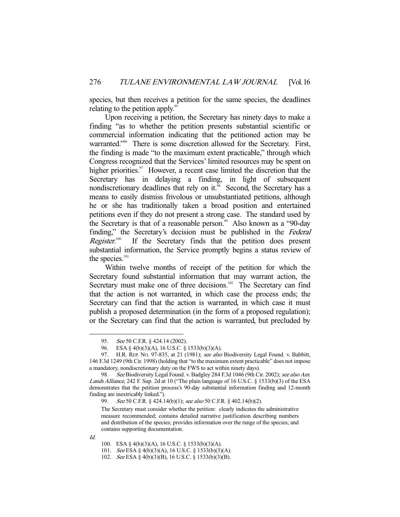species, but then receives a petition for the same species, the deadlines relating to the petition apply. $\degree$ 

 Upon receiving a petition, the Secretary has ninety days to make a finding "as to whether the petition presents substantial scientific or commercial information indicating that the petitioned action may be warranted."<sup>96</sup> There is some discretion allowed for the Secretary. First, the finding is made "to the maximum extent practicable," through which Congress recognized that the Services' limited resources may be spent on higher priorities.<sup>97</sup> However, a recent case limited the discretion that the Secretary has in delaying a finding, in light of subsequent nondiscretionary deadlines that rely on it.<sup>98</sup> Second, the Secretary has a means to easily dismiss frivolous or unsubstantiated petitions, although he or she has traditionally taken a broad position and entertained petitions even if they do not present a strong case. The standard used by the Secretary is that of a reasonable person.<sup>99</sup> Also known as a "90-day" finding," the Secretary's decision must be published in the Federal Register. If the Secretary finds that the petition does present substantial information, the Service promptly begins a status review of the species.<sup>101</sup>

 Within twelve months of receipt of the petition for which the Secretary found substantial information that may warrant action, the Secretary must make one of three decisions.<sup>102</sup> The Secretary can find that the action is not warranted, in which case the process ends; the Secretary can find that the action is warranted, in which case it must publish a proposed determination (in the form of a proposed regulation); or the Secretary can find that the action is warranted, but precluded by

The Secretary must consider whether the petition: clearly indicates the administrative measure recommended; contains detailed narrative justification describing numbers and distribution of the species; provides information over the range of the species; and contains supporting documentation.

Id.

<sup>95.</sup> See 50 C.F.R. § 424.14 (2002).

 <sup>96.</sup> ESA § 4(b)(3)(A), 16 U.S.C. § 1533(b)(3)(A).

<sup>97.</sup> H.R. REP. No. 97-835, at 21 (1981); see also Biodiversity Legal Found. v. Babbitt, 146 F.3d 1249 (9th Cir. 1998) (holding that "to the maximum extent practicable" does not impose a mandatory, nondiscretionary duty on the FWS to act within ninety days).

See Biodiversity Legal Found. v. Badgley 284 F.3d 1046 (9th Cir. 2002); see also Am. Lands Alliance, 242 F. Sup. 2d at 10 ("The plain language of 16 U.S.C. § 1533(b)(3) of the ESA demonstrates that the petition process's 90-day substantial information finding and 12-month finding are inextricably linked.").

<sup>99.</sup> See 50 C.F.R. § 424.14(b)(1); see also 50 C.F.R. § 402.14(b)(2).

 <sup>100.</sup> ESA § 4(b)(3)(A), 16 U.S.C. § 1533(b)(3)(A).

 <sup>101.</sup> See ESA § 4(b)(3)(A), 16 U.S.C. § 1533(b)(3)(A).

 <sup>102.</sup> See ESA § 4(b)(3)(B), 16 U.S.C. § 1533(b)(3)(B).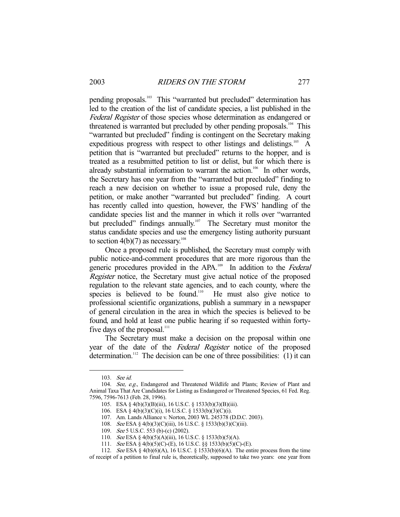pending proposals.<sup>103</sup> This "warranted but precluded" determination has led to the creation of the list of candidate species, a list published in the Federal Register of those species whose determination as endangered or threatened is warranted but precluded by other pending proposals.<sup>104</sup> This "warranted but precluded" finding is contingent on the Secretary making expeditious progress with respect to other listings and delistings.<sup>105</sup> A petition that is "warranted but precluded" returns to the hopper, and is treated as a resubmitted petition to list or delist, but for which there is already substantial information to warrant the action.<sup>106</sup> In other words, the Secretary has one year from the "warranted but precluded" finding to reach a new decision on whether to issue a proposed rule, deny the petition, or make another "warranted but precluded" finding. A court has recently called into question, however, the FWS' handling of the candidate species list and the manner in which it rolls over "warranted but precluded" findings annually.<sup>107</sup> The Secretary must monitor the status candidate species and use the emergency listing authority pursuant to section  $4(b)(7)$  as necessary.<sup>108</sup>

 Once a proposed rule is published, the Secretary must comply with public notice-and-comment procedures that are more rigorous than the generic procedures provided in the APA.<sup>109</sup> In addition to the *Federal* Register notice, the Secretary must give actual notice of the proposed regulation to the relevant state agencies, and to each county, where the species is believed to be found.<sup>110</sup> He must also give notice to professional scientific organizations, publish a summary in a newspaper of general circulation in the area in which the species is believed to be found, and hold at least one public hearing if so requested within fortyfive days of the proposal.<sup>111</sup>

 The Secretary must make a decision on the proposal within one year of the date of the Federal Register notice of the proposed determination.<sup>112</sup> The decision can be one of three possibilities:  $(1)$  it can

 <sup>103.</sup> See id.

<sup>104.</sup> See, e.g., Endangered and Threatened Wildlife and Plants; Review of Plant and Animal Taxa That Are Candidates for Listing as Endangered or Threatened Species, 61 Fed. Reg. 7596, 7596-7613 (Feb. 28, 1996).

 <sup>105.</sup> ESA § 4(b)(3)(B)(iii), 16 U.S.C. § 1533(b)(3)(B)(iii).

 <sup>106.</sup> ESA § 4(b)(3)(C)(i), 16 U.S.C. § 1533(b)(3)(C)(i).

 <sup>107.</sup> Am. Lands Alliance v. Norton, 2003 WL 245378 (D.D.C. 2003).

 <sup>108.</sup> See ESA § 4(b)(3)(C)(iii), 16 U.S.C. § 1533(b)(3)(C)(iii).

<sup>109.</sup> See 5 U.S.C. 553 (b)-(c) (2002).

 <sup>110.</sup> See ESA § 4(b)(5)(A)(iii), 16 U.S.C. § 1533(b)(5)(A).

 <sup>111.</sup> See ESA § 4(b)(5)(C)-(E), 16 U.S.C. §§ 1533(b)(5)(C)-(E).

<sup>112.</sup> See ESA § 4(b)(6)(A), 16 U.S.C. § 1533(b)(6)(A). The entire process from the time

of receipt of a petition to final rule is, theoretically, supposed to take two years: one year from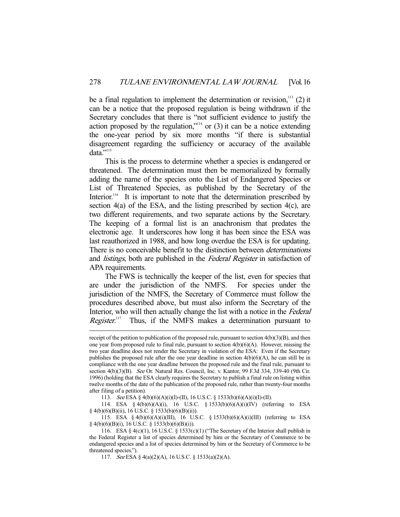be a final regulation to implement the determination or revision, $113$  (2) it can be a notice that the proposed regulation is being withdrawn if the Secretary concludes that there is "not sufficient evidence to justify the action proposed by the regulation,"<sup>114</sup> or  $(3)$  it can be a notice extending the one-year period by six more months "if there is substantial disagreement regarding the sufficiency or accuracy of the available data."115

 This is the process to determine whether a species is endangered or threatened. The determination must then be memorialized by formally adding the name of the species onto the List of Endangered Species or List of Threatened Species, as published by the Secretary of the Interior.<sup>116</sup> It is important to note that the determination prescribed by section 4(a) of the ESA, and the listing prescribed by section 4(c), are two different requirements, and two separate actions by the Secretary. The keeping of a formal list is an anachronism that predates the electronic age. It underscores how long it has been since the ESA was last reauthorized in 1988, and how long overdue the ESA is for updating. There is no conceivable benefit to the distinction between *determinations* and *listings*, both are published in the *Federal Register* in satisfaction of APA requirements.

 The FWS is technically the keeper of the list, even for species that are under the jurisdiction of the NMFS. For species under the jurisdiction of the NMFS, the Secretary of Commerce must follow the procedures described above, but must also inform the Secretary of the Interior, who will then actually change the list with a notice in the Federal Register.<sup>117</sup> Thus, if the NMFS makes a determination pursuant to

113. See ESA § 4(b)(6)(A)(i)(I)-(II), 16 U.S.C. § 1533(b)(6)(A)(i)(I)-(II).

 114. ESA § 4(b)(6)(A)(i), 16 U.S.C. § 1533(b)(6)(A)(i)(IV) (referring to ESA § 4(b)(6)(B)(ii), 16 U.S.C. § 1533(b)(6)(B)(ii)).

 115. ESA § 4(b)(6)(A)(i)(III), 16 U.S.C. § 1533(b)(6)(A)(i)(III) (referring to ESA § 4(b)(6)(B)(i), 16 U.S.C. § 1533(b)(6)(B)(i)).

receipt of the petition to publication of the proposed rule, pursuant to section 4(b)(3)(B), and then one year from proposed rule to final rule, pursuant to section  $4(b)(6)(A)$ . However, missing the two year deadline does not render the Secretary in violation of the ESA: Even if the Secretary publishes the proposed rule after the one year deadline in section  $4(b)(6)(A)$ , he can still be in compliance with the one year deadline between the proposed rule and the final rule, pursuant to section  $4(b)(3)(B)$ . See Or. Natural Res. Council, Inc. v. Kantor, 99 F.3d 334, 339-40 (9th Cir. 1996) (holding that the ESA clearly requires the Secretary to publish a final rule on listing within twelve months of the date of the publication of the proposed rule, rather than twenty-four months after filing of a petition).

 <sup>116.</sup> ESA § 4(c)(1), 16 U.S.C. § 1533(c)(1) ("The Secretary of the Interior shall publish in the Federal Register a list of species determined by him or the Secretary of Commerce to be endangered species and a list of species determined by him or the Secretary of Commerce to be threatened species.").

 <sup>117.</sup> See ESA § 4(a)(2)(A), 16 U.S.C. § 1533(a)(2)(A).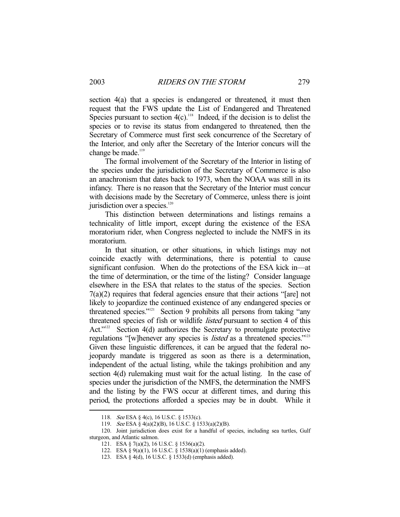section 4(a) that a species is endangered or threatened, it must then request that the FWS update the List of Endangered and Threatened Species pursuant to section  $4(c)$ .<sup>118</sup> Indeed, if the decision is to delist the species or to revise its status from endangered to threatened, then the Secretary of Commerce must first seek concurrence of the Secretary of the Interior, and only after the Secretary of the Interior concurs will the change be made.<sup>119</sup>

 The formal involvement of the Secretary of the Interior in listing of the species under the jurisdiction of the Secretary of Commerce is also an anachronism that dates back to 1973, when the NOAA was still in its infancy. There is no reason that the Secretary of the Interior must concur with decisions made by the Secretary of Commerce, unless there is joint jurisdiction over a species.<sup>120</sup>

 This distinction between determinations and listings remains a technicality of little import, except during the existence of the ESA moratorium rider, when Congress neglected to include the NMFS in its moratorium.

 In that situation, or other situations, in which listings may not coincide exactly with determinations, there is potential to cause significant confusion. When do the protections of the ESA kick in—at the time of determination, or the time of the listing? Consider language elsewhere in the ESA that relates to the status of the species. Section 7(a)(2) requires that federal agencies ensure that their actions "[are] not likely to jeopardize the continued existence of any endangered species or threatened species."<sup>121</sup> Section 9 prohibits all persons from taking "any threatened species of fish or wildlife *listed* pursuant to section 4 of this Act."<sup>122</sup> Section 4(d) authorizes the Secretary to promulgate protective regulations "[w]henever any species is *listed* as a threatened species."<sup>123</sup> Given these linguistic differences, it can be argued that the federal nojeopardy mandate is triggered as soon as there is a determination, independent of the actual listing, while the takings prohibition and any section 4(d) rulemaking must wait for the actual listing. In the case of species under the jurisdiction of the NMFS, the determination the NMFS and the listing by the FWS occur at different times, and during this period, the protections afforded a species may be in doubt. While it

 <sup>118.</sup> See ESA § 4(c), 16 U.S.C. § 1533(c).

 <sup>119.</sup> See ESA § 4(a)(2)(B), 16 U.S.C. § 1533(a)(2)(B).

 <sup>120.</sup> Joint jurisdiction does exist for a handful of species, including sea turtles, Gulf sturgeon, and Atlantic salmon.

 <sup>121.</sup> ESA § 7(a)(2), 16 U.S.C. § 1536(a)(2).

 <sup>122.</sup> ESA § 9(a)(1), 16 U.S.C. § 1538(a)(1) (emphasis added).

 <sup>123.</sup> ESA § 4(d), 16 U.S.C. § 1533(d) (emphasis added).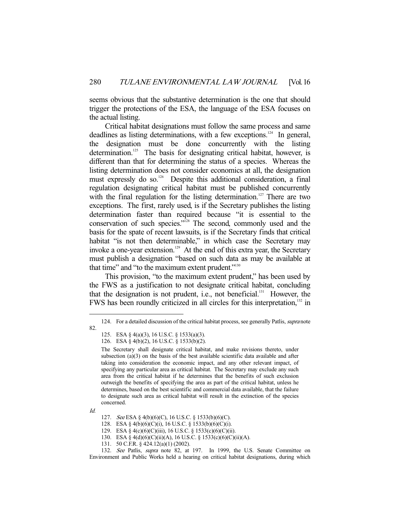seems obvious that the substantive determination is the one that should trigger the protections of the ESA, the language of the ESA focuses on the actual listing.

 Critical habitat designations must follow the same process and same deadlines as listing determinations, with a few exceptions.<sup>124</sup> In general, the designation must be done concurrently with the listing determination.<sup>125</sup> The basis for designating critical habitat, however, is different than that for determining the status of a species. Whereas the listing determination does not consider economics at all, the designation must expressly do so.<sup>126</sup> Despite this additional consideration, a final regulation designating critical habitat must be published concurrently with the final regulation for the listing determination.<sup>127</sup> There are two exceptions. The first, rarely used, is if the Secretary publishes the listing determination faster than required because "it is essential to the conservation of such species."<sup>128</sup> The second, commonly used and the basis for the spate of recent lawsuits, is if the Secretary finds that critical habitat "is not then determinable," in which case the Secretary may invoke a one-year extension.<sup>129</sup> At the end of this extra year, the Secretary must publish a designation "based on such data as may be available at that time" and "to the maximum extent prudent."<sup>130</sup>

 This provision, "to the maximum extent prudent," has been used by the FWS as a justification to not designate critical habitat, concluding that the designation is not prudent, i.e., not beneficial.131 However, the FWS has been roundly criticized in all circles for this interpretation,<sup>132</sup> in

Id.

<sup>124.</sup> For a detailed discussion of the critical habitat process, see generally Patlis, supra note 82.

 <sup>125.</sup> ESA § 4(a)(3), 16 U.S.C. § 1533(a)(3).

 <sup>126.</sup> ESA § 4(b)(2), 16 U.S.C. § 1533(b)(2).

The Secretary shall designate critical habitat, and make revisions thereto, under subsection (a)(3) on the basis of the best available scientific data available and after taking into consideration the economic impact, and any other relevant impact, of specifying any particular area as critical habitat. The Secretary may exclude any such area from the critical habitat if he determines that the benefits of such exclusion outweigh the benefits of specifying the area as part of the critical habitat, unless he determines, based on the best scientific and commercial data available, that the failure to designate such area as critical habitat will result in the extinction of the species concerned.

 <sup>127.</sup> See ESA § 4(b)(6)(C), 16 U.S.C. § 1533(b)(6)(C).

 <sup>128.</sup> ESA § 4(b)(6)(C)(i), 16 U.S.C. § 1533(b)(6)(C)(i).

 <sup>129.</sup> ESA § 4(c)(6)(C)(iii), 16 U.S.C. § 1533(c)(6)(C)(ii).

 <sup>130.</sup> ESA § 4(d)(6)(C)(ii)(A), 16 U.S.C. § 1533(c)(6)(C)(ii)(A).

 <sup>131. 50</sup> C.F.R. § 424.12(a)(1) (2002).

<sup>132.</sup> See Patlis, supra note 82, at 197. In 1999, the U.S. Senate Committee on Environment and Public Works held a hearing on critical habitat designations, during which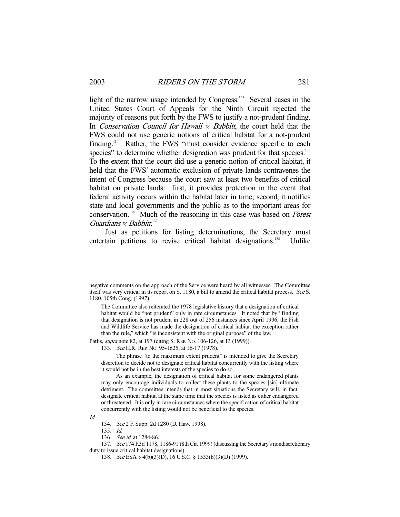light of the narrow usage intended by Congress.<sup>133</sup> Several cases in the United States Court of Appeals for the Ninth Circuit rejected the majority of reasons put forth by the FWS to justify a not-prudent finding. In *Conservation Council for Hawaii v. Babbitt*, the court held that the FWS could not use generic notions of critical habitat for a not-prudent finding.<sup>134</sup> Rather, the FWS "must consider evidence specific to each species" to determine whether designation was prudent for that species.<sup>135</sup> To the extent that the court did use a generic notion of critical habitat, it held that the FWS' automatic exclusion of private lands contravenes the intent of Congress because the court saw at least two benefits of critical habitat on private lands: first, it provides protection in the event that federal activity occurs within the habitat later in time; second, it notifies state and local governments and the public as to the important areas for conservation.<sup>136</sup> Much of the reasoning in this case was based on *Forest* Guardians v. Babbitt.<sup>137</sup>

 Just as petitions for listing determinations, the Secretary must entertain petitions to revise critical habitat designations.<sup>138</sup> Unlike

Patlis, supra note 82, at 197 (citing S. REP. NO. 106-126, at 13 (1999)).

 The phrase "to the maximum extent prudent" is intended to give the Secretary discretion to decide not to designate critical habitat concurrently with the listing where it would not be in the best interests of the species to do so.

 As an example, the designation of critical habitat for some endangered plants may only encourage individuals to collect these plants to the species [sic] ultimate detriment. The committee intends that in most situations the Secretary will, in fact, designate critical habitat at the same time that the species is listed as either endangered or threatened. It is only in rare circumstances where the specification of critical habitat concurrently with the listing would not be beneficial to the species.

Id.

negative comments on the approach of the Service were heard by all witnesses. The Committee itself was very critical in its report on S. 1180, a bill to amend the critical habitat process. See S. 1180, 105th Cong. (1997).

The Committee also reiterated the 1978 legislative history that a designation of critical habitat would be "not prudent" only in rare circumstances. It noted that by "finding that designation is not prudent in 228 out of 256 instances since April 1996, the Fish and Wildlife Service has made the designation of critical habitat the exception rather than the rule," which "is inconsistent with the original purpose" of the law.

<sup>133.</sup> See H.R. REP. No. 95-1625, at 16-17 (1978).

 <sup>134.</sup> See 2 F. Supp. 2d 1280 (D. Haw. 1998).

 <sup>135.</sup> Id.

<sup>136.</sup> See id. at 1284-86.

 <sup>137.</sup> See 174 F.3d 1178, 1186-91 (8th Cir. 1999) (discussing the Secretary's nondiscretionary duty to issue critical habitat designations).

 <sup>138.</sup> See ESA § 4(b)(3)(D), 16 U.S.C. § 1533(b)(3)(D) (1999).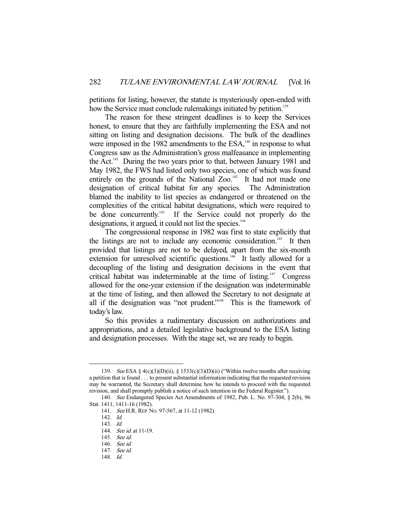petitions for listing, however, the statute is mysteriously open-ended with how the Service must conclude rulemakings initiated by petition.<sup>139</sup>

 The reason for these stringent deadlines is to keep the Services honest, to ensure that they are faithfully implementing the ESA and not sitting on listing and designation decisions. The bulk of the deadlines were imposed in the 1982 amendments to the ESA,<sup>140</sup> in response to what Congress saw as the Administration's gross malfeasance in implementing the Act.<sup>141</sup> During the two years prior to that, between January 1981 and May 1982, the FWS had listed only two species, one of which was found entirely on the grounds of the National Zoo. $142$  It had not made one designation of critical habitat for any species. The Administration blamed the inability to list species as endangered or threatened on the complexities of the critical habitat designations, which were required to be done concurrently.<sup>143</sup> If the Service could not properly do the designations, it argued, it could not list the species.<sup>144</sup>

 The congressional response in 1982 was first to state explicitly that the listings are not to include any economic consideration.<sup>145</sup> It then provided that listings are not to be delayed, apart from the six-month extension for unresolved scientific questions.<sup>146</sup> It lastly allowed for a decoupling of the listing and designation decisions in the event that critical habitat was indeterminable at the time of listing.<sup>147</sup> Congress allowed for the one-year extension if the designation was indeterminable at the time of listing, and then allowed the Secretary to not designate at all if the designation was "not prudent."<sup>148</sup> This is the framework of today's law.

 So this provides a rudimentary discussion on authorizations and appropriations, and a detailed legislative background to the ESA listing and designation processes. With the stage set, we are ready to begin.

<sup>139.</sup> See ESA § 4(c)(3)(D)(ii), § 1533(c)(3)(D)(ii) ("Within twelve months after receiving a petition that is found . . . to present substantial information indicating that the requested revision may be warranted, the Secretary shall determine how he intends to proceed with the requested revision, and shall promptly publish a notice of such intention in the Federal Register.").

 <sup>140.</sup> See Endangered Species Act Amendments of 1982, Pub. L. No. 97-304, § 2(b), 96 Stat. 1411, 1411-16 (1982).

 <sup>141.</sup> See H.R. REP. NO. 97-567, at 11-12 (1982).

 <sup>142.</sup> Id.

 <sup>143.</sup> Id.

<sup>144.</sup> *See id.* at 11-19.

 <sup>145.</sup> See id.

 <sup>146.</sup> See id.

 <sup>147.</sup> See id.

 <sup>148.</sup> Id.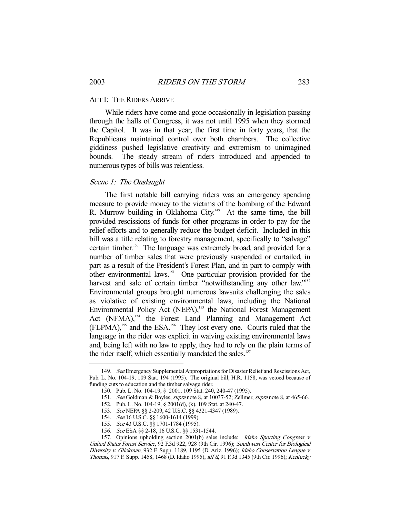#### ACT I: THE RIDERS ARRIVE

 While riders have come and gone occasionally in legislation passing through the halls of Congress, it was not until 1995 when they stormed the Capitol. It was in that year, the first time in forty years, that the Republicans maintained control over both chambers. The collective giddiness pushed legislative creativity and extremism to unimagined bounds. The steady stream of riders introduced and appended to numerous types of bills was relentless.

## Scene 1: The Onslaught

 The first notable bill carrying riders was an emergency spending measure to provide money to the victims of the bombing of the Edward R. Murrow building in Oklahoma City.<sup> $149$ </sup> At the same time, the bill provided rescissions of funds for other programs in order to pay for the relief efforts and to generally reduce the budget deficit. Included in this bill was a title relating to forestry management, specifically to "salvage" certain timber.<sup>150</sup> The language was extremely broad, and provided for a number of timber sales that were previously suspended or curtailed, in part as a result of the President's Forest Plan, and in part to comply with other environmental laws.151 One particular provision provided for the harvest and sale of certain timber "notwithstanding any other law."<sup>152</sup> Environmental groups brought numerous lawsuits challenging the sales as violative of existing environmental laws, including the National Environmental Policy Act (NEPA),<sup>153</sup> the National Forest Management Act (NFMA),<sup>154</sup> the Forest Land Planning and Management Act (FLPMA),155 and the ESA.156 They lost every one. Courts ruled that the language in the rider was explicit in waiving existing environmental laws and, being left with no law to apply, they had to rely on the plain terms of the rider itself, which essentially mandated the sales.<sup>157</sup>

<sup>149.</sup> See Emergency Supplemental Appropriations for Disaster Relief and Rescissions Act, Pub. L. No. 104-19, 109 Stat. 194 (1995). The original bill, H.R. 1158, was vetoed because of funding cuts to education and the timber salvage rider.

 <sup>150.</sup> Pub. L. No. 104-19, § 2001, 109 Stat. 240, 240-47 (1995).

<sup>151.</sup> See Goldman & Boyles, supra note 8, at 10037-52; Zellmer, supra note 8, at 465-66.

 <sup>152.</sup> Pub. L. No. 104-19, § 2001(d), (k), 109 Stat. at 240-47.

 <sup>153.</sup> See NEPA §§ 2-209, 42 U.S.C. §§ 4321-4347 (1989).

<sup>154.</sup> See 16 U.S.C. §§ 1600-1614 (1999).

<sup>155.</sup> See 43 U.S.C. §§ 1701-1784 (1995).

 <sup>156.</sup> See ESA §§ 2-18, 16 U.S.C. §§ 1531-1544.

<sup>157.</sup> Opinions upholding section 2001(b) sales include: *Idaho Sporting Congress v.* United States Forest Service, 92 F.3d 922, 928 (9th Cir. 1996); Southwest Center for Biological Diversity v. Glickman, 932 F. Supp. 1189, 1195 (D. Ariz. 1996); Idaho Conservation League v. Thomas, 917 F. Supp. 1458, 1468 (D. Idaho 1995), aff'd, 91 F.3d 1345 (9th Cir. 1996); Kentucky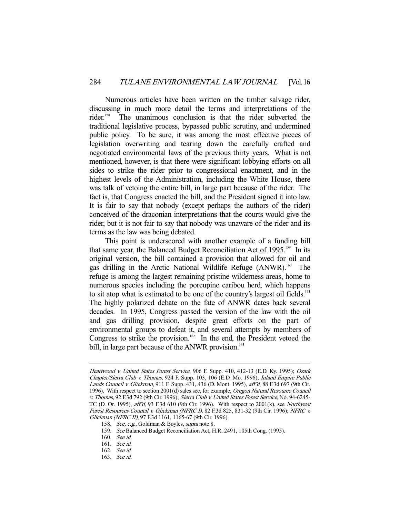Numerous articles have been written on the timber salvage rider, discussing in much more detail the terms and interpretations of the rider.<sup>158</sup> The unanimous conclusion is that the rider subverted the traditional legislative process, bypassed public scrutiny, and undermined public policy. To be sure, it was among the most effective pieces of legislation overwriting and tearing down the carefully crafted and negotiated environmental laws of the previous thirty years. What is not mentioned, however, is that there were significant lobbying efforts on all sides to strike the rider prior to congressional enactment, and in the highest levels of the Administration, including the White House, there was talk of vetoing the entire bill, in large part because of the rider. The fact is, that Congress enacted the bill, and the President signed it into law. It is fair to say that nobody (except perhaps the authors of the rider) conceived of the draconian interpretations that the courts would give the rider, but it is not fair to say that nobody was unaware of the rider and its terms as the law was being debated.

 This point is underscored with another example of a funding bill that same year, the Balanced Budget Reconciliation Act of 1995.<sup>159</sup> In its original version, the bill contained a provision that allowed for oil and gas drilling in the Arctic National Wildlife Refuge (ANWR).160 The refuge is among the largest remaining pristine wilderness areas, home to numerous species including the porcupine caribou herd, which happens to sit atop what is estimated to be one of the country's largest oil fields.<sup>161</sup> The highly polarized debate on the fate of ANWR dates back several decades. In 1995, Congress passed the version of the law with the oil and gas drilling provision, despite great efforts on the part of environmental groups to defeat it, and several attempts by members of Congress to strike the provision.<sup>162</sup> In the end, the President vetoed the bill, in large part because of the ANWR provision.<sup>163</sup>

Heartwood v. United States Forest Service, 906 F. Supp. 410, 412-13 (E.D. Ky. 1995); Ozark Chapter/Sierra Club v. Thomas, 924 F. Supp. 103, 106 (E.D. Mo. 1996); Inland Empire Public Lands Council v. Glickman, 911 F. Supp. 431, 436 (D. Mont. 1995), aff'd, 88 F.3d 697 (9th Cir. 1996). With respect to section 2001(d) sales see, for example, *Oregon Natural Resource Council* v. Thomas, 92 F.3d 792 (9th Cir. 1996); Sierra Club v. United States Forest Service, No. 94-6245- TC (D. Or. 1995),  $\text{aff } d$ , 93 F.3d 610 (9th Cir. 1996). With respect to 2001(k), see Northwest Forest Resources Council v. Glickman (NFRC I), 82 F.3d 825, 831-32 (9th Cir. 1996); NFRC v. Glickman (NFRC II), 97 F.3d 1161, 1165-67 (9th Cir. 1996).

<sup>158.</sup> See, e.g., Goldman & Boyles, supra note 8.

<sup>159.</sup> See Balanced Budget Reconciliation Act, H.R. 2491, 105th Cong. (1995).

 <sup>160.</sup> See id.

 <sup>161.</sup> See id.

 <sup>162.</sup> See id.

 <sup>163.</sup> See id.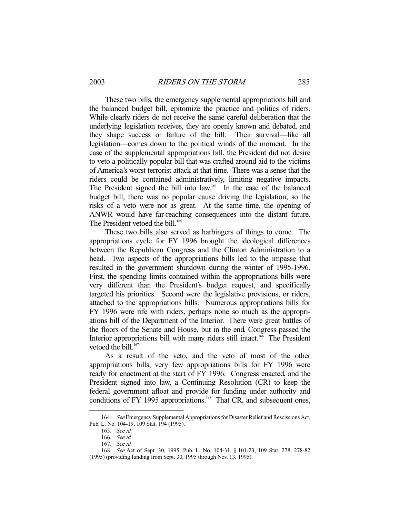These two bills, the emergency supplemental appropriations bill and the balanced budget bill, epitomize the practice and politics of riders. While clearly riders do not receive the same careful deliberation that the underlying legislation receives, they are openly known and debated, and they shape success or failure of the bill. Their survival—like all legislation—comes down to the political winds of the moment. In the case of the supplemental appropriations bill, the President did not desire to veto a politically popular bill that was crafted around aid to the victims of America's worst terrorist attack at that time. There was a sense that the riders could be contained administratively, limiting negative impacts. The President signed the bill into law.<sup>164</sup> In the case of the balanced budget bill, there was no popular cause driving the legislation, so the risks of a veto were not as great. At the same time, the opening of ANWR would have far-reaching consequences into the distant future. The President vetoed the bill.<sup>165</sup>

 These two bills also served as harbingers of things to come. The appropriations cycle for FY 1996 brought the ideological differences between the Republican Congress and the Clinton Administration to a head. Two aspects of the appropriations bills led to the impasse that resulted in the government shutdown during the winter of 1995-1996. First, the spending limits contained within the appropriations bills were very different than the President's budget request, and specifically targeted his priorities. Second were the legislative provisions, or riders, attached to the appropriations bills. Numerous appropriations bills for FY 1996 were rife with riders, perhaps none so much as the appropriations bill of the Department of the Interior. There were great battles of the floors of the Senate and House, but in the end, Congress passed the Interior appropriations bill with many riders still intact.<sup>166</sup> The President vetoed the bill. $167$ 

 As a result of the veto, and the veto of most of the other appropriations bills, very few appropriations bills for FY 1996 were ready for enactment at the start of FY 1996. Congress enacted, and the President signed into law, a Continuing Resolution (CR) to keep the federal government afloat and provide for funding under authority and conditions of FY 1995 appropriations.<sup>168</sup> That CR, and subsequent ones,

<sup>164.</sup> See Emergency Supplemental Appropriations for Disaster Relief and Rescissions Act, Pub. L. No. 104-19, 109 Stat. 194 (1995).

 <sup>165.</sup> See id.

 <sup>166.</sup> See id.

 <sup>167.</sup> See id.

 <sup>168.</sup> See Act of Sept. 30, 1995, Pub. L. No. 104-31, § 101-23, 109 Stat. 278, 278-82 (1995) (providing funding from Sept. 30, 1995 through Nov. 13, 1995).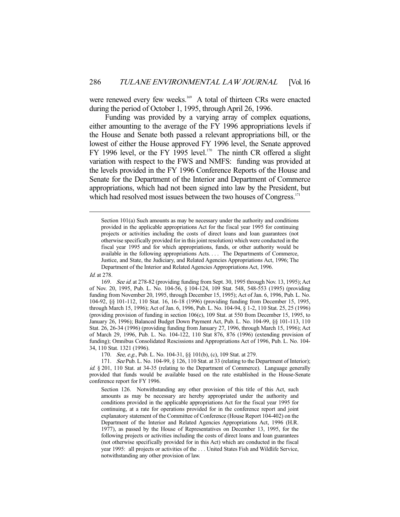were renewed every few weeks.<sup>169</sup> A total of thirteen CRs were enacted during the period of October 1, 1995, through April 26, 1996.

 Funding was provided by a varying array of complex equations, either amounting to the average of the FY 1996 appropriations levels if the House and Senate both passed a relevant appropriations bill, or the lowest of either the House approved FY 1996 level, the Senate approved FY 1996 level, or the FY 1995 level.<sup>170</sup> The ninth CR offered a slight variation with respect to the FWS and NMFS: funding was provided at the levels provided in the FY 1996 Conference Reports of the House and Senate for the Department of the Interior and Department of Commerce appropriations, which had not been signed into law by the President, but which had resolved most issues between the two houses of Congress.<sup>171</sup>

-

170. See, e.g., Pub. L. No. 104-31, §§ 101(b), (c), 109 Stat. at 279.

Section 101(a) Such amounts as may be necessary under the authority and conditions provided in the applicable appropriations Act for the fiscal year 1995 for continuing projects or activities including the costs of direct loans and loan guarantees (not otherwise specifically provided for in this joint resolution) which were conducted in the fiscal year 1995 and for which appropriations, funds, or other authority would be available in the following appropriations Acts. . . . The Departments of Commerce, Justice, and State, the Judiciary, and Related Agencies Appropriations Act, 1996; The Department of the Interior and Related Agencies Appropriations Act, 1996.

Id. at 278.

 <sup>169.</sup> See id. at 278-82 (providing funding from Sept. 30, 1995 through Nov. 13, 1995); Act of Nov. 20, 1995, Pub. L. No. 104-56, § 104-124, 109 Stat. 548, 548-553 (1995) (providing funding from November 20, 1995, through December 15, 1995); Act of Jan. 6, 1996, Pub. L. No. 104-92, §§ 101-112, 110 Stat. 16, 16-18 (1996) (providing funding from December 15, 1995, through March 15, 1996); Act of Jan. 6, 1996, Pub. L. No. 104-94, § 1-2, 110 Stat. 25, 25 (1996) (providing provision of funding in section 106(c), 109 Stat. at 550 from December 15, 1995, to January 26, 1996); Balanced Budget Down Payment Act, Pub. L. No. 104-99, §§ 101-113, 110 Stat. 26, 26-34 (1996) (providing funding from January 27, 1996, through March 15, 1996); Act of March 29, 1996, Pub. L. No. 104-122, 110 Stat 876, 876 (1996) (extending provision of funding); Omnibus Consolidated Rescissions and Appropriations Act of 1996, Pub. L. No. 104- 34, 110 Stat. 1321 (1996).

<sup>171.</sup> See Pub. L. No. 104-99,  $\S$  126, 110 Stat. at 33 (relating to the Department of Interior); id. § 201, 110 Stat. at 34-35 (relating to the Department of Commerce). Language generally provided that funds would be available based on the rate established in the House-Senate conference report for FY 1996.

Section 126. Notwithstanding any other provision of this title of this Act, such amounts as may be necessary are hereby appropriated under the authority and conditions provided in the applicable appropriations Act for the fiscal year 1995 for continuing, at a rate for operations provided for in the conference report and joint explanatory statement of the Committee of Conference (House Report 104-402) on the Department of the Interior and Related Agencies Appropriations Act, 1996 (H.R. 1977), as passed by the House of Representatives on December 13, 1995, for the following projects or activities including the costs of direct loans and loan guarantees (not otherwise specifically provided for in this Act) which are conducted in the fiscal year 1995: all projects or activities of the . . . United States Fish and Wildlife Service, notwithstanding any other provision of law.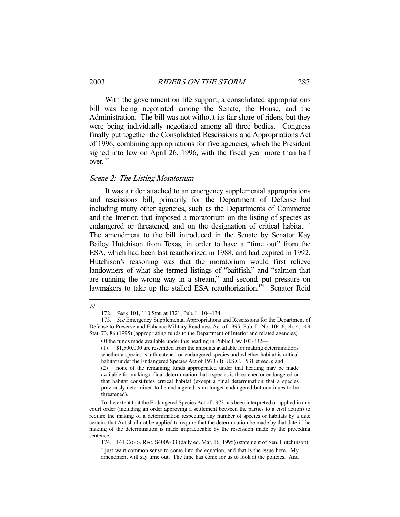With the government on life support, a consolidated appropriations bill was being negotiated among the Senate, the House, and the Administration. The bill was not without its fair share of riders, but they were being individually negotiated among all three bodies. Congress finally put together the Consolidated Rescissions and Appropriations Act of 1996, combining appropriations for five agencies, which the President signed into law on April 26, 1996, with the fiscal year more than half over.<sup>172</sup>

### Scene 2: The Listing Moratorium

 It was a rider attached to an emergency supplemental appropriations and rescissions bill, primarily for the Department of Defense but including many other agencies, such as the Departments of Commerce and the Interior, that imposed a moratorium on the listing of species as endangered or threatened, and on the designation of critical habitat.<sup>173</sup> The amendment to the bill introduced in the Senate by Senator Kay Bailey Hutchison from Texas, in order to have a "time out" from the ESA, which had been last reauthorized in 1988, and had expired in 1992. Hutchison's reasoning was that the moratorium would first relieve landowners of what she termed listings of "baitfish," and "salmon that are running the wrong way in a stream," and second, put pressure on lawmakers to take up the stalled ESA reauthorization.<sup>174</sup> Senator Reid

#### -Id.

<sup>172.</sup> See § 101, 110 Stat. at 1321, Pub. L. 104-134.

 <sup>173.</sup> See Emergency Supplemental Appropriations and Rescissions for the Department of Defense to Preserve and Enhance Military Readiness Act of 1995, Pub. L. No. 104-6, ch. 4, 109 Stat. 73, 86 (1995) (appropriating funds to the Department of Interior and related agencies).

Of the funds made available under this heading in Public Law 103-332—

<sup>(1) \$1,500,000</sup> are rescinded from the amounts available for making determinations whether a species is a threatened or endangered species and whether habitat is critical habitat under the Endangered Species Act of 1973 (16 U.S.C. 1531 et seq.); and

<sup>(2)</sup> none of the remaining funds appropriated under that heading may be made available for making a final determination that a species is threatened or endangered or that habitat constitutes critical habitat (except a final determination that a species previously determined to be endangered is no longer endangered but continues to be threatened).

To the extent that the Endangered Species Act of 1973 has been interpreted or applied in any court order (including an order approving a settlement between the parties to a civil action) to require the making of a determination respecting any number of species or habitats by a date certain, that Act shall not be applied to require that the determination be made by that date if the making of the determination is made impracticable by the rescission made by the preceding sentence.

 <sup>174. 141</sup> CONG. REC. S4009-03 (daily ed. Mar. 16, 1995) (statement of Sen. Hutchinson).

I just want common sense to come into the equation, and that is the issue here. My amendment will say time out. The time has come for us to look at the policies. And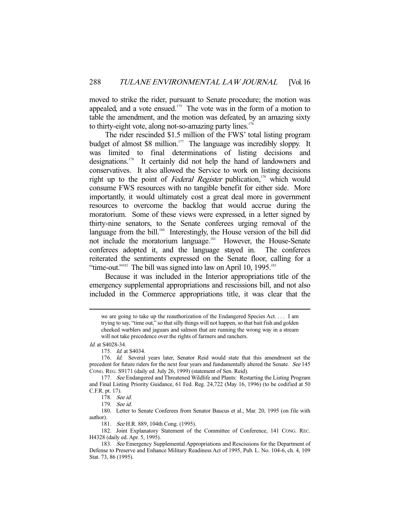moved to strike the rider, pursuant to Senate procedure; the motion was appealed, and a vote ensued.<sup>175</sup> The vote was in the form of a motion to table the amendment, and the motion was defeated, by an amazing sixty to thirty-eight vote, along not-so-amazing party lines.<sup>176</sup>

 The rider rescinded \$1.5 million of the FWS' total listing program budget of almost \$8 million.<sup>177</sup> The language was incredibly sloppy. It was limited to final determinations of listing decisions and designations.178 It certainly did not help the hand of landowners and conservatives. It also allowed the Service to work on listing decisions right up to the point of Federal Register publication,<sup>179</sup> which would consume FWS resources with no tangible benefit for either side. More importantly, it would ultimately cost a great deal more in government resources to overcome the backlog that would accrue during the moratorium. Some of these views were expressed, in a letter signed by thirty-nine senators, to the Senate conferees urging removal of the language from the bill.<sup>180</sup> Interestingly, the House version of the bill did not include the moratorium language.<sup>181</sup> However, the House-Senate conferees adopted it, and the language stayed in. The conferees reiterated the sentiments expressed on the Senate floor, calling for a "time-out."<sup>182</sup> The bill was signed into law on April 10, 1995.<sup>183</sup>

 Because it was included in the Interior appropriations title of the emergency supplemental appropriations and rescissions bill, and not also included in the Commerce appropriations title, it was clear that the

Id. at S4028-34.

181. See H.R. 889, 104th Cong. (1995).

 182. Joint Explanatory Statement of the Committee of Conference, 141 CONG. REC. H4328 (daily ed. Apr. 5, 1995).

we are going to take up the reauthorization of the Endangered Species Act. . . . I am trying to say, "time out," so that silly things will not happen, so that bait fish and golden cheeked warblers and jaguars and salmon that are running the wrong way in a stream will not take precedence over the rights of farmers and ranchers.

 <sup>175.</sup> Id. at S4034.

 <sup>176.</sup> Id. Several years later, Senator Reid would state that this amendment set the precedent for future riders for the next four years and fundamentally altered the Senate. See 145 CONG. REG. S9171 (daily ed. July 26, 1999) (statement of Sen. Reid).

<sup>177.</sup> See Endangered and Threatened Wildlife and Plants: Restarting the Listing Program and Final Listing Priority Guidance, 61 Fed. Reg. 24,722 (May 16, 1996) (to be codified at 50 C.F.R. pt. 17).

 <sup>178.</sup> See id.

 <sup>179.</sup> See id.

 <sup>180.</sup> Letter to Senate Conferees from Senator Baucus et al., Mar. 20, 1995 (on file with author).

<sup>183.</sup> See Emergency Supplemental Appropriations and Rescissions for the Department of Defense to Preserve and Enhance Military Readiness Act of 1995, Pub. L. No. 104-6, ch. 4, 109 Stat. 73, 86 (1995).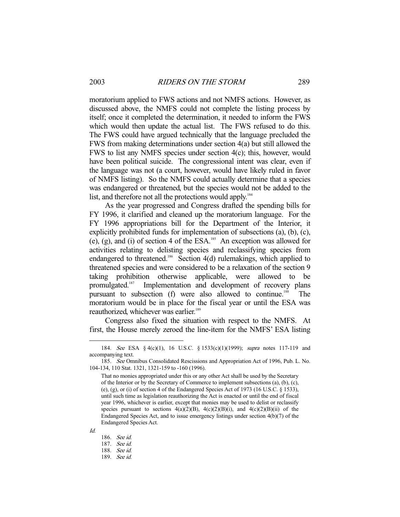moratorium applied to FWS actions and not NMFS actions. However, as discussed above, the NMFS could not complete the listing process by itself; once it completed the determination, it needed to inform the FWS which would then update the actual list. The FWS refused to do this. The FWS could have argued technically that the language precluded the FWS from making determinations under section 4(a) but still allowed the FWS to list any NMFS species under section 4(c); this, however, would have been political suicide. The congressional intent was clear, even if the language was not (a court, however, would have likely ruled in favor of NMFS listing). So the NMFS could actually determine that a species was endangered or threatened, but the species would not be added to the list, and therefore not all the protections would apply.<sup>184</sup>

 As the year progressed and Congress drafted the spending bills for FY 1996, it clarified and cleaned up the moratorium language. For the FY 1996 appropriations bill for the Department of the Interior, it explicitly prohibited funds for implementation of subsections (a), (b), (c), (e), (g), and (i) of section 4 of the ESA.<sup>185</sup> An exception was allowed for activities relating to delisting species and reclassifying species from endangered to threatened.<sup>186</sup> Section 4(d) rulemakings, which applied to threatened species and were considered to be a relaxation of the section 9 taking prohibition otherwise applicable, were allowed to be promulgated.187 Implementation and development of recovery plans pursuant to subsection (f) were also allowed to continue.<sup>188</sup> The moratorium would be in place for the fiscal year or until the ESA was reauthorized, whichever was earlier.<sup>189</sup>

 Congress also fixed the situation with respect to the NMFS. At first, the House merely zeroed the line-item for the NMFS' ESA listing

<sup>184.</sup> See ESA § 4(c)(1), 16 U.S.C. § 1533(c)(1)(1999); supra notes 117-119 and accompanying text.

 <sup>185.</sup> See Omnibus Consolidated Rescissions and Appropriation Act of 1996, Pub. L. No. 104-134, 110 Stat. 1321, 1321-159 to -160 (1996).

That no monies appropriated under this or any other Act shall be used by the Secretary of the Interior or by the Secretary of Commerce to implement subsections (a), (b), (c), (e), (g), or (i) of section 4 of the Endangered Species Act of 1973 (16 U.S.C.  $\S$  1533), until such time as legislation reauthorizing the Act is enacted or until the end of fiscal year 1996, whichever is earlier, except that monies may be used to delist or reclassify species pursuant to sections  $4(a)(2)(B)$ ,  $4(c)(2)(B)(i)$ , and  $4(c)(2)(B)(ii)$  of the Endangered Species Act, and to issue emergency listings under section 4(b)(7) of the Endangered Species Act.

 <sup>186.</sup> See id.

 <sup>187.</sup> See id.

 <sup>188.</sup> See id.

 <sup>189.</sup> See id.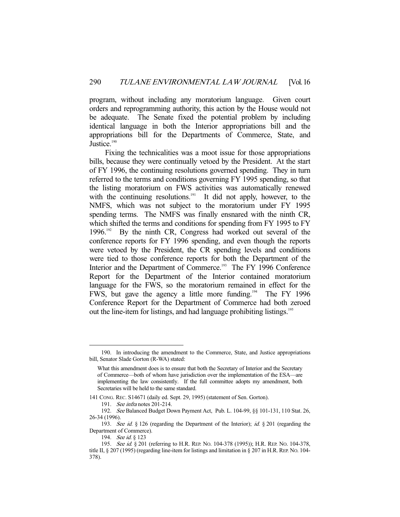program, without including any moratorium language. Given court orders and reprogramming authority, this action by the House would not be adequate. The Senate fixed the potential problem by including identical language in both the Interior appropriations bill and the appropriations bill for the Departments of Commerce, State, and Justice.<sup>190</sup>

 Fixing the technicalities was a moot issue for those appropriations bills, because they were continually vetoed by the President. At the start of FY 1996, the continuing resolutions governed spending. They in turn referred to the terms and conditions governing FY 1995 spending, so that the listing moratorium on FWS activities was automatically renewed with the continuing resolutions.<sup>191</sup> It did not apply, however, to the NMFS, which was not subject to the moratorium under FY 1995 spending terms. The NMFS was finally ensnared with the ninth CR, which shifted the terms and conditions for spending from FY 1995 to FY  $1996$ .<sup>192</sup> By the ninth CR, Congress had worked out several of the conference reports for FY 1996 spending, and even though the reports were vetoed by the President, the CR spending levels and conditions were tied to those conference reports for both the Department of the Interior and the Department of Commerce.<sup>193</sup> The FY 1996 Conference Report for the Department of the Interior contained moratorium language for the FWS, so the moratorium remained in effect for the FWS, but gave the agency a little more funding.194 The FY 1996 Conference Report for the Department of Commerce had both zeroed out the line-item for listings, and had language prohibiting listings.<sup>195</sup>

 <sup>190.</sup> In introducing the amendment to the Commerce, State, and Justice appropriations bill, Senator Slade Gorton (R-WA) stated:

What this amendment does is to ensure that both the Secretary of Interior and the Secretary of Commerce—both of whom have jurisdiction over the implementation of the ESA—are implementing the law consistently. If the full committee adopts my amendment, both Secretaries will be held to the same standard.

<sup>141</sup> CONG. REC. S14671 (daily ed. Sept. 29, 1995) (statement of Sen. Gorton). 191. See infra notes 201-214.

 <sup>192.</sup> See Balanced Budget Down Payment Act, Pub. L. 104-99, §§ 101-131, 110 Stat. 26, 26-34 (1996).

<sup>193.</sup> See id. § 126 (regarding the Department of the Interior); id. § 201 (regarding the Department of Commerce).

<sup>194.</sup> See id. § 123

<sup>195.</sup> See id. § 201 (referring to H.R. REP. No. 104-378 (1995)); H.R. REP. No. 104-378, title II, § 207 (1995) (regarding line-item for listings and limitation in § 207 in H.R. REP. NO. 104- 378).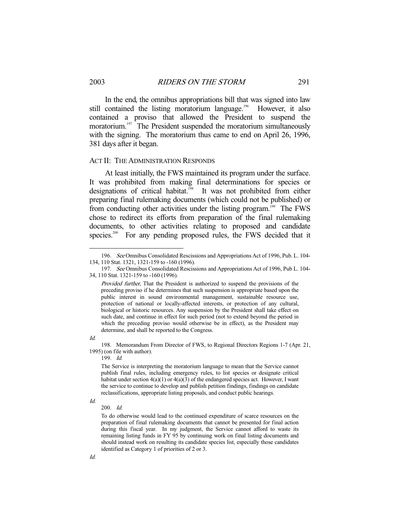In the end, the omnibus appropriations bill that was signed into law still contained the listing moratorium language.<sup>196</sup> However, it also contained a proviso that allowed the President to suspend the moratorium.<sup>197</sup> The President suspended the moratorium simultaneously with the signing. The moratorium thus came to end on April 26, 1996, 381 days after it began.

#### ACT II: THE ADMINISTRATION RESPONDS

 At least initially, the FWS maintained its program under the surface. It was prohibited from making final determinations for species or designations of critical habitat.<sup>198</sup> It was not prohibited from either preparing final rulemaking documents (which could not be published) or from conducting other activities under the listing program.<sup>199</sup> The FWS chose to redirect its efforts from preparation of the final rulemaking documents, to other activities relating to proposed and candidate species.<sup>200</sup> For any pending proposed rules, the FWS decided that it

-

 198. Memorandum From Director of FWS, to Regional Directors Regions 1-7 (Apr. 21, 1995) (on file with author).

199. Id.

The Service is interpreting the moratorium language to mean that the Service cannot publish final rules, including emergency rules, to list species or designate critical habitat under section  $4(a)(1)$  or  $4(a)(3)$  of the endangered species act. However, I want the service to continue to develop and publish petition findings, findings on candidate reclassifications, appropriate listing proposals, and conduct public hearings.

Id.

Id.

To do otherwise would lead to the continued expenditure of scarce resources on the preparation of final rulemaking documents that cannot be presented for final action during this fiscal year. In my judgment, the Service cannot afford to waste its remaining listing funds in FY 95 by continuing work on final listing documents and should instead work on resulting its candidate species list, especially those candidates identified as Category 1 of priorities of 2 or 3.

 <sup>196.</sup> See Omnibus Consolidated Rescissions and Appropriations Act of 1996, Pub. L. 104- 134, 110 Stat. 1321, 1321-159 to -160 (1996).

 <sup>197.</sup> See Omnibus Consolidated Rescissions and Appropriations Act of 1996, Pub L. 104- 34, 110 Stat. 1321-159 to -160 (1996).

Provided further, That the President is authorized to suspend the provisions of the preceding proviso if he determines that such suspension is appropriate based upon the public interest in sound environmental management, sustainable resource use, protection of national or locally-affected interests, or protection of any cultural, biological or historic resources. Any suspension by the President shall take effect on such date, and continue in effect for such period (not to extend beyond the period in which the preceding proviso would otherwise be in effect), as the President may determine, and shall be reported to the Congress.

Id.

 <sup>200.</sup> Id.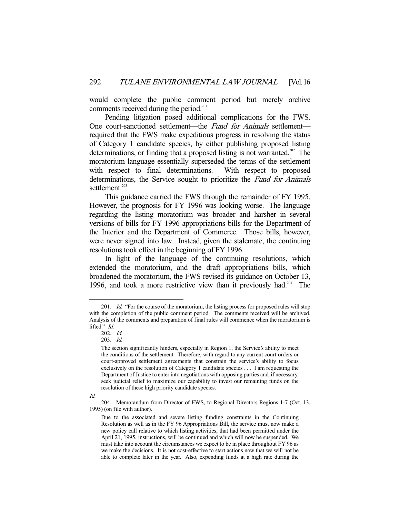would complete the public comment period but merely archive comments received during the period.<sup>201</sup>

 Pending litigation posed additional complications for the FWS. One court-sanctioned settlement—the Fund for Animals settlement required that the FWS make expeditious progress in resolving the status of Category 1 candidate species, by either publishing proposed listing determinations, or finding that a proposed listing is not warranted.<sup>202</sup> The moratorium language essentially superseded the terms of the settlement with respect to final determinations. With respect to proposed determinations, the Service sought to prioritize the Fund for Animals settlement.<sup>203</sup>

 This guidance carried the FWS through the remainder of FY 1995. However, the prognosis for FY 1996 was looking worse. The language regarding the listing moratorium was broader and harsher in several versions of bills for FY 1996 appropriations bills for the Department of the Interior and the Department of Commerce. Those bills, however, were never signed into law. Instead, given the stalemate, the continuing resolutions took effect in the beginning of FY 1996.

 In light of the language of the continuing resolutions, which extended the moratorium, and the draft appropriations bills, which broadened the moratorium, the FWS revised its guidance on October 13, 1996, and took a more restrictive view than it previously had.<sup>204</sup> The

Id.

<sup>201.</sup> *Id.* "For the course of the moratorium, the listing process for proposed rules will stop with the completion of the public comment period. The comments received will be archived. Analysis of the comments and preparation of final rules will commence when the moratorium is lifted." Id.

 <sup>202.</sup> Id.

 <sup>203.</sup> Id.

The section significantly hinders, especially in Region 1, the Service's ability to meet the conditions of the settlement. Therefore, with regard to any current court orders or court-approved settlement agreements that constrain the service's ability to focus exclusively on the resolution of Category 1 candidate species . . . I am requesting the Department of Justice to enter into negotiations with opposing parties and, if necessary, seek judicial relief to maximize our capability to invest our remaining funds on the resolution of these high priority candidate species.

 <sup>204.</sup> Memorandum from Director of FWS, to Regional Directors Regions 1-7 (Oct. 13, 1995) (on file with author).

Due to the associated and severe listing funding constraints in the Continuing Resolution as well as in the FY 96 Appropriations Bill, the service must now make a new policy call relative to which listing activities, that had been permitted under the April 21, 1995, instructions, will be continued and which will now be suspended. We must take into account the circumstances we expect to be in place throughout FY 96 as we make the decisions. It is not cost-effective to start actions now that we will not be able to complete later in the year. Also, expending funds at a high rate during the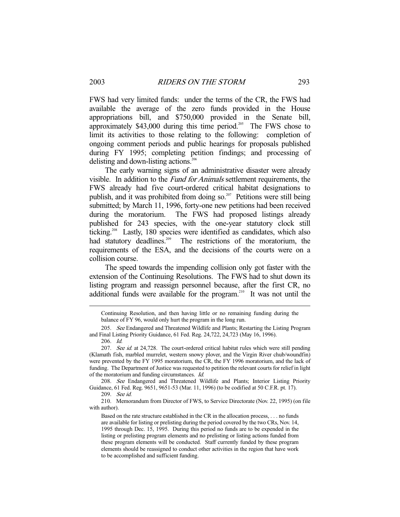FWS had very limited funds: under the terms of the CR, the FWS had available the average of the zero funds provided in the House appropriations bill, and \$750,000 provided in the Senate bill, approximately  $$43,000$  during this time period.<sup>205</sup> The FWS chose to limit its activities to those relating to the following: completion of ongoing comment periods and public hearings for proposals published during FY 1995; completing petition findings; and processing of delisting and down-listing actions.<sup>206</sup>

 The early warning signs of an administrative disaster were already visible. In addition to the Fund for Animals settlement requirements, the FWS already had five court-ordered critical habitat designations to publish, and it was prohibited from doing so.<sup>207</sup> Petitions were still being submitted; by March 11, 1996, forty-one new petitions had been received during the moratorium. The FWS had proposed listings already published for 243 species, with the one-year statutory clock still ticking.<sup>208</sup> Lastly, 180 species were identified as candidates, which also had statutory deadlines.<sup>209</sup> The restrictions of the moratorium, the requirements of the ESA, and the decisions of the courts were on a collision course.

 The speed towards the impending collision only got faster with the extension of the Continuing Resolutions. The FWS had to shut down its listing program and reassign personnel because, after the first CR, no additional funds were available for the program.<sup>210</sup> It was not until the

 208. See Endangered and Threatened Wildlife and Plants; Interior Listing Priority Guidance, 61 Fed. Reg. 9651, 9651-53 (Mar. 11, 1996) (to be codified at 50 C.F.R. pt. 17).

 210. Memorandum from Director of FWS, to Service Directorate (Nov. 22, 1995) (on file with author).

Continuing Resolution, and then having little or no remaining funding during the balance of FY 96, would only hurt the program in the long run.

<sup>205.</sup> See Endangered and Threatened Wildlife and Plants; Restarting the Listing Program and Final Listing Priority Guidance, 61 Fed. Reg. 24,722, 24,723 (May 16, 1996).

 <sup>206.</sup> Id.

<sup>207.</sup> See id. at 24,728. The court-ordered critical habitat rules which were still pending (Klamath fish, marbled murrelet, western snowy plover, and the Virgin River chub/woundfin) were prevented by the FY 1995 moratorium, the CR, the FY 1996 moratorium, and the lack of funding. The Department of Justice was requested to petition the relevant courts for relief in light of the moratorium and funding circumstances. Id.

 <sup>209.</sup> See id.

Based on the rate structure established in the CR in the allocation process, . . . no funds are available for listing or prelisting during the period covered by the two CRs, Nov. 14, 1995 through Dec. 15, 1995. During this period no funds are to be expended in the listing or prelisting program elements and no prelisting or listing actions funded from these program elements will be conducted. Staff currently funded by these program elements should be reassigned to conduct other activities in the region that have work to be accomplished and sufficient funding.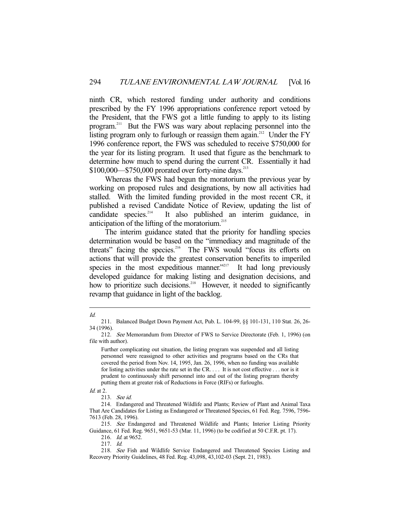ninth CR, which restored funding under authority and conditions prescribed by the FY 1996 appropriations conference report vetoed by the President, that the FWS got a little funding to apply to its listing program.211 But the FWS was wary about replacing personnel into the listing program only to furlough or reassign them again.<sup>212</sup> Under the FY 1996 conference report, the FWS was scheduled to receive \$750,000 for the year for its listing program. It used that figure as the benchmark to determine how much to spend during the current CR. Essentially it had  $$100,000$ — $$750,000$  prorated over forty-nine days.<sup>213</sup>

 Whereas the FWS had begun the moratorium the previous year by working on proposed rules and designations, by now all activities had stalled. With the limited funding provided in the most recent CR, it published a revised Candidate Notice of Review, updating the list of candidate species. $214$  It also published an interim guidance, in anticipation of the lifting of the moratorium.<sup>215</sup>

 The interim guidance stated that the priority for handling species determination would be based on the "immediacy and magnitude of the threats" facing the species.<sup>216</sup> The FWS would "focus its efforts on actions that will provide the greatest conservation benefits to imperiled species in the most expeditious manner."<sup>217</sup> It had long previously developed guidance for making listing and designation decisions, and how to prioritize such decisions.<sup>218</sup> However, it needed to significantly revamp that guidance in light of the backlog.

<sup>-</sup>Id.

 <sup>211.</sup> Balanced Budget Down Payment Act, Pub. L. 104-99, §§ 101-131, 110 Stat. 26, 26- 34 (1996).

<sup>212.</sup> See Memorandum from Director of FWS to Service Directorate (Feb. 1, 1996) (on file with author).

Further complicating out situation, the listing program was suspended and all listing personnel were reassigned to other activities and programs based on the CRs that covered the period from Nov. 14, 1995, Jan. 26, 1996, when no funding was available for listing activities under the rate set in the CR. . . . It is not cost effective . . . nor is it prudent to continuously shift personnel into and out of the listing program thereby putting them at greater risk of Reductions in Force (RIFs) or furloughs.

Id. at 2.

 <sup>213.</sup> See id.

 <sup>214.</sup> Endangered and Threatened Wildlife and Plants; Review of Plant and Animal Taxa That Are Candidates for Listing as Endangered or Threatened Species, 61 Fed. Reg. 7596, 7596- 7613 (Feb. 28, 1996).

<sup>215.</sup> See Endangered and Threatened Wildlife and Plants; Interior Listing Priority Guidance, 61 Fed. Reg. 9651, 9651-53 (Mar. 11, 1996) (to be codified at 50 C.F.R. pt. 17).

<sup>216.</sup> *Id.* at 9652.

 <sup>217.</sup> Id.

 <sup>218.</sup> See Fish and Wildlife Service Endangered and Threatened Species Listing and Recovery Priority Guidelines, 48 Fed. Reg. 43,098, 43,102-03 (Sept. 21, 1983).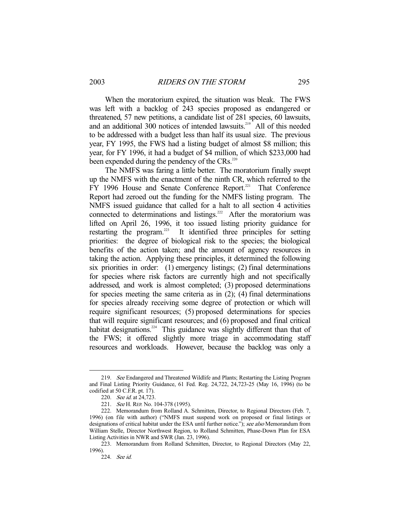When the moratorium expired, the situation was bleak. The FWS was left with a backlog of 243 species proposed as endangered or threatened, 57 new petitions, a candidate list of 281 species, 60 lawsuits, and an additional 300 notices of intended lawsuits.<sup>219</sup> All of this needed to be addressed with a budget less than half its usual size. The previous year, FY 1995, the FWS had a listing budget of almost \$8 million; this year, for FY 1996, it had a budget of \$4 million, of which \$233,000 had been expended during the pendency of the CRs.<sup>220</sup>

 The NMFS was faring a little better. The moratorium finally swept up the NMFS with the enactment of the ninth CR, which referred to the FY 1996 House and Senate Conference Report.<sup>221</sup> That Conference Report had zeroed out the funding for the NMFS listing program. The NMFS issued guidance that called for a halt to all section 4 activities connected to determinations and listings.<sup>222</sup> After the moratorium was lifted on April 26, 1996, it too issued listing priority guidance for restarting the program.<sup>223</sup> It identified three principles for setting priorities: the degree of biological risk to the species; the biological benefits of the action taken; and the amount of agency resources in taking the action. Applying these principles, it determined the following six priorities in order: (1) emergency listings; (2) final determinations for species where risk factors are currently high and not specifically addressed, and work is almost completed; (3) proposed determinations for species meeting the same criteria as in (2); (4) final determinations for species already receiving some degree of protection or which will require significant resources; (5) proposed determinations for species that will require significant resources; and (6) proposed and final critical habitat designations.<sup>224</sup> This guidance was slightly different than that of the FWS; it offered slightly more triage in accommodating staff resources and workloads. However, because the backlog was only a

<sup>219.</sup> See Endangered and Threatened Wildlife and Plants; Restarting the Listing Program and Final Listing Priority Guidance, 61 Fed. Reg. 24,722, 24,723-25 (May 16, 1996) (to be codified at 50 C.F.R. pt. 17).

<sup>220.</sup> See id. at 24,723.

<sup>221.</sup> See H. REP. No. 104-378 (1995).

 <sup>222.</sup> Memorandum from Rolland A. Schmitten, Director, to Regional Directors (Feb. 7, 1996) (on file with author) ("NMFS must suspend work on proposed or final listings or designations of critical habitat under the ESA until further notice."); see also Memorandum from William Stelle, Director Northwest Region, to Rolland Schmitten, Phase-Down Plan for ESA Listing Activities in NWR and SWR (Jan. 23, 1996).

 <sup>223.</sup> Memorandum from Rolland Schmitten, Director, to Regional Directors (May 22, 1996).

 <sup>224.</sup> See id.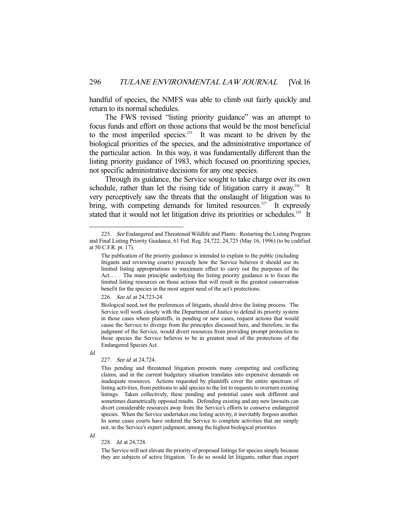handful of species, the NMFS was able to climb out fairly quickly and return to its normal schedules.

 The FWS revised "listing priority guidance" was an attempt to focus funds and effort on those actions that would be the most beneficial to the most imperiled species.<sup>225</sup> It was meant to be driven by the biological priorities of the species, and the administrative importance of the particular action. In this way, it was fundamentally different than the listing priority guidance of 1983, which focused on prioritizing species, not specific administrative decisions for any one species.

 Through its guidance, the Service sought to take charge over its own schedule, rather than let the rising tide of litigation carry it away.<sup>226</sup> It very perceptively saw the threats that the onslaught of litigation was to bring, with competing demands for limited resources.<sup>227</sup> It expressly stated that it would not let litigation drive its priorities or schedules.<sup>228</sup> It

226. See id. at 24,723-24.

Id.

-

#### 227. See id. at 24,724.

Id.

#### 228. Id. at 24,728.

The Service will not elevate the priority of proposed listings for species simply because they are subjects of active litigation. To do so would let litigants, rather than expert

<sup>225.</sup> See Endangered and Threatened Wildlife and Plants: Restarting the Listing Program and Final Listing Priority Guidance, 61 Fed. Reg. 24,722, 24,725 (May 16, 1996) (to be codified at 50 C.F.R. pt. 17).

The publication of the priority guidance is intended to explain to the public (including litigants and reviewing courts) precisely how the Service believes it should use its limited listing appropriations to maximum effect to carry out the purposes of the Act.... The main principle underlying the listing priority guidance is to focus the limited listing resources on those actions that will result in the greatest conservation benefit for the species in the most urgent need of the act's protections.

Biological need, not the preferences of litigants, should drive the listing process. The Service will work closely with the Department of Justice to defend its priority system in those cases where plaintiffs, in pending or new cases, request actions that would cause the Service to diverge from the principles discussed here, and therefore, in the judgment of the Service, would divert resources from providing prompt protection to those species the Service believes to be in greatest need of the protections of the Endangered Species Act.

This pending and threatened litigation presents many competing and conflicting claims, and in the current budgetary situation translates into expensive demands on inadequate resources. Actions requested by plaintiffs cover the entire spectrum of listing activities, from petitions to add species to the list to requests to overturn existing listings. Taken collectively, these pending and potential cases seek different and sometimes diametrically opposed results. Defending existing and any new lawsuits can divert considerable resources away from the Service's efforts to conserve endangered species. When the Service undertakes one listing activity, it inevitably forgoes another. In some cases courts have ordered the Service to complete activities that are simply not, in the Service's expert judgment, among the highest biological priorities.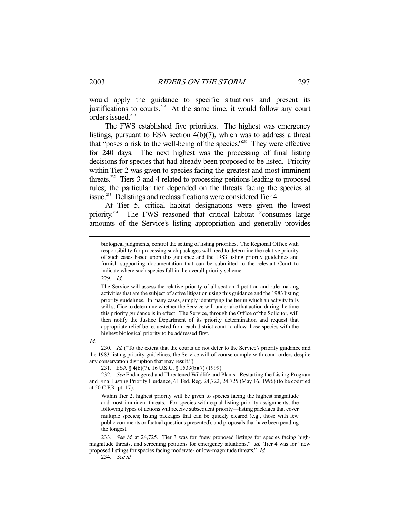would apply the guidance to specific situations and present its justifications to courts.<sup>229</sup> At the same time, it would follow any court orders issued.<sup>230</sup>

 The FWS established five priorities. The highest was emergency listings, pursuant to ESA section 4(b)(7), which was to address a threat that "poses a risk to the well-being of the species."231 They were effective for 240 days. The next highest was the processing of final listing decisions for species that had already been proposed to be listed. Priority within Tier 2 was given to species facing the greatest and most imminent threats.232 Tiers 3 and 4 related to processing petitions leading to proposed rules; the particular tier depended on the threats facing the species at issue.<sup>233</sup> Delistings and reclassifications were considered Tier 4.

 At Tier 5, critical habitat designations were given the lowest priority.<sup>234</sup> The FWS reasoned that critical habitat "consumes large amounts of the Service's listing appropriation and generally provides

229. Id.

Id.

230. Id. ("To the extent that the courts do not defer to the Service's priority guidance and the 1983 listing priority guidelines, the Service will of course comply with court orders despite any conservation disruption that may result.").

231. ESA § 4(b)(7), 16 U.S.C. § 1533(b)(7) (1999).

232. See Endangered and Threatened Wildlife and Plants: Restarting the Listing Program and Final Listing Priority Guidance, 61 Fed. Reg. 24,722, 24,725 (May 16, 1996) (to be codified at 50 C.F.R. pt. 17).

Within Tier 2, highest priority will be given to species facing the highest magnitude and most imminent threats. For species with equal listing priority assignments, the following types of actions will receive subsequent priority—listing packages that cover multiple species; listing packages that can be quickly cleared (e.g., those with few public comments or factual questions presented); and proposals that have been pending the longest.

233. See id. at 24,725. Tier 3 was for "new proposed listings for species facing highmagnitude threats, and screening petitions for emergency situations." Id. Tier 4 was for "new proposed listings for species facing moderate- or low-magnitude threats." Id.

234. See id.

biological judgments, control the setting of listing priorities. The Regional Office with responsibility for processing such packages will need to determine the relative priority of such cases based upon this guidance and the 1983 listing priority guidelines and furnish supporting documentation that can be submitted to the relevant Court to indicate where such species fall in the overall priority scheme.

The Service will assess the relative priority of all section 4 petition and rule-making activities that are the subject of active litigation using this guidance and the 1983 listing priority guidelines. In many cases, simply identifying the tier in which an activity falls will suffice to determine whether the Service will undertake that action during the time this priority guidance is in effect. The Service, through the Office of the Solicitor, will then notify the Justice Department of its priority determination and request that appropriate relief be requested from each district court to allow those species with the highest biological priority to be addressed first.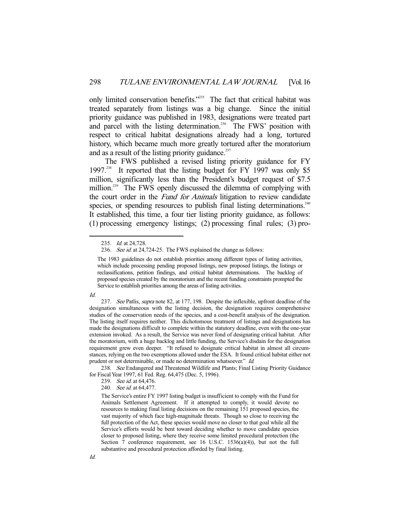only limited conservation benefits."<sup>235</sup> The fact that critical habitat was treated separately from listings was a big change. Since the initial priority guidance was published in 1983, designations were treated part and parcel with the listing determination.<sup>236</sup> The FWS' position with respect to critical habitat designations already had a long, tortured history, which became much more greatly tortured after the moratorium and as a result of the listing priority guidance.<sup>237</sup>

 The FWS published a revised listing priority guidance for FY 1997.<sup>238</sup> It reported that the listing budget for FY 1997 was only \$5 million, significantly less than the President's budget request of \$7.5 million.<sup>239</sup> The FWS openly discussed the dilemma of complying with the court order in the *Fund for Animals* litigation to review candidate species, or spending resources to publish final listing determinations.<sup>240</sup> It established, this time, a four tier listing priority guidance, as follows: (1) processing emergency listings; (2) processing final rules; (3) pro-

The 1983 guidelines do not establish priorities among different types of listing activities, which include processing pending proposed listings, new proposed listings, the listings or reclassifications, petition findings, and critical habitat determinations. The backlog of proposed species created by the moratorium and the recent funding constraints prompted the Service to establish priorities among the areas of listing activities.



-

238. See Endangered and Threatened Wildlife and Plants; Final Listing Priority Guidance for Fiscal Year 1997, 61 Fed. Reg. 64,475 (Dec. 5, 1996).

239. See id. at 64,476.

240. See id. at 64,477.

The Service's entire FY 1997 listing budget is insufficient to comply with the Fund for Animals Settlement Agreement. If it attempted to comply, it would devote no resources to making final listing decisions on the remaining 151 proposed species, the vast majority of which face high-magnitude threats. Though so close to receiving the full protection of the Act, these species would move no closer to that goal while all the Service's efforts would be bent toward deciding whether to move candidate species closer to proposed listing, where they receive some limited procedural protection (the Section 7 conference requirement, see 16 U.S.C.  $1536(a)(4)$ ), but not the full substantive and procedural protection afforded by final listing.

 <sup>235.</sup> Id. at 24,728.

<sup>236.</sup> See id. at 24,724-25. The FWS explained the change as follows:

<sup>237.</sup> See Patlis, *supra* note 82, at 177, 198. Despite the inflexible, upfront deadline of the designation simultaneous with the listing decision, the designation requires comprehensive studies of the conservation needs of the species, and a cost-benefit analysis of the designation. The listing itself requires neither. This dichotomous treatment of listings and designations has made the designations difficult to complete within the statutory deadline, even with the one-year extension invoked. As a result, the Service was never fond of designating critical habitat. After the moratorium, with a huge backlog and little funding, the Service's disdain for the designation requirement grew even deeper. "It refused to designate critical habitat in almost all circumstances, relying on the two exemptions allowed under the ESA. It found critical habitat either not prudent or not determinable, or made no determination whatsoever." Id.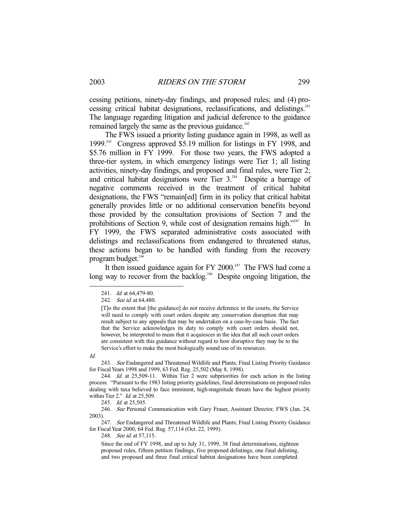cessing petitions, ninety-day findings, and proposed rules; and (4) processing critical habitat designations, reclassifications, and delistings. $241$ The language regarding litigation and judicial deference to the guidance remained largely the same as the previous guidance.<sup>242</sup>

 The FWS issued a priority listing guidance again in 1998, as well as 1999.243 Congress approved \$5.19 million for listings in FY 1998, and \$5.76 million in FY 1999. For those two years, the FWS adopted a three-tier system, in which emergency listings were Tier 1; all listing activities, ninety-day findings, and proposed and final rules, were Tier 2; and critical habitat designations were Tier  $3.^{244}$  Despite a barrage of negative comments received in the treatment of critical habitat designations, the FWS "remain[ed] firm in its policy that critical habitat generally provides little or no additional conservation benefits beyond those provided by the consultation provisions of Section 7 and the prohibitions of Section 9, while cost of designation remains high."<sup>245</sup> In FY 1999, the FWS separated administrative costs associated with delistings and reclassifications from endangered to threatened status, these actions began to be handled with funding from the recovery program budget.<sup>246</sup>

It then issued guidance again for FY 2000.<sup>247</sup> The FWS had come a long way to recover from the backlog.<sup>248</sup> Despite ongoing litigation, the

Id.

-

243. See Endangered and Threatened Wildlife and Plants; Final Listing Priority Guidance for Fiscal Years 1998 and 1999, 63 Fed. Reg. 25,502 (May 8, 1998).

 244. Id. at 25,509-11. Within Tier 2 were subpriorities for each action in the listing process. "Pursuant to the 1983 listing priority guidelines, final determinations on proposed rules dealing with taxa believed to face imminent, high-magnitude threats have the highest priority within Tier 2." *Id.* at 25,509.

245. *Id.* at 25,505.

 246. See Personal Communication with Gary Fraser, Assistant Director, FWS (Jan. 24, 2003).

247. See Endangered and Threatened Wildlife and Plants; Final Listing Priority Guidance for Fiscal Year 2000, 64 Fed. Reg. 57,114 (Oct. 22, 1999).

248. See id. at 57,115.

Since the end of FY 1998, and up to July 31, 1999, 38 final determinations, eighteen proposed rules, fifteen petition findings, five proposed delistings, one final delisting, and two proposed and three final critical habitat designations have been completed.

<sup>241.</sup> *Id.* at 64,479-80.

<sup>242.</sup> See id. at 64,480.

<sup>[</sup>T]o the extent that [the guidance] do not receive deference in the courts, the Service will need to comply with court orders despite any conservation disruption that may result subject to any appeals that may be undertaken on a case-by-case basis. The fact that the Service acknowledges its duty to comply with court orders should not, however, be interpreted to mean that it acquiesces in the idea that all such court orders are consistent with this guidance without regard to how disruptive they may be to the Service's effort to make the most biologically sound use of its resources.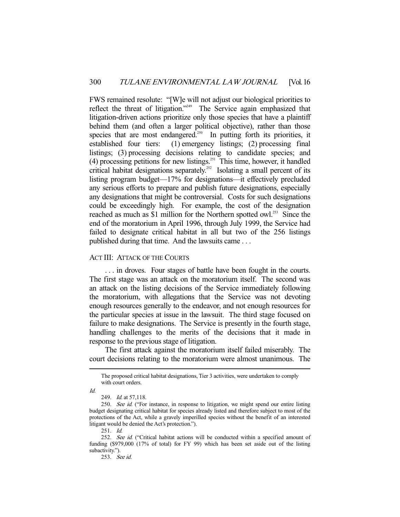FWS remained resolute: "[W]e will not adjust our biological priorities to reflect the threat of litigation."249 The Service again emphasized that litigation-driven actions prioritize only those species that have a plaintiff behind them (and often a larger political objective), rather than those species that are most endangered.<sup>250</sup> In putting forth its priorities, it established four tiers: (1) emergency listings; (2) processing final listings; (3) processing decisions relating to candidate species; and (4) processing petitions for new listings.<sup>251</sup> This time, however, it handled critical habitat designations separately.<sup>252</sup> Isolating a small percent of its listing program budget—17% for designations—it effectively precluded any serious efforts to prepare and publish future designations, especially any designations that might be controversial. Costs for such designations could be exceedingly high. For example, the cost of the designation reached as much as \$1 million for the Northern spotted owl.<sup>253</sup> Since the end of the moratorium in April 1996, through July 1999, the Service had failed to designate critical habitat in all but two of the 256 listings published during that time. And the lawsuits came . . .

### ACT III: ATTACK OF THE COURTS

 . . . in droves. Four stages of battle have been fought in the courts. The first stage was an attack on the moratorium itself. The second was an attack on the listing decisions of the Service immediately following the moratorium, with allegations that the Service was not devoting enough resources generally to the endeavor, and not enough resources for the particular species at issue in the lawsuit. The third stage focused on failure to make designations. The Service is presently in the fourth stage, handling challenges to the merits of the decisions that it made in response to the previous stage of litigation.

 The first attack against the moratorium itself failed miserably. The court decisions relating to the moratorium were almost unanimous. The

Id.

The proposed critical habitat designations, Tier 3 activities, were undertaken to comply with court orders.

<sup>249.</sup> *Id.* at 57,118.

<sup>250.</sup> See id. ("For instance, in response to litigation, we might spend our entire listing budget designating critical habitat for species already listed and therefore subject to most of the protections of the Act, while a gravely imperilled species without the benefit of an interested litigant would be denied the Act's protection.").

 <sup>251.</sup> Id.

<sup>252.</sup> See id. ("Critical habitat actions will be conducted within a specified amount of funding (\$979,000 (17% of total) for FY 99) which has been set aside out of the listing subactivity.").

 <sup>253.</sup> See id.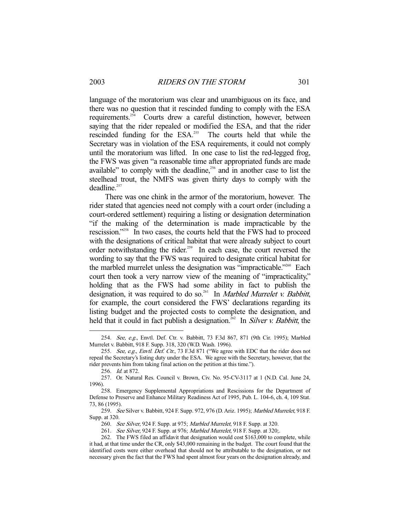language of the moratorium was clear and unambiguous on its face, and there was no question that it rescinded funding to comply with the ESA requirements.<sup>254</sup> Courts drew a careful distinction, however, between saying that the rider repealed or modified the ESA, and that the rider rescinded funding for the ESA.<sup>255</sup> The courts held that while the Secretary was in violation of the ESA requirements, it could not comply until the moratorium was lifted. In one case to list the red-legged frog, the FWS was given "a reasonable time after appropriated funds are made available" to comply with the deadline, $256$  and in another case to list the steelhead trout, the NMFS was given thirty days to comply with the  $deadline.$ <sup>257</sup>

 There was one chink in the armor of the moratorium, however. The rider stated that agencies need not comply with a court order (including a court-ordered settlement) requiring a listing or designation determination "if the making of the determination is made impracticable by the rescission."258 In two cases, the courts held that the FWS had to proceed with the designations of critical habitat that were already subject to court order notwithstanding the rider.<sup>259</sup> In each case, the court reversed the wording to say that the FWS was required to designate critical habitat for the marbled murrelet unless the designation was "impracticable."<sup>260</sup> Each court then took a very narrow view of the meaning of "impracticality," holding that as the FWS had some ability in fact to publish the designation, it was required to do so.<sup>261</sup> In *Marbled Murrelet v. Babbitt*, for example, the court considered the FWS' declarations regarding its listing budget and the projected costs to complete the designation, and held that it could in fact publish a designation.<sup>262</sup> In Silver v. Babbitt, the

 <sup>254.</sup> See, e.g., Envtl. Def. Ctr. v. Babbitt, 73 F.3d 867, 871 (9th Cir. 1995); Marbled Murrelet v. Babbitt, 918 F. Supp. 318, 320 (W.D. Wash. 1996).

<sup>255.</sup> See, e.g., Envtl. Def. Ctr., 73 F.3d 871 ("We agree with EDC that the rider does not repeal the Secretary's listing duty under the ESA. We agree with the Secretary, however, that the rider prevents him from taking final action on the petition at this time.").

 <sup>256.</sup> Id. at 872.

 <sup>257.</sup> Or. Natural Res. Council v. Brown, Civ. No. 95-CV-3117 at 1 (N.D. Cal. June 24, 1996).

 <sup>258.</sup> Emergency Supplemental Appropriations and Rescissions for the Department of Defense to Preserve and Enhance Military Readiness Act of 1995, Pub. L. 104-6, ch. 4, 109 Stat. 73, 86 (1995).

<sup>259.</sup> See Silver v. Babbitt, 924 F. Supp. 972, 976 (D. Ariz. 1995); Marbled Murrelet, 918 F. Supp. at 320.

<sup>260.</sup> See Silver, 924 F. Supp. at 975; Marbled Murrelet, 918 F. Supp. at 320.

<sup>261.</sup> See Silver, 924 F. Supp. at 976; Marbled Murrelet, 918 F. Supp. at 320;.

 <sup>262.</sup> The FWS filed an affidavit that designation would cost \$163,000 to complete, while it had, at that time under the CR, only \$43,000 remaining in the budget. The court found that the identified costs were either overhead that should not be attributable to the designation, or not necessary given the fact that the FWS had spent almost four years on the designation already, and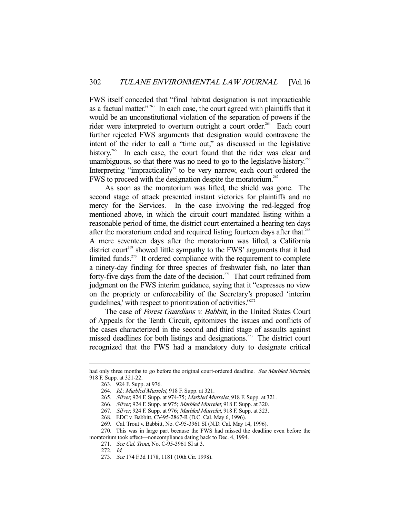FWS itself conceded that "final habitat designation is not impracticable as a factual matter."<sup>263</sup> In each case, the court agreed with plaintiffs that it would be an unconstitutional violation of the separation of powers if the rider were interpreted to overturn outright a court order.<sup>264</sup> Each court further rejected FWS arguments that designation would contravene the intent of the rider to call a "time out," as discussed in the legislative history.<sup>265</sup> In each case, the court found that the rider was clear and unambiguous, so that there was no need to go to the legislative history.<sup>266</sup> Interpreting "impracticality" to be very narrow, each court ordered the FWS to proceed with the designation despite the moratorium.<sup>267</sup>

 As soon as the moratorium was lifted, the shield was gone. The second stage of attack presented instant victories for plaintiffs and no mercy for the Services. In the case involving the red-legged frog mentioned above, in which the circuit court mandated listing within a reasonable period of time, the district court entertained a hearing ten days after the moratorium ended and required listing fourteen days after that.<sup>268</sup> A mere seventeen days after the moratorium was lifted, a California district court<sup>269</sup> showed little sympathy to the FWS' arguments that it had limited funds. $270$  It ordered compliance with the requirement to complete a ninety-day finding for three species of freshwater fish, no later than forty-five days from the date of the decision.<sup> $271$ </sup> That court refrained from judgment on the FWS interim guidance, saying that it "expresses no view on the propriety or enforceability of the Secretary's proposed 'interim guidelines,' with respect to prioritization of activities."<sup>27</sup>

The case of Forest Guardians v. Babbitt, in the United States Court of Appeals for the Tenth Circuit, epitomizes the issues and conflicts of the cases characterized in the second and third stage of assaults against missed deadlines for both listings and designations.<sup>273</sup> The district court recognized that the FWS had a mandatory duty to designate critical

had only three months to go before the original court-ordered deadline. See Marbled Murrelet, 918 F. Supp. at 321-22.

 <sup>263. 924</sup> F. Supp. at 976.

<sup>264.</sup> Id.; Marbled Murrelet, 918 F. Supp. at 321.

<sup>265.</sup> Silver, 924 F. Supp. at 974-75; Marbled Murrelet, 918 F. Supp. at 321.

<sup>266.</sup> Silver, 924 F. Supp. at 975; Marbled Murrelet, 918 F. Supp. at 320.

<sup>267.</sup> Silver, 924 F. Supp. at 976; Marbled Murrelet, 918 F. Supp. at 323.

 <sup>268.</sup> EDC v. Babbitt, CV-95-2867-R (D.C. Cal. May 6, 1996).

 <sup>269.</sup> Cal. Trout v. Babbitt, No. C-95-3961 SI (N.D. Cal. May 14, 1996).

 <sup>270.</sup> This was in large part because the FWS had missed the deadline even before the moratorium took effect—noncompliance dating back to Dec. 4, 1994.

<sup>271.</sup> See Cal. Trout, No. C-95-3961 SI at 3.

 <sup>272.</sup> Id.

 <sup>273.</sup> See 174 F.3d 1178, 1181 (10th Cir. 1998).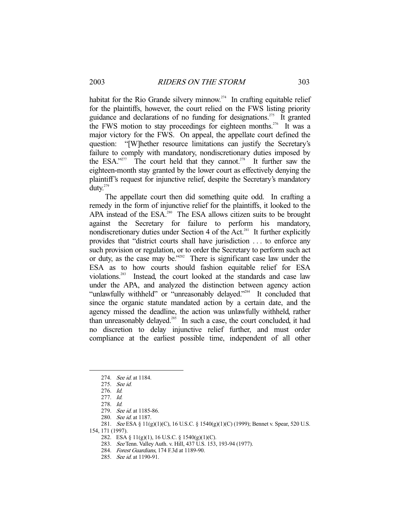habitat for the Rio Grande silvery minnow.<sup>274</sup> In crafting equitable relief for the plaintiffs, however, the court relied on the FWS listing priority guidance and declarations of no funding for designations.<sup>275</sup> It granted the FWS motion to stay proceedings for eighteen months.<sup>276</sup> It was a major victory for the FWS. On appeal, the appellate court defined the question: "[W]hether resource limitations can justify the Secretary's failure to comply with mandatory, nondiscretionary duties imposed by the ESA."<sup>277</sup> The court held that they cannot.<sup>278</sup> It further saw the eighteen-month stay granted by the lower court as effectively denying the plaintiff's request for injunctive relief, despite the Secretary's mandatory duty.279

 The appellate court then did something quite odd. In crafting a remedy in the form of injunctive relief for the plaintiffs, it looked to the APA instead of the ESA.<sup>280</sup> The ESA allows citizen suits to be brought against the Secretary for failure to perform his mandatory, nondiscretionary duties under Section 4 of the Act.<sup>281</sup> It further explicitly provides that "district courts shall have jurisdiction . . . to enforce any such provision or regulation, or to order the Secretary to perform such act or duty, as the case may be."282 There is significant case law under the ESA as to how courts should fashion equitable relief for ESA violations.283 Instead, the court looked at the standards and case law under the APA, and analyzed the distinction between agency action "unlawfully withheld" or "unreasonably delayed."284 It concluded that since the organic statute mandated action by a certain date, and the agency missed the deadline, the action was unlawfully withheld, rather than unreasonably delayed.<sup>285</sup> In such a case, the court concluded, it had no discretion to delay injunctive relief further, and must order compliance at the earliest possible time, independent of all other

-

154, 171 (1997).

 <sup>274.</sup> See id. at 1184.

 <sup>275.</sup> See id.

 <sup>276.</sup> Id.

 <sup>277.</sup> Id.

 <sup>278.</sup> Id.

<sup>279.</sup> See id. at 1185-86.

<sup>280.</sup> See id. at 1187.

<sup>281.</sup> See ESA § 11(g)(1)(C), 16 U.S.C. § 1540(g)(1)(C) (1999); Bennet v. Spear, 520 U.S.

 <sup>282.</sup> ESA § 11(g)(1), 16 U.S.C. § 1540(g)(1)(C).

 <sup>283.</sup> See Tenn. Valley Auth. v. Hill, 437 U.S. 153, 193-94 (1977).

 <sup>284.</sup> Forest Guardians, 174 F.3d at 1189-90.

<sup>285.</sup> See id. at 1190-91.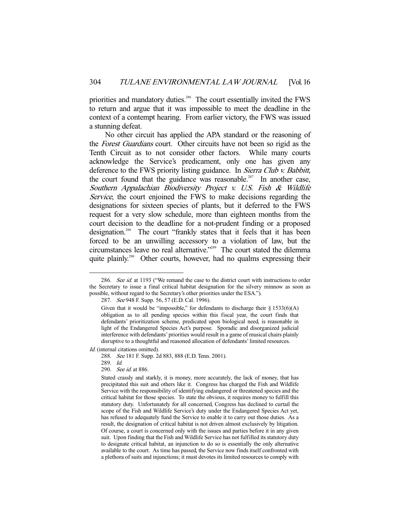priorities and mandatory duties.<sup>286</sup> The court essentially invited the FWS to return and argue that it was impossible to meet the deadline in the context of a contempt hearing. From earlier victory, the FWS was issued a stunning defeat.

 No other circuit has applied the APA standard or the reasoning of the Forest Guardians court. Other circuits have not been so rigid as the Tenth Circuit as to not consider other factors. While many courts acknowledge the Service's predicament, only one has given any deference to the FWS priority listing guidance. In *Sierra Club v. Babbitt*, the court found that the guidance was reasonable.<sup>287</sup> In another case, Southern Appalachian Biodiversity Project v. U.S. Fish & Wildlife Service, the court enjoined the FWS to make decisions regarding the designations for sixteen species of plants, but it deferred to the FWS request for a very slow schedule, more than eighteen months from the court decision to the deadline for a not-prudent finding or a proposed designation.<sup>288</sup> The court "frankly states that it feels that it has been forced to be an unwilling accessory to a violation of law, but the circumstances leave no real alternative."289 The court stated the dilemma quite plainly.<sup>290</sup> Other courts, however, had no qualms expressing their

Id. (internal citations omitted).

<sup>286.</sup> See id. at 1193 ("We remand the case to the district court with instructions to order the Secretary to issue a final critical habitat designation for the silvery minnow as soon as possible, without regard to the Secretary's other priorities under the ESA.").

<sup>287.</sup> See 948 F. Supp. 56, 57 (E.D. Cal. 1996).

Given that it would be "impossible," for defendants to discharge their  $\S 1533(6)(A)$ obligation as to all pending species within this fiscal year, the court finds that defendants' prioritization scheme, predicated upon biological need, is reasonable in light of the Endangered Species Act's purpose. Sporadic and disorganized judicial interference with defendants' priorities would result in a game of musical chairs plainly disruptive to a thoughtful and reasoned allocation of defendants' limited resources.

 <sup>288.</sup> See 181 F. Supp. 2d 883, 888 (E.D. Tenn. 2001).

 <sup>289.</sup> Id.

 <sup>290.</sup> See id. at 886.

Stated crassly and starkly, it is money, more accurately, the lack of money, that has precipitated this suit and others like it. Congress has charged the Fish and Wildlife Service with the responsibility of identifying endangered or threatened species and the critical habitat for those species. To state the obvious, it requires money to fulfill this statutory duty. Unfortunately for all concerned, Congress has declined to curtail the scope of the Fish and Wildlife Service's duty under the Endangered Species Act yet, has refused to adequately fund the Service to enable it to carry out those duties. As a result, the designation of critical habitat is not driven almost exclusively by litigation. Of course, a court is concerned only with the issues and parties before it in any given suit. Upon finding that the Fish and Wildlife Service has not fulfilled its statutory duty to designate critical habitat, an injunction to do so is essentially the only alternative available to the court. As time has passed, the Service now finds itself confronted with a plethora of suits and injunctions; it must devotes its limited resources to comply with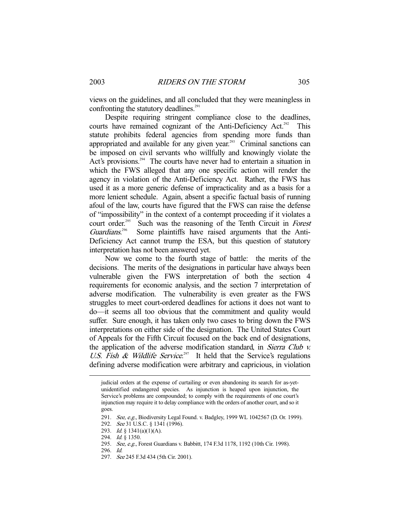views on the guidelines, and all concluded that they were meaningless in confronting the statutory deadlines. $291$ 

 Despite requiring stringent compliance close to the deadlines, courts have remained cognizant of the Anti-Deficiency Act.<sup>292</sup> This statute prohibits federal agencies from spending more funds than appropriated and available for any given year.<sup>293</sup> Criminal sanctions can be imposed on civil servants who willfully and knowingly violate the Act's provisions.<sup>294</sup> The courts have never had to entertain a situation in which the FWS alleged that any one specific action will render the agency in violation of the Anti-Deficiency Act. Rather, the FWS has used it as a more generic defense of impracticality and as a basis for a more lenient schedule. Again, absent a specific factual basis of running afoul of the law, courts have figured that the FWS can raise the defense of "impossibility" in the context of a contempt proceeding if it violates a court order.<sup>295</sup> Such was the reasoning of the Tenth Circuit in *Forest* Guardians. Some plaintiffs have raised arguments that the Anti-Deficiency Act cannot trump the ESA, but this question of statutory interpretation has not been answered yet.

 Now we come to the fourth stage of battle: the merits of the decisions. The merits of the designations in particular have always been vulnerable given the FWS interpretation of both the section 4 requirements for economic analysis, and the section 7 interpretation of adverse modification. The vulnerability is even greater as the FWS struggles to meet court-ordered deadlines for actions it does not want to do—it seems all too obvious that the commitment and quality would suffer. Sure enough, it has taken only two cases to bring down the FWS interpretations on either side of the designation. The United States Court of Appeals for the Fifth Circuit focused on the back end of designations, the application of the adverse modification standard, in Sierra Club v. U.S. Fish & Wildlife Service.<sup>297</sup> It held that the Service's regulations defining adverse modification were arbitrary and capricious, in violation

- 294. *Id.* § 1350.
- 295. See, e.g., Forest Guardians v. Babbitt, 174 F.3d 1178, 1192 (10th Cir. 1998).

297. See 245 F.3d 434 (5th Cir. 2001).

judicial orders at the expense of curtailing or even abandoning its search for as-yetunidentified endangered species. As injunction is heaped upon injunction, the Service's problems are compounded; to comply with the requirements of one court's injunction may require it to delay compliance with the orders of another court, and so it goes.

<sup>291.</sup> See, e.g., Biodiversity Legal Found. v. Badgley, 1999 WL 1042567 (D. Or. 1999).

<sup>292.</sup> See 31 U.S.C. § 1341 (1996).

<sup>293.</sup> *Id.* § 1341(a)(1)(A).

 <sup>296.</sup> Id.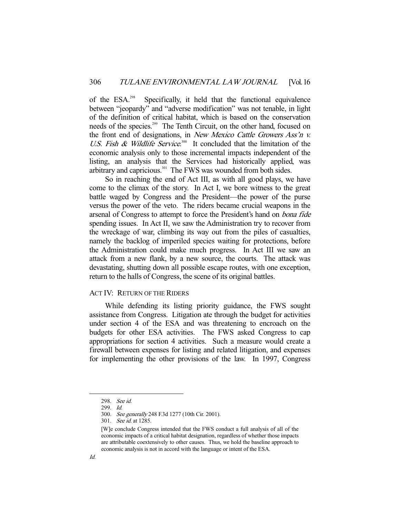of the ESA.298 Specifically, it held that the functional equivalence between "jeopardy" and "adverse modification" was not tenable, in light of the definition of critical habitat, which is based on the conservation needs of the species.<sup>299</sup> The Tenth Circuit, on the other hand, focused on the front end of designations, in New Mexico Cattle Growers Ass'n v. U.S. Fish  $\&$  Wildlife Service.<sup>300</sup> It concluded that the limitation of the economic analysis only to those incremental impacts independent of the listing, an analysis that the Services had historically applied, was arbitrary and capricious.<sup>301</sup> The FWS was wounded from both sides.

 So in reaching the end of Act III, as with all good plays, we have come to the climax of the story. In Act I, we bore witness to the great battle waged by Congress and the President—the power of the purse versus the power of the veto. The riders became crucial weapons in the arsenal of Congress to attempt to force the President's hand on bona fide spending issues. In Act II, we saw the Administration try to recover from the wreckage of war, climbing its way out from the piles of casualties, namely the backlog of imperiled species waiting for protections, before the Administration could make much progress. In Act III we saw an attack from a new flank, by a new source, the courts. The attack was devastating, shutting down all possible escape routes, with one exception, return to the halls of Congress, the scene of its original battles.

### ACT IV: RETURN OF THE RIDERS

 While defending its listing priority guidance, the FWS sought assistance from Congress. Litigation ate through the budget for activities under section 4 of the ESA and was threatening to encroach on the budgets for other ESA activities. The FWS asked Congress to cap appropriations for section 4 activities. Such a measure would create a firewall between expenses for listing and related litigation, and expenses for implementing the other provisions of the law. In 1997, Congress

301. See id. at 1285.

 <sup>298.</sup> See id.

 <sup>299.</sup> Id.

 <sup>300.</sup> See generally 248 F.3d 1277 (10th Cir. 2001).

<sup>[</sup>W]e conclude Congress intended that the FWS conduct a full analysis of all of the economic impacts of a critical habitat designation, regardless of whether those impacts are attributable coextensively to other causes. Thus, we hold the baseline approach to economic analysis is not in accord with the language or intent of the ESA.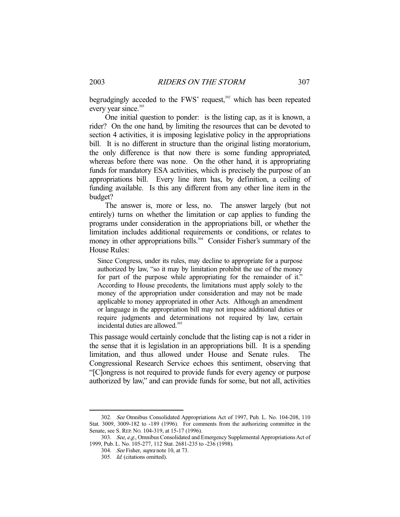begrudgingly acceded to the FWS' request, $302$  which has been repeated every year since.<sup>303</sup>

 One initial question to ponder: is the listing cap, as it is known, a rider? On the one hand, by limiting the resources that can be devoted to section 4 activities, it is imposing legislative policy in the appropriations bill. It is no different in structure than the original listing moratorium, the only difference is that now there is some funding appropriated, whereas before there was none. On the other hand, it is appropriating funds for mandatory ESA activities, which is precisely the purpose of an appropriations bill. Every line item has, by definition, a ceiling of funding available. Is this any different from any other line item in the budget?

 The answer is, more or less, no. The answer largely (but not entirely) turns on whether the limitation or cap applies to funding the programs under consideration in the appropriations bill, or whether the limitation includes additional requirements or conditions, or relates to money in other appropriations bills.<sup>304</sup> Consider Fisher's summary of the House Rules:

Since Congress, under its rules, may decline to appropriate for a purpose authorized by law, "so it may by limitation prohibit the use of the money for part of the purpose while appropriating for the remainder of it." According to House precedents, the limitations must apply solely to the money of the appropriation under consideration and may not be made applicable to money appropriated in other Acts. Although an amendment or language in the appropriation bill may not impose additional duties or require judgments and determinations not required by law, certain incidental duties are allowed.<sup>305</sup>

This passage would certainly conclude that the listing cap is not a rider in the sense that it is legislation in an appropriations bill. It is a spending limitation, and thus allowed under House and Senate rules. The Congressional Research Service echoes this sentiment, observing that "[C]ongress is not required to provide funds for every agency or purpose authorized by law," and can provide funds for some, but not all, activities

 <sup>302.</sup> See Omnibus Consolidated Appropriations Act of 1997, Pub. L. No. 104-208, 110 Stat. 3009, 3009-182 to -189 (1996). For comments from the authorizing committee in the Senate, see S. REP. NO. 104-319, at 15-17 (1996).

<sup>303.</sup> See, e.g., Omnibus Consolidated and Emergency Supplemental Appropriations Act of 1999, Pub. L. No. 105-277, 112 Stat. 2681-235 to -236 (1998).

 <sup>304.</sup> See Fisher, supra note 10, at 73.

 <sup>305.</sup> Id. (citations omitted).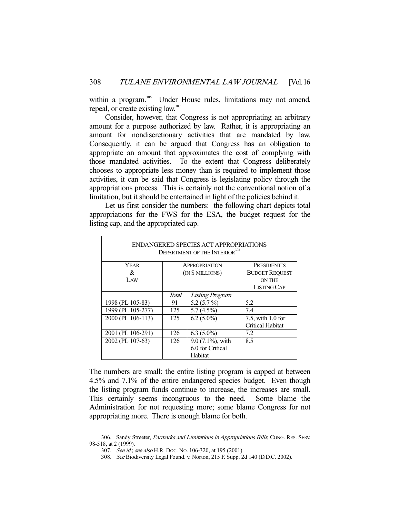within a program.<sup>306</sup> Under House rules, limitations may not amend, repeal, or create existing law.<sup>307</sup>

 Consider, however, that Congress is not appropriating an arbitrary amount for a purpose authorized by law. Rather, it is appropriating an amount for nondiscretionary activities that are mandated by law. Consequently, it can be argued that Congress has an obligation to appropriate an amount that approximates the cost of complying with those mandated activities. To the extent that Congress deliberately chooses to appropriate less money than is required to implement those activities, it can be said that Congress is legislating policy through the appropriations process. This is certainly not the conventional notion of a limitation, but it should be entertained in light of the policies behind it.

 Let us first consider the numbers: the following chart depicts total appropriations for the FWS for the ESA, the budget request for the listing cap, and the appropriated cap.

| ENDANGERED SPECIES ACT APPROPRIATIONS<br>DEPARTMENT OF THE INTERIOR <sup>308</sup> |                                          |                                                 |                                                       |
|------------------------------------------------------------------------------------|------------------------------------------|-------------------------------------------------|-------------------------------------------------------|
| YEAR<br>&<br>LAW                                                                   | <b>APPROPRIATION</b><br>(IN \$ MILLIONS) |                                                 | PRESIDENT'S<br><b>BUDGET REQUEST</b><br><b>ON THE</b> |
|                                                                                    | Total                                    | Listing Program                                 | LISTING CAP                                           |
| 1998 (PL 105-83)                                                                   | 91                                       | 5.2 $(5.7\%)$                                   | 5.2                                                   |
| 1999 (PL 105-277)                                                                  | 125                                      | $5.7(4.5\%)$                                    | 7.4                                                   |
| 2000 (PL 106-113)                                                                  | 125                                      | $6.2(5.0\%)$                                    | 7.5, with 1.0 for<br><b>Critical Habitat</b>          |
| 2001 (PL 106-291)                                                                  | 126                                      | $6.3(5.0\%)$                                    | 7.2                                                   |
| 2002 (PL 107-63)                                                                   | 126                                      | 9.0 (7.1%), with<br>6.0 for Critical<br>Habitat | 8.5                                                   |

The numbers are small; the entire listing program is capped at between 4.5% and 7.1% of the entire endangered species budget. Even though the listing program funds continue to increase, the increases are small. This certainly seems incongruous to the need. Some blame the Administration for not requesting more; some blame Congress for not appropriating more. There is enough blame for both.

<sup>306.</sup> Sandy Streeter, Earmarks and Limitations in Appropriations Bills, CONG. RES. SERV. 98-518, at 2 (1999).

 <sup>307.</sup> See id.; see also H.R. DOC. NO. 106-320, at 195 (2001).

 <sup>308.</sup> See Biodiversity Legal Found. v. Norton, 215 F. Supp. 2d 140 (D.D.C. 2002).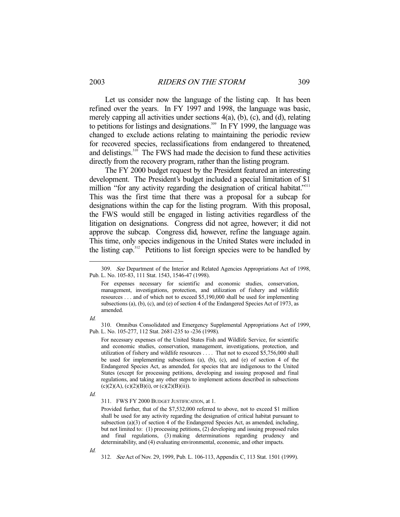Let us consider now the language of the listing cap. It has been refined over the years. In FY 1997 and 1998, the language was basic, merely capping all activities under sections 4(a), (b), (c), and (d), relating to petitions for listings and designations.<sup>309</sup> In FY 1999, the language was changed to exclude actions relating to maintaining the periodic review for recovered species, reclassifications from endangered to threatened, and delistings.310 The FWS had made the decision to fund these activities directly from the recovery program, rather than the listing program.

 The FY 2000 budget request by the President featured an interesting development. The President's budget included a special limitation of \$1 million "for any activity regarding the designation of critical habitat."<sup>311</sup> This was the first time that there was a proposal for a subcap for designations within the cap for the listing program. With this proposal, the FWS would still be engaged in listing activities regardless of the litigation on designations. Congress did not agree, however; it did not approve the subcap. Congress did, however, refine the language again. This time, only species indigenous in the United States were included in the listing cap.312 Petitions to list foreign species were to be handled by

Id.

-

 310. Omnibus Consolidated and Emergency Supplemental Appropriations Act of 1999, Pub. L. No. 105-277, 112 Stat. 2681-235 to -236 (1998).

For necessary expenses of the United States Fish and Wildlife Service, for scientific and economic studies, conservation, management, investigations, protection, and utilization of fishery and wildlife resources . . . . That not to exceed \$5,756,000 shall be used for implementing subsections (a), (b), (c), and (e) of section 4 of the Endangered Species Act, as amended, for species that are indigenous to the United States (except for processing petitions, developing and issuing proposed and final regulations, and taking any other steps to implement actions described in subsections  $(c)(2)(A), (c)(2)(B)(i), or (c)(2)(B)(ii)).$ 

Id.

Id.

 <sup>309.</sup> See Department of the Interior and Related Agencies Appropriations Act of 1998, Pub. L. No. 105-83, 111 Stat. 1543, 1546-47 (1998).

For expenses necessary for scientific and economic studies, conservation, management, investigations, protection, and utilization of fishery and wildlife resources . . . and of which not to exceed \$5,190,000 shall be used for implementing subsections (a), (b), (c), and (e) of section 4 of the Endangered Species Act of 1973, as amended.

 <sup>311.</sup> FWS FY 2000 BUDGET JUSTIFICATION, at 1.

Provided further, that of the \$7,532,000 referred to above, not to exceed \$1 million shall be used for any activity regarding the designation of critical habitat pursuant to subsection (a)(3) of section 4 of the Endangered Species Act, as amended, including, but not limited to: (1) processing petitions, (2) developing and issuing proposed rules and final regulations, (3) making determinations regarding prudency and determinability, and (4) evaluating environmental, economic, and other impacts.

 <sup>312.</sup> See Act of Nov. 29, 1999, Pub. L. 106-113, Appendix C, 113 Stat. 1501 (1999).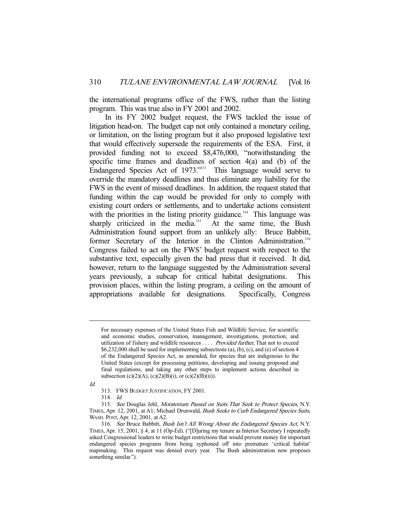the international programs office of the FWS, rather than the listing program. This was true also in FY 2001 and 2002.

 In its FY 2002 budget request, the FWS tackled the issue of litigation head-on. The budget cap not only contained a monetary ceiling, or limitation, on the listing program but it also proposed legislative text that would effectively supersede the requirements of the ESA. First, it provided funding not to exceed \$8,476,000, "notwithstanding the specific time frames and deadlines of section 4(a) and (b) of the Endangered Species Act of 1973."<sup>313</sup> This language would serve to override the mandatory deadlines and thus eliminate any liability for the FWS in the event of missed deadlines. In addition, the request stated that funding within the cap would be provided for only to comply with existing court orders or settlements, and to undertake actions consistent with the priorities in the listing priority guidance.<sup>314</sup> This language was sharply criticized in the media.<sup>315</sup> At the same time, the Bush Administration found support from an unlikely ally: Bruce Babbitt, former Secretary of the Interior in the Clinton Administration.<sup>316</sup> Congress failed to act on the FWS' budget request with respect to the substantive text, especially given the bad press that it received. It did, however, return to the language suggested by the Administration several years previously, a subcap for critical habitat designations. This provision places, within the listing program, a ceiling on the amount of appropriations available for designations. Specifically, Congress

Id.

For necessary expenses of the United States Fish and Wildlife Service, for scientific and economic studies, conservation, management, investigations, protection, and utilization of fishery and wildlife resources . . . . Provided further, That not to exceed \$6,232,000 shall be used for implementing subsections (a), (b), (c), and (e) of section 4 of the Endangered Species Act, as amended, for species that are indigenous to the United States (except for processing petitions, developing and issuing proposed and final regulations, and taking any other steps to implement actions described in subsection (c)(2)(A), (c)(2)(B)(i), or (c)(2)(B)(ii)).

 <sup>313.</sup> FWS BUDGET JUSTIFICATION, FY 2001.

 <sup>314.</sup> Id.

 <sup>315.</sup> See Douglas Jehl, Moratorium Passed on Suits That Seek to Protect Species, N.Y. TIMES, Apr. 12, 2001, at A1; Michael Drunwald, Bush Seeks to Curb Endangered Species Suits, WASH. POST, Apr. 12, 2001, at A2.

 <sup>316.</sup> See Bruce Babbitt, Bush Isn't All Wrong About the Endangered Species Act, N.Y. TIMES, Apr. 15, 2001, § 4, at 11 (Op-Ed). ("[D]uring my tenure as Interior Secretary I repeatedly asked Congressional leaders to write budget restrictions that would prevent money for important endangered species programs from being syphoned off into premature 'critical habitat' mapmaking. This request was denied every year. The Bush administration now proposes something similar.").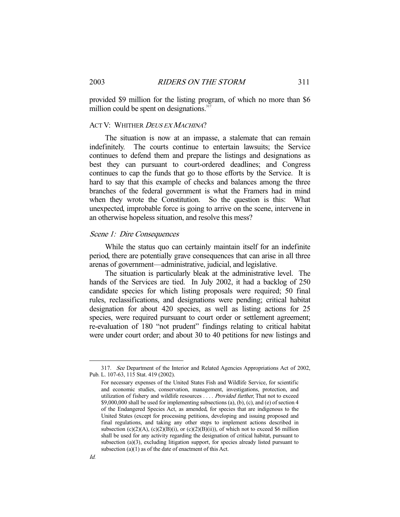provided \$9 million for the listing program, of which no more than \$6 million could be spent on designations. $317$ 

## ACT V: WHITHER DEUS EX MACHINA?

 The situation is now at an impasse, a stalemate that can remain indefinitely. The courts continue to entertain lawsuits; the Service continues to defend them and prepare the listings and designations as best they can pursuant to court-ordered deadlines; and Congress continues to cap the funds that go to those efforts by the Service. It is hard to say that this example of checks and balances among the three branches of the federal government is what the Framers had in mind when they wrote the Constitution. So the question is this: What unexpected, improbable force is going to arrive on the scene, intervene in an otherwise hopeless situation, and resolve this mess?

### Scene 1: Dire Consequences

 While the status quo can certainly maintain itself for an indefinite period, there are potentially grave consequences that can arise in all three arenas of government—administrative, judicial, and legislative.

 The situation is particularly bleak at the administrative level. The hands of the Services are tied. In July 2002, it had a backlog of 250 candidate species for which listing proposals were required; 50 final rules, reclassifications, and designations were pending; critical habitat designation for about 420 species, as well as listing actions for 25 species, were required pursuant to court order or settlement agreement; re-evaluation of 180 "not prudent" findings relating to critical habitat were under court order; and about 30 to 40 petitions for new listings and

 <sup>317.</sup> See Department of the Interior and Related Agencies Appropriations Act of 2002, Pub. L. 107-63, 115 Stat. 419 (2002).

For necessary expenses of the United States Fish and Wildlife Service, for scientific and economic studies, conservation, management, investigations, protection, and utilization of fishery and wildlife resources . . . . Provided further, That not to exceed \$9,000,000 shall be used for implementing subsections (a), (b), (c), and (e) of section 4 of the Endangered Species Act, as amended, for species that are indigenous to the United States (except for processing petitions, developing and issuing proposed and final regulations, and taking any other steps to implement actions described in subsection (c)(2)(A), (c)(2)(B)(i), or (c)(2)(B)(ii)), of which not to exceed \$6 million shall be used for any activity regarding the designation of critical habitat, pursuant to subsection (a)(3), excluding litigation support, for species already listed pursuant to subsection  $(a)(1)$  as of the date of enactment of this Act.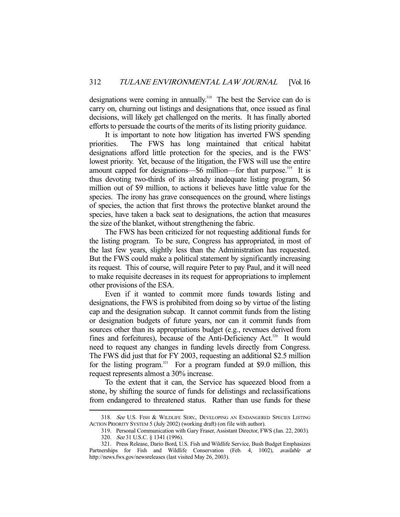designations were coming in annually.<sup>318</sup> The best the Service can do is carry on, churning out listings and designations that, once issued as final decisions, will likely get challenged on the merits. It has finally aborted efforts to persuade the courts of the merits of its listing priority guidance.

 It is important to note how litigation has inverted FWS spending priorities. The FWS has long maintained that critical habitat designations afford little protection for the species, and is the FWS' lowest priority. Yet, because of the litigation, the FWS will use the entire amount capped for designations—\$6 million—for that purpose.<sup>319</sup> It is thus devoting two-thirds of its already inadequate listing program, \$6 million out of \$9 million, to actions it believes have little value for the species. The irony has grave consequences on the ground, where listings of species, the action that first throws the protective blanket around the species, have taken a back seat to designations, the action that measures the size of the blanket, without strengthening the fabric.

 The FWS has been criticized for not requesting additional funds for the listing program. To be sure, Congress has appropriated, in most of the last few years, slightly less than the Administration has requested. But the FWS could make a political statement by significantly increasing its request. This of course, will require Peter to pay Paul, and it will need to make requisite decreases in its request for appropriations to implement other provisions of the ESA.

 Even if it wanted to commit more funds towards listing and designations, the FWS is prohibited from doing so by virtue of the listing cap and the designation subcap. It cannot commit funds from the listing or designation budgets of future years, nor can it commit funds from sources other than its appropriations budget (e.g., revenues derived from fines and forfeitures), because of the Anti-Deficiency Act.<sup>320</sup> It would need to request any changes in funding levels directly from Congress. The FWS did just that for FY 2003, requesting an additional \$2.5 million for the listing program.<sup>321</sup> For a program funded at \$9.0 million, this request represents almost a 30% increase.

 To the extent that it can, the Service has squeezed blood from a stone, by shifting the source of funds for delistings and reclassifications from endangered to threatened status. Rather than use funds for these

<sup>318.</sup> See U.S. FISH & WILDLIFE SERV., DEVELOPING AN ENDANGERED SPECIES LISTING ACTION PRIORITY SYSTEM 5 (July 2002) (working draft) (on file with author).

 <sup>319.</sup> Personal Communication with Gary Fraser, Assistant Director, FWS (Jan. 22, 2003).

<sup>320.</sup> See 31 U.S.C. § 1341 (1996).

 <sup>321.</sup> Press Release, Dario Bord, U.S. Fish and Wildlife Service, Bush Budget Emphasizes Partnerships for Fish and Wildlife Conservation (Feb. 4, 1002), available at http://news.fws.gov/newsreleases (last visited May 26, 2003).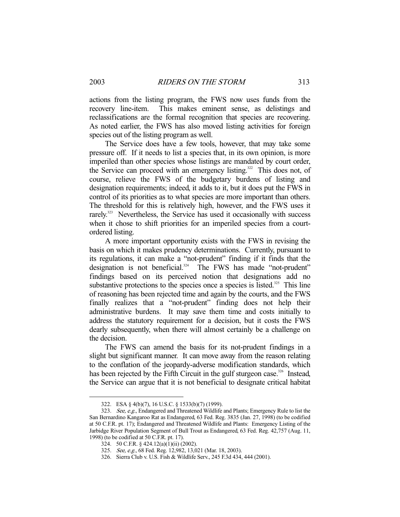actions from the listing program, the FWS now uses funds from the recovery line-item. This makes eminent sense, as delistings and reclassifications are the formal recognition that species are recovering. As noted earlier, the FWS has also moved listing activities for foreign species out of the listing program as well.

 The Service does have a few tools, however, that may take some pressure off. If it needs to list a species that, in its own opinion, is more imperiled than other species whose listings are mandated by court order, the Service can proceed with an emergency listing.<sup>322</sup> This does not, of course, relieve the FWS of the budgetary burdens of listing and designation requirements; indeed, it adds to it, but it does put the FWS in control of its priorities as to what species are more important than others. The threshold for this is relatively high, however, and the FWS uses it rarely.<sup>323</sup> Nevertheless, the Service has used it occasionally with success when it chose to shift priorities for an imperiled species from a courtordered listing.

 A more important opportunity exists with the FWS in revising the basis on which it makes prudency determinations. Currently, pursuant to its regulations, it can make a "not-prudent" finding if it finds that the  $\frac{1}{2}$  designation is not beneficial.<sup>324</sup> The FWS has made "not-prudent" findings based on its perceived notion that designations add no substantive protections to the species once a species is listed.<sup>325</sup> This line of reasoning has been rejected time and again by the courts, and the FWS finally realizes that a "not-prudent" finding does not help their administrative burdens. It may save them time and costs initially to address the statutory requirement for a decision, but it costs the FWS dearly subsequently, when there will almost certainly be a challenge on the decision.

 The FWS can amend the basis for its not-prudent findings in a slight but significant manner. It can move away from the reason relating to the conflation of the jeopardy-adverse modification standards, which has been rejected by the Fifth Circuit in the gulf sturgeon case.<sup>326</sup> Instead, the Service can argue that it is not beneficial to designate critical habitat

 <sup>322.</sup> ESA § 4(b)(7), 16 U.S.C. § 1533(b)(7) (1999).

 <sup>323.</sup> See, e.g., Endangered and Threatened Wildlife and Plants; Emergency Rule to list the San Bernardino Kangaroo Rat as Endangered, 63 Fed. Reg. 3835 (Jan. 27, 1998) (to be codified at 50 C.F.R. pt. 17); Endangered and Threatened Wildlife and Plants: Emergency Listing of the Jarbidge River Population Segment of Bull Trout as Endangered, 63 Fed. Reg. 42,757 (Aug. 11, 1998) (to be codified at 50 C.F.R. pt. 17).

 <sup>324. 50</sup> C.F.R. § 424.12(a)(1)(ii) (2002).

 <sup>325.</sup> See, e.g., 68 Fed. Reg. 12,982, 13,021 (Mar. 18, 2003).

 <sup>326.</sup> Sierra Club v. U.S. Fish & Wildlife Serv., 245 F.3d 434, 444 (2001).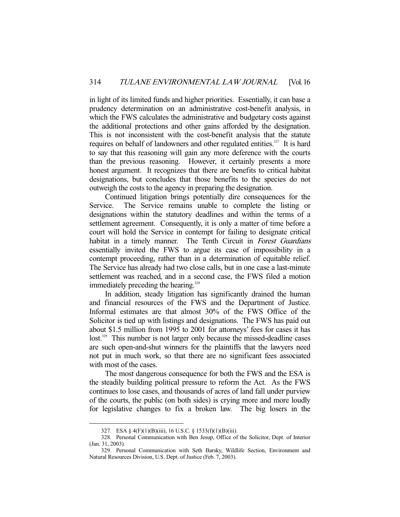in light of its limited funds and higher priorities. Essentially, it can base a prudency determination on an administrative cost-benefit analysis, in which the FWS calculates the administrative and budgetary costs against the additional protections and other gains afforded by the designation. This is not inconsistent with the cost-benefit analysis that the statute requires on behalf of landowners and other regulated entities.<sup>327</sup> It is hard to say that this reasoning will gain any more deference with the courts than the previous reasoning. However, it certainly presents a more honest argument. It recognizes that there are benefits to critical habitat designations, but concludes that those benefits to the species do not outweigh the costs to the agency in preparing the designation.

 Continued litigation brings potentially dire consequences for the Service. The Service remains unable to complete the listing or designations within the statutory deadlines and within the terms of a settlement agreement. Consequently, it is only a matter of time before a court will hold the Service in contempt for failing to designate critical habitat in a timely manner. The Tenth Circuit in Forest Guardians essentially invited the FWS to argue its case of impossibility in a contempt proceeding, rather than in a determination of equitable relief. The Service has already had two close calls, but in one case a last-minute settlement was reached, and in a second case, the FWS filed a motion immediately preceding the hearing.<sup>328</sup>

 In addition, steady litigation has significantly drained the human and financial resources of the FWS and the Department of Justice. Informal estimates are that almost 30% of the FWS Office of the Solicitor is tied up with listings and designations. The FWS has paid out about \$1.5 million from 1995 to 2001 for attorneys' fees for cases it has lost.<sup>329</sup> This number is not larger only because the missed-deadline cases are such open-and-shut winners for the plaintiffs that the lawyers need not put in much work, so that there are no significant fees associated with most of the cases.

 The most dangerous consequence for both the FWS and the ESA is the steadily building political pressure to reform the Act. As the FWS continues to lose cases, and thousands of acres of land fall under purview of the courts, the public (on both sides) is crying more and more loudly for legislative changes to fix a broken law. The big losers in the

 <sup>327.</sup> ESA § 4(F)(1)(B)(iii), 16 U.S.C. § 1533(f)(1)(B)(iii).

 <sup>328.</sup> Personal Communication with Ben Jesup, Office of the Solicitor, Dept. of Interior (Jan. 31, 2003).

 <sup>329.</sup> Personal Communication with Seth Barsky, Wildlife Section, Environment and Natural Resources Division, U.S. Dept. of Justice (Feb. 7, 2003).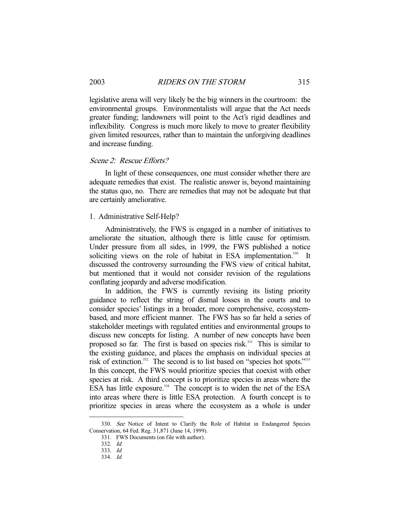legislative arena will very likely be the big winners in the courtroom: the environmental groups. Environmentalists will argue that the Act needs greater funding; landowners will point to the Act's rigid deadlines and inflexibility. Congress is much more likely to move to greater flexibility given limited resources, rather than to maintain the unforgiving deadlines and increase funding.

#### Scene 2: Rescue Efforts?

 In light of these consequences, one must consider whether there are adequate remedies that exist. The realistic answer is, beyond maintaining the status quo, no. There are remedies that may not be adequate but that are certainly ameliorative.

## 1. Administrative Self-Help?

 Administratively, the FWS is engaged in a number of initiatives to ameliorate the situation, although there is little cause for optimism. Under pressure from all sides, in 1999, the FWS published a notice soliciting views on the role of habitat in ESA implementation.<sup>330</sup> It discussed the controversy surrounding the FWS view of critical habitat, but mentioned that it would not consider revision of the regulations conflating jeopardy and adverse modification.

 In addition, the FWS is currently revising its listing priority guidance to reflect the string of dismal losses in the courts and to consider species' listings in a broader, more comprehensive, ecosystembased, and more efficient manner. The FWS has so far held a series of stakeholder meetings with regulated entities and environmental groups to discuss new concepts for listing. A number of new concepts have been proposed so far. The first is based on species risk.<sup>331</sup> This is similar to the existing guidance, and places the emphasis on individual species at risk of extinction.<sup>332</sup> The second is to list based on "species hot spots."<sup>3333</sup> In this concept, the FWS would prioritize species that coexist with other species at risk. A third concept is to prioritize species in areas where the ESA has little exposure.<sup>334</sup> The concept is to widen the net of the ESA into areas where there is little ESA protection. A fourth concept is to prioritize species in areas where the ecosystem as a whole is under

 <sup>330.</sup> See Notice of Intent to Clarify the Role of Habitat in Endangered Species Conservation, 64 Fed. Reg. 31,871 (June 14, 1999).

 <sup>331.</sup> FWS Documents (on file with author).

 <sup>332.</sup> Id.

 <sup>333.</sup> Id.

 <sup>334.</sup> Id.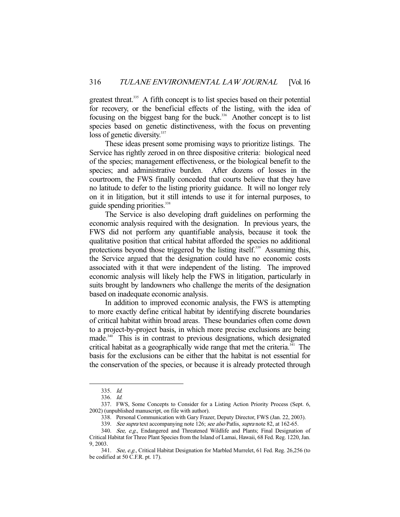greatest threat.<sup>335</sup> A fifth concept is to list species based on their potential for recovery, or the beneficial effects of the listing, with the idea of focusing on the biggest bang for the buck.<sup>336</sup> Another concept is to list species based on genetic distinctiveness, with the focus on preventing loss of genetic diversity.<sup>337</sup>

 These ideas present some promising ways to prioritize listings. The Service has rightly zeroed in on three dispositive criteria: biological need of the species; management effectiveness, or the biological benefit to the species; and administrative burden. After dozens of losses in the courtroom, the FWS finally conceded that courts believe that they have no latitude to defer to the listing priority guidance. It will no longer rely on it in litigation, but it still intends to use it for internal purposes, to guide spending priorities.<sup>338</sup>

 The Service is also developing draft guidelines on performing the economic analysis required with the designation. In previous years, the FWS did not perform any quantifiable analysis, because it took the qualitative position that critical habitat afforded the species no additional protections beyond those triggered by the listing itself.<sup>339</sup> Assuming this, the Service argued that the designation could have no economic costs associated with it that were independent of the listing. The improved economic analysis will likely help the FWS in litigation, particularly in suits brought by landowners who challenge the merits of the designation based on inadequate economic analysis.

 In addition to improved economic analysis, the FWS is attempting to more exactly define critical habitat by identifying discrete boundaries of critical habitat within broad areas. These boundaries often come down to a project-by-project basis, in which more precise exclusions are being made.<sup>340</sup> This is in contrast to previous designations, which designated critical habitat as a geographically wide range that met the criteria.<sup>341</sup> The basis for the exclusions can be either that the habitat is not essential for the conservation of the species, or because it is already protected through

 <sup>335.</sup> Id.

 <sup>336.</sup> Id.

 <sup>337.</sup> FWS, Some Concepts to Consider for a Listing Action Priority Process (Sept. 6, 2002) (unpublished manuscript, on file with author).

 <sup>338.</sup> Personal Communication with Gary Frazer, Deputy Director, FWS (Jan. 22, 2003).

<sup>339.</sup> See supra text accompanying note 126; see also Patlis, supra note 82, at 162-65.

<sup>340.</sup> See, e.g., Endangered and Threatened Wildlife and Plants; Final Designation of Critical Habitat for Three Plant Species from the Island of Lamai, Hawaii, 68 Fed. Reg. 1220, Jan. 9, 2003.

 <sup>341.</sup> See, e.g., Critical Habitat Designation for Marbled Murrelet, 61 Fed. Reg. 26,256 (to be codified at 50 C.F.R. pt. 17).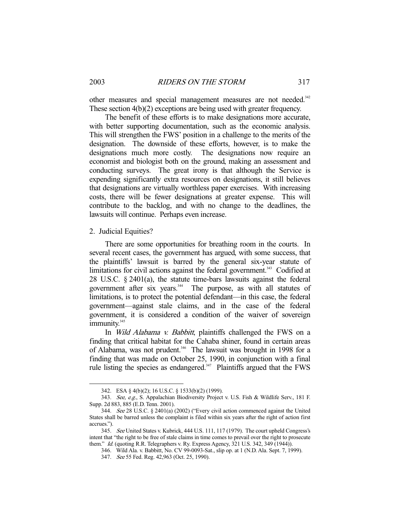other measures and special management measures are not needed.<sup>342</sup> These section 4(b)(2) exceptions are being used with greater frequency.

 The benefit of these efforts is to make designations more accurate, with better supporting documentation, such as the economic analysis. This will strengthen the FWS' position in a challenge to the merits of the designation. The downside of these efforts, however, is to make the designations much more costly. The designations now require an economist and biologist both on the ground, making an assessment and conducting surveys. The great irony is that although the Service is expending significantly extra resources on designations, it still believes that designations are virtually worthless paper exercises. With increasing costs, there will be fewer designations at greater expense. This will contribute to the backlog, and with no change to the deadlines, the lawsuits will continue. Perhaps even increase.

### 2. Judicial Equities?

-

 There are some opportunities for breathing room in the courts. In several recent cases, the government has argued, with some success, that the plaintiffs' lawsuit is barred by the general six-year statute of limitations for civil actions against the federal government.<sup>343</sup> Codified at 28 U.S.C. § 2401(a), the statute time-bars lawsuits against the federal government after six years.<sup>344</sup> The purpose, as with all statutes of limitations, is to protect the potential defendant—in this case, the federal government—against stale claims, and in the case of the federal government, it is considered a condition of the waiver of sovereign immunity.<sup>345</sup>

In *Wild Alabama v. Babbitt*, plaintiffs challenged the FWS on a finding that critical habitat for the Cahaba shiner, found in certain areas of Alabama, was not prudent.<sup>346</sup> The lawsuit was brought in 1998 for a finding that was made on October 25, 1990, in conjunction with a final rule listing the species as endangered.<sup>347</sup> Plaintiffs argued that the FWS

 <sup>342.</sup> ESA § 4(b)(2); 16 U.S.C. § 1533(b)(2) (1999).

<sup>343.</sup> See, e.g., S. Appalachian Biodiversity Project v. U.S. Fish & Wildlife Serv., 181 F. Supp. 2d 883, 885 (E.D. Tenn. 2001).

 <sup>344.</sup> See 28 U.S.C. § 2401(a) (2002) ("Every civil action commenced against the United States shall be barred unless the complaint is filed within six years after the right of action first accrues.").

 <sup>345.</sup> See United States v. Kubrick, 444 U.S. 111, 117 (1979). The court upheld Congress's intent that "the right to be free of stale claims in time comes to prevail over the right to prosecute them." Id. (quoting R.R. Telegraphers v. Ry. Express Agency, 321 U.S. 342, 349 (1944)).

 <sup>346.</sup> Wild Ala. v. Babbitt, No. CV 99-0093-Sat., slip op. at 1 (N.D. Ala. Sept. 7, 1999).

 <sup>347.</sup> See 55 Fed. Reg. 42,963 (Oct. 25, 1990).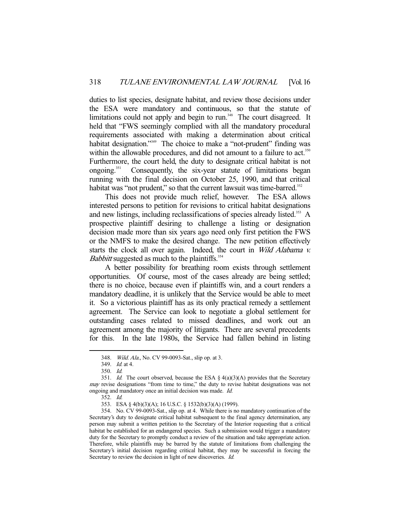duties to list species, designate habitat, and review those decisions under the ESA were mandatory and continuous, so that the statute of limitations could not apply and begin to run.<sup>348</sup> The court disagreed. It held that "FWS seemingly complied with all the mandatory procedural requirements associated with making a determination about critical habitat designation."<sup>349</sup> The choice to make a "not-prudent" finding was within the allowable procedures, and did not amount to a failure to act.<sup>350</sup> Furthermore, the court held, the duty to designate critical habitat is not ongoing.<sup>351</sup> Consequently, the six-year statute of limitations began running with the final decision on October 25, 1990, and that critical habitat was "not prudent," so that the current lawsuit was time-barred.<sup>352</sup>

 This does not provide much relief, however. The ESA allows interested persons to petition for revisions to critical habitat designations and new listings, including reclassifications of species already listed.<sup>353</sup> A prospective plaintiff desiring to challenge a listing or designation decision made more than six years ago need only first petition the FWS or the NMFS to make the desired change. The new petition effectively starts the clock all over again. Indeed, the court in Wild Alabama v. *Babbitt* suggested as much to the plaintiffs.<sup>354</sup>

 A better possibility for breathing room exists through settlement opportunities. Of course, most of the cases already are being settled; there is no choice, because even if plaintiffs win, and a court renders a mandatory deadline, it is unlikely that the Service would be able to meet it. So a victorious plaintiff has as its only practical remedy a settlement agreement. The Service can look to negotiate a global settlement for outstanding cases related to missed deadlines, and work out an agreement among the majority of litigants. There are several precedents for this. In the late 1980s, the Service had fallen behind in listing

<sup>348.</sup> *Wild. Ala.*, No. CV 99-0093-Sat., slip op. at 3.

 <sup>349.</sup> Id. at 4.

 <sup>350.</sup> Id.

<sup>351.</sup> *Id.* The court observed, because the ESA  $\S 4(a)(3)(A)$  provides that the Secretary *may* revise designations "from time to time," the duty to revise habitat designations was not ongoing and mandatory once an initial decision was made. Id.

 <sup>352.</sup> Id.

 <sup>353.</sup> ESA § 4(b)(3)(A); 16 U.S.C. § 1532(b)(3)(A) (1999).

 <sup>354.</sup> No. CV 99-0093-Sat., slip op. at 4. While there is no mandatory continuation of the Secretary's duty to designate critical habitat subsequent to the final agency determination, any person may submit a written petition to the Secretary of the Interior requesting that a critical habitat be established for an endangered species. Such a submission would trigger a mandatory duty for the Secretary to promptly conduct a review of the situation and take appropriate action. Therefore, while plaintiffs may be barred by the statute of limitations from challenging the Secretary's initial decision regarding critical habitat, they may be successful in forcing the Secretary to review the decision in light of new discoveries. *Id.*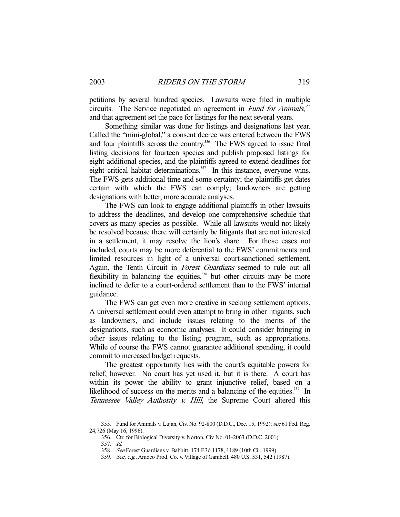petitions by several hundred species. Lawsuits were filed in multiple circuits. The Service negotiated an agreement in Fund for Animals,<sup>355</sup> and that agreement set the pace for listings for the next several years.

 Something similar was done for listings and designations last year. Called the "mini-global," a consent decree was entered between the FWS and four plaintiffs across the country.<sup>356</sup> The FWS agreed to issue final listing decisions for fourteen species and publish proposed listings for eight additional species, and the plaintiffs agreed to extend deadlines for eight critical habitat determinations.<sup>357</sup> In this instance, everyone wins. The FWS gets additional time and some certainty; the plaintiffs get dates certain with which the FWS can comply; landowners are getting designations with better, more accurate analyses.

 The FWS can look to engage additional plaintiffs in other lawsuits to address the deadlines, and develop one comprehensive schedule that covers as many species as possible. While all lawsuits would not likely be resolved because there will certainly be litigants that are not interested in a settlement, it may resolve the lion's share. For those cases not included, courts may be more deferential to the FWS' commitments and limited resources in light of a universal court-sanctioned settlement. Again, the Tenth Circuit in Forest Guardians seemed to rule out all flexibility in balancing the equities, $358$  but other circuits may be more inclined to defer to a court-ordered settlement than to the FWS' internal guidance.

 The FWS can get even more creative in seeking settlement options. A universal settlement could even attempt to bring in other litigants, such as landowners, and include issues relating to the merits of the designations, such as economic analyses. It could consider bringing in other issues relating to the listing program, such as appropriations. While of course the FWS cannot guarantee additional spending, it could commit to increased budget requests.

 The greatest opportunity lies with the court's equitable powers for relief, however. No court has yet used it, but it is there. A court has within its power the ability to grant injunctive relief, based on a likelihood of success on the merits and a balancing of the equities.<sup>359</sup> In Tennessee Valley Authority v. Hill, the Supreme Court altered this

<sup>355.</sup> Fund for Animals v. Lujan, Civ. No. 92-800 (D.D.C., Dec. 15, 1992); see 61 Fed. Reg. 24,726 (May 16, 1996).

 <sup>356.</sup> Ctr. for Biological Diversity v. Norton, Civ No. 01-2063 (D.D.C. 2001).

 <sup>357.</sup> Id.

 <sup>358.</sup> See Forest Guardians v. Babbitt, 174 F.3d 1178, 1189 (10th Cir. 1999).

 <sup>359.</sup> See, e.g., Amoco Prod. Co. v. Village of Gambell, 480 U.S. 531, 542 (1987).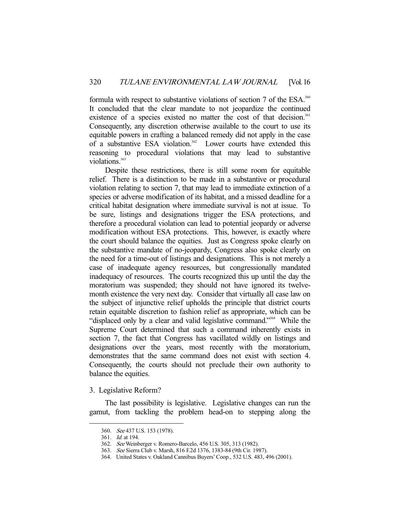formula with respect to substantive violations of section 7 of the ESA.<sup>360</sup> It concluded that the clear mandate to not jeopardize the continued existence of a species existed no matter the cost of that decision.<sup>361</sup> Consequently, any discretion otherwise available to the court to use its equitable powers in crafting a balanced remedy did not apply in the case of a substantive ESA violation.<sup>362</sup> Lower courts have extended this reasoning to procedural violations that may lead to substantive violations.<sup>363</sup>

 Despite these restrictions, there is still some room for equitable relief. There is a distinction to be made in a substantive or procedural violation relating to section 7, that may lead to immediate extinction of a species or adverse modification of its habitat, and a missed deadline for a critical habitat designation where immediate survival is not at issue. To be sure, listings and designations trigger the ESA protections, and therefore a procedural violation can lead to potential jeopardy or adverse modification without ESA protections. This, however, is exactly where the court should balance the equities. Just as Congress spoke clearly on the substantive mandate of no-jeopardy, Congress also spoke clearly on the need for a time-out of listings and designations. This is not merely a case of inadequate agency resources, but congressionally mandated inadequacy of resources. The courts recognized this up until the day the moratorium was suspended; they should not have ignored its twelvemonth existence the very next day. Consider that virtually all case law on the subject of injunctive relief upholds the principle that district courts retain equitable discretion to fashion relief as appropriate, which can be "displaced only by a clear and valid legislative command."364 While the Supreme Court determined that such a command inherently exists in section 7, the fact that Congress has vacillated wildly on listings and designations over the years, most recently with the moratorium, demonstrates that the same command does not exist with section 4. Consequently, the courts should not preclude their own authority to balance the equities.

## 3. Legislative Reform?

 The last possibility is legislative. Legislative changes can run the gamut, from tackling the problem head-on to stepping along the

<sup>360.</sup> See 437 U.S. 153 (1978).

 <sup>361.</sup> Id. at 194.

 <sup>362.</sup> See Weinberger v. Romero-Barcelo, 456 U.S. 305, 313 (1982).

 <sup>363.</sup> See Sierra Club v. Marsh, 816 F.2d 1376, 1383-84 (9th Cir. 1987).

 <sup>364.</sup> United States v. Oakland Cannibus Buyers' Coop., 532 U.S. 483, 496 (2001).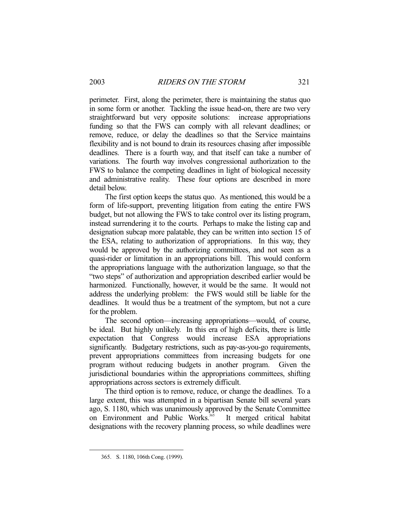perimeter. First, along the perimeter, there is maintaining the status quo in some form or another. Tackling the issue head-on, there are two very straightforward but very opposite solutions: increase appropriations funding so that the FWS can comply with all relevant deadlines; or remove, reduce, or delay the deadlines so that the Service maintains flexibility and is not bound to drain its resources chasing after impossible deadlines. There is a fourth way, and that itself can take a number of variations. The fourth way involves congressional authorization to the FWS to balance the competing deadlines in light of biological necessity and administrative reality. These four options are described in more detail below.

 The first option keeps the status quo. As mentioned, this would be a form of life-support, preventing litigation from eating the entire FWS budget, but not allowing the FWS to take control over its listing program, instead surrendering it to the courts. Perhaps to make the listing cap and designation subcap more palatable, they can be written into section 15 of the ESA, relating to authorization of appropriations. In this way, they would be approved by the authorizing committees, and not seen as a quasi-rider or limitation in an appropriations bill. This would conform the appropriations language with the authorization language, so that the "two steps" of authorization and appropriation described earlier would be harmonized. Functionally, however, it would be the same. It would not address the underlying problem: the FWS would still be liable for the deadlines. It would thus be a treatment of the symptom, but not a cure for the problem.

 The second option—increasing appropriations—would, of course, be ideal. But highly unlikely. In this era of high deficits, there is little expectation that Congress would increase ESA appropriations significantly. Budgetary restrictions, such as pay-as-you-go requirements, prevent appropriations committees from increasing budgets for one program without reducing budgets in another program. Given the jurisdictional boundaries within the appropriations committees, shifting appropriations across sectors is extremely difficult.

 The third option is to remove, reduce, or change the deadlines. To a large extent, this was attempted in a bipartisan Senate bill several years ago, S. 1180, which was unanimously approved by the Senate Committee on Environment and Public Works.<sup>365</sup> It merged critical habitat designations with the recovery planning process, so while deadlines were

 <sup>365.</sup> S. 1180, 106th Cong. (1999).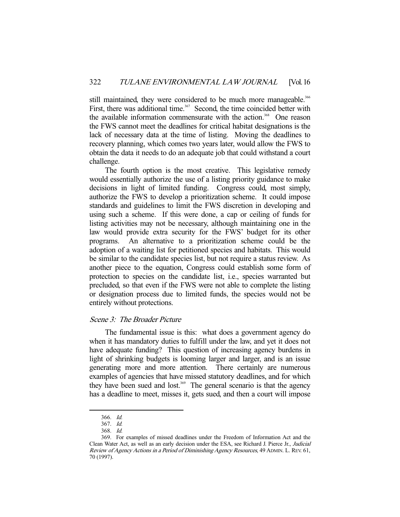still maintained, they were considered to be much more manageable.<sup>366</sup> First, there was additional time.<sup>367</sup> Second, the time coincided better with the available information commensurate with the action.<sup>368</sup> One reason the FWS cannot meet the deadlines for critical habitat designations is the lack of necessary data at the time of listing. Moving the deadlines to recovery planning, which comes two years later, would allow the FWS to obtain the data it needs to do an adequate job that could withstand a court challenge.

 The fourth option is the most creative. This legislative remedy would essentially authorize the use of a listing priority guidance to make decisions in light of limited funding. Congress could, most simply, authorize the FWS to develop a prioritization scheme. It could impose standards and guidelines to limit the FWS discretion in developing and using such a scheme. If this were done, a cap or ceiling of funds for listing activities may not be necessary, although maintaining one in the law would provide extra security for the FWS' budget for its other programs. An alternative to a prioritization scheme could be the adoption of a waiting list for petitioned species and habitats. This would be similar to the candidate species list, but not require a status review. As another piece to the equation, Congress could establish some form of protection to species on the candidate list, i.e., species warranted but precluded, so that even if the FWS were not able to complete the listing or designation process due to limited funds, the species would not be entirely without protections.

# Scene 3: The Broader Picture

 The fundamental issue is this: what does a government agency do when it has mandatory duties to fulfill under the law, and yet it does not have adequate funding? This question of increasing agency burdens in light of shrinking budgets is looming larger and larger, and is an issue generating more and more attention. There certainly are numerous examples of agencies that have missed statutory deadlines, and for which they have been sued and lost.<sup>369</sup> The general scenario is that the agency has a deadline to meet, misses it, gets sued, and then a court will impose

 <sup>366.</sup> Id.

 <sup>367.</sup> Id.

 <sup>368.</sup> Id.

 <sup>369.</sup> For examples of missed deadlines under the Freedom of Information Act and the Clean Water Act, as well as an early decision under the ESA, see Richard J. Pierce Jr., Judicial Review of Agency Actions in a Period of Diminishing Agency Resources, 49 ADMIN. L. REV. 61, 70 (1997).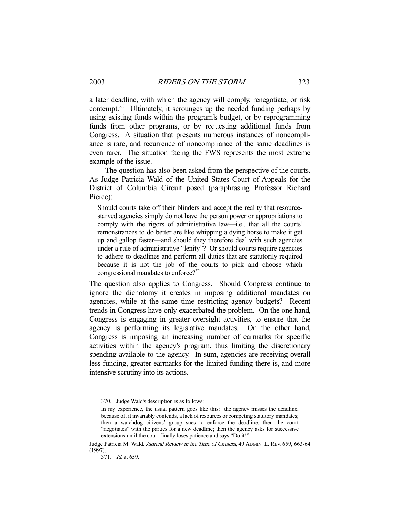a later deadline, with which the agency will comply, renegotiate, or risk contempt.370 Ultimately, it scrounges up the needed funding perhaps by using existing funds within the program's budget, or by reprogramming funds from other programs, or by requesting additional funds from Congress. A situation that presents numerous instances of noncompliance is rare, and recurrence of noncompliance of the same deadlines is even rarer. The situation facing the FWS represents the most extreme example of the issue.

 The question has also been asked from the perspective of the courts. As Judge Patricia Wald of the United States Court of Appeals for the District of Columbia Circuit posed (paraphrasing Professor Richard Pierce):

Should courts take off their blinders and accept the reality that resourcestarved agencies simply do not have the person power or appropriations to comply with the rigors of administrative law—i.e., that all the courts' remonstrances to do better are like whipping a dying horse to make it get up and gallop faster—and should they therefore deal with such agencies under a rule of administrative "lenity"? Or should courts require agencies to adhere to deadlines and perform all duties that are statutorily required because it is not the job of the courts to pick and choose which congressional mandates to enforce?<sup>371</sup>

The question also applies to Congress. Should Congress continue to ignore the dichotomy it creates in imposing additional mandates on agencies, while at the same time restricting agency budgets? Recent trends in Congress have only exacerbated the problem. On the one hand, Congress is engaging in greater oversight activities, to ensure that the agency is performing its legislative mandates. On the other hand, Congress is imposing an increasing number of earmarks for specific activities within the agency's program, thus limiting the discretionary spending available to the agency. In sum, agencies are receiving overall less funding, greater earmarks for the limited funding there is, and more intensive scrutiny into its actions.

 <sup>370.</sup> Judge Wald's description is as follows:

In my experience, the usual pattern goes like this: the agency misses the deadline, because of, it invariably contends, a lack of resources or competing statutory mandates; then a watchdog citizens' group sues to enforce the deadline; then the court "negotiates" with the parties for a new deadline; then the agency asks for successive extensions until the court finally loses patience and says "Do it!"

Judge Patricia M. Wald, Judicial Review in the Time of Cholera, 49 ADMIN. L. REV. 659, 663-64 (1997).

 <sup>371.</sup> Id. at 659.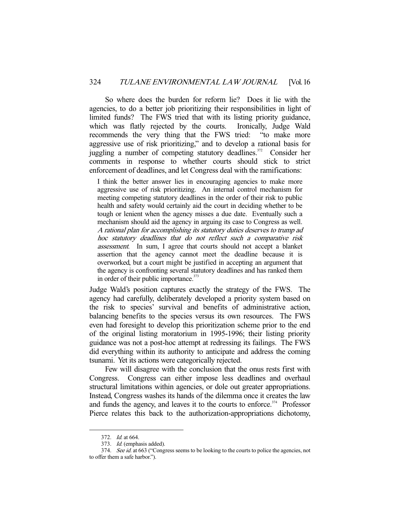So where does the burden for reform lie? Does it lie with the agencies, to do a better job prioritizing their responsibilities in light of limited funds? The FWS tried that with its listing priority guidance, which was flatly rejected by the courts. Ironically, Judge Wald recommends the very thing that the FWS tried: "to make more aggressive use of risk prioritizing," and to develop a rational basis for juggling a number of competing statutory deadlines.<sup>372</sup> Consider her comments in response to whether courts should stick to strict enforcement of deadlines, and let Congress deal with the ramifications:

I think the better answer lies in encouraging agencies to make more aggressive use of risk prioritizing. An internal control mechanism for meeting competing statutory deadlines in the order of their risk to public health and safety would certainly aid the court in deciding whether to be tough or lenient when the agency misses a due date. Eventually such a mechanism should aid the agency in arguing its case to Congress as well. A rational plan for accomplishing its statutory duties deserves to trump ad hoc statutory deadlines that do not reflect such a comparative risk assessment. In sum, I agree that courts should not accept a blanket assertion that the agency cannot meet the deadline because it is overworked, but a court might be justified in accepting an argument that the agency is confronting several statutory deadlines and has ranked them in order of their public importance. $373$ 

Judge Wald's position captures exactly the strategy of the FWS. The agency had carefully, deliberately developed a priority system based on the risk to species' survival and benefits of administrative action, balancing benefits to the species versus its own resources. The FWS even had foresight to develop this prioritization scheme prior to the end of the original listing moratorium in 1995-1996; their listing priority guidance was not a post-hoc attempt at redressing its failings. The FWS did everything within its authority to anticipate and address the coming tsunami. Yet its actions were categorically rejected.

 Few will disagree with the conclusion that the onus rests first with Congress. Congress can either impose less deadlines and overhaul structural limitations within agencies, or dole out greater appropriations. Instead, Congress washes its hands of the dilemma once it creates the law and funds the agency, and leaves it to the courts to enforce.<sup> $374$ </sup> Professor Pierce relates this back to the authorization-appropriations dichotomy,

 <sup>372.</sup> Id. at 664.

 <sup>373.</sup> Id. (emphasis added).

<sup>374.</sup> See id. at 663 ("Congress seems to be looking to the courts to police the agencies, not to offer them a safe harbor.").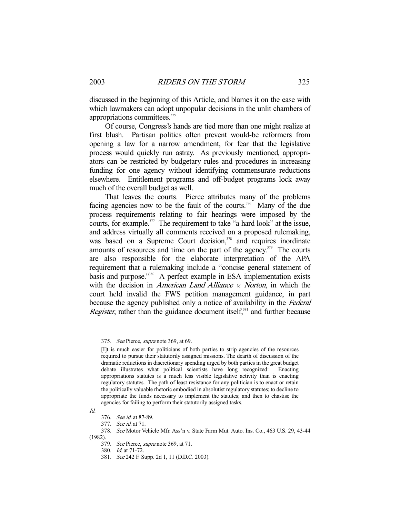discussed in the beginning of this Article, and blames it on the ease with which lawmakers can adopt unpopular decisions in the unlit chambers of appropriations committees.375

 Of course, Congress's hands are tied more than one might realize at first blush. Partisan politics often prevent would-be reformers from opening a law for a narrow amendment, for fear that the legislative process would quickly run astray. As previously mentioned, appropriators can be restricted by budgetary rules and procedures in increasing funding for one agency without identifying commensurate reductions elsewhere. Entitlement programs and off-budget programs lock away much of the overall budget as well.

 That leaves the courts. Pierce attributes many of the problems facing agencies now to be the fault of the courts.<sup>376</sup> Many of the due process requirements relating to fair hearings were imposed by the courts, for example.<sup>377</sup> The requirement to take "a hard look" at the issue, and address virtually all comments received on a proposed rulemaking, was based on a Supreme Court decision,<sup>378</sup> and requires inordinate amounts of resources and time on the part of the agency.<sup> $379$ </sup> The courts are also responsible for the elaborate interpretation of the APA requirement that a rulemaking include a "concise general statement of basis and purpose."<sup>380</sup> A perfect example in ESA implementation exists with the decision in *American Land Alliance v. Norton*, in which the court held invalid the FWS petition management guidance, in part because the agency published only a notice of availability in the Federal *Register*, rather than the guidance document itself, $381$  and further because

 <sup>375.</sup> See Pierce, supra note 369, at 69.

<sup>[</sup>I]t is much easier for politicians of both parties to strip agencies of the resources required to pursue their statutorily assigned missions. The dearth of discussion of the dramatic reductions in discretionary spending urged by both parties in the great budget debate illustrates what political scientists have long recognized: Enacting appropriations statutes is a much less visible legislative activity than is enacting regulatory statutes. The path of least resistance for any politician is to enact or retain the politically valuable rhetoric embodied in absolutist regulatory statutes; to decline to appropriate the funds necessary to implement the statutes; and then to chastise the agencies for failing to perform their statutorily assigned tasks.

Id.

 <sup>376.</sup> See id. at 87-89.

 <sup>377.</sup> See id. at 71.

 <sup>378.</sup> See Motor Vehicle Mfr. Ass'n v. State Farm Mut. Auto. Ins. Co., 463 U.S. 29, 43-44 (1982).

 <sup>379.</sup> See Pierce, supra note 369, at 71.

 <sup>380.</sup> Id. at 71-72.

 <sup>381.</sup> See 242 F. Supp. 2d 1, 11 (D.D.C. 2003).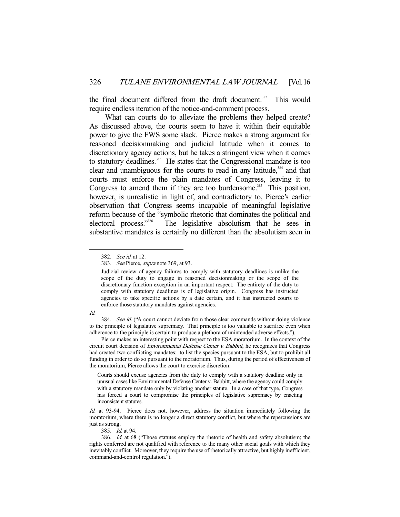the final document differed from the draft document.<sup>382</sup> This would require endless iteration of the notice-and-comment process.

 What can courts do to alleviate the problems they helped create? As discussed above, the courts seem to have it within their equitable power to give the FWS some slack. Pierce makes a strong argument for reasoned decisionmaking and judicial latitude when it comes to discretionary agency actions, but he takes a stringent view when it comes to statutory deadlines.<sup>383</sup> He states that the Congressional mandate is too clear and unambiguous for the courts to read in any latitude, $384$  and that courts must enforce the plain mandates of Congress, leaving it to Congress to amend them if they are too burdensome.<sup>385</sup> This position, however, is unrealistic in light of, and contradictory to, Pierce's earlier observation that Congress seems incapable of meaningful legislative reform because of the "symbolic rhetoric that dominates the political and electoral process."<sup>386</sup> The legislative absolutism that he sees in The legislative absolutism that he sees in substantive mandates is certainly no different than the absolutism seen in

#### Id.

-

384. See id. ("A court cannot deviate from those clear commands without doing violence to the principle of legislative supremacy. That principle is too valuable to sacrifice even when adherence to the principle is certain to produce a plethora of unintended adverse effects.").

 Pierce makes an interesting point with respect to the ESA moratorium. In the context of the circuit court decision of *Environmental Defense Center v. Babbitt*, he recognizes that Congress had created two conflicting mandates: to list the species pursuant to the ESA, but to prohibit all funding in order to do so pursuant to the moratorium. Thus, during the period of effectiveness of the moratorium, Pierce allows the court to exercise discretion:

Courts should excuse agencies from the duty to comply with a statutory deadline only in unusual cases like Environmental Defense Center v. Babbitt, where the agency could comply with a statutory mandate only by violating another statute. In a case of that type, Congress has forced a court to compromise the principles of legislative supremacy by enacting inconsistent statutes.

Id. at 93-94. Pierce does not, however, address the situation immediately following the moratorium, where there is no longer a direct statutory conflict, but where the repercussions are just as strong.

385. *Id.* at 94.

 <sup>382.</sup> See id. at 12.

 <sup>383.</sup> See Pierce, supra note 369, at 93.

Judicial review of agency failures to comply with statutory deadlines is unlike the scope of the duty to engage in reasoned decisionmaking or the scope of the discretionary function exception in an important respect: The entirety of the duty to comply with statutory deadlines is of legislative origin. Congress has instructed agencies to take specific actions by a date certain, and it has instructed courts to enforce those statutory mandates against agencies.

 <sup>386.</sup> Id. at 68 ("Those statutes employ the rhetoric of health and safety absolutism; the rights conferred are not qualified with reference to the many other social goals with which they inevitably conflict. Moreover, they require the use of rhetorically attractive, but highly inefficient, command-and-control regulation.").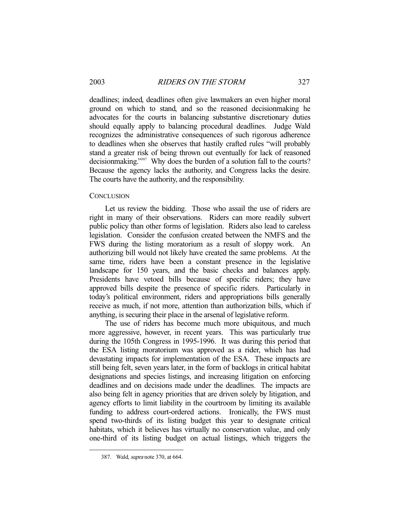deadlines; indeed, deadlines often give lawmakers an even higher moral ground on which to stand, and so the reasoned decisionmaking he advocates for the courts in balancing substantive discretionary duties should equally apply to balancing procedural deadlines. Judge Wald recognizes the administrative consequences of such rigorous adherence to deadlines when she observes that hastily crafted rules "will probably stand a greater risk of being thrown out eventually for lack of reasoned decisionmaking."<sup>387</sup> Why does the burden of a solution fall to the courts? Because the agency lacks the authority, and Congress lacks the desire. The courts have the authority, and the responsibility.

## **CONCLUSION**

 Let us review the bidding. Those who assail the use of riders are right in many of their observations. Riders can more readily subvert public policy than other forms of legislation. Riders also lead to careless legislation. Consider the confusion created between the NMFS and the FWS during the listing moratorium as a result of sloppy work. An authorizing bill would not likely have created the same problems. At the same time, riders have been a constant presence in the legislative landscape for 150 years, and the basic checks and balances apply. Presidents have vetoed bills because of specific riders; they have approved bills despite the presence of specific riders. Particularly in today's political environment, riders and appropriations bills generally receive as much, if not more, attention than authorization bills, which if anything, is securing their place in the arsenal of legislative reform.

 The use of riders has become much more ubiquitous, and much more aggressive, however, in recent years. This was particularly true during the 105th Congress in 1995-1996. It was during this period that the ESA listing moratorium was approved as a rider, which has had devastating impacts for implementation of the ESA. These impacts are still being felt, seven years later, in the form of backlogs in critical habitat designations and species listings, and increasing litigation on enforcing deadlines and on decisions made under the deadlines. The impacts are also being felt in agency priorities that are driven solely by litigation, and agency efforts to limit liability in the courtroom by limiting its available funding to address court-ordered actions. Ironically, the FWS must spend two-thirds of its listing budget this year to designate critical habitats, which it believes has virtually no conservation value, and only one-third of its listing budget on actual listings, which triggers the

 <sup>387.</sup> Wald, supra note 370, at 664.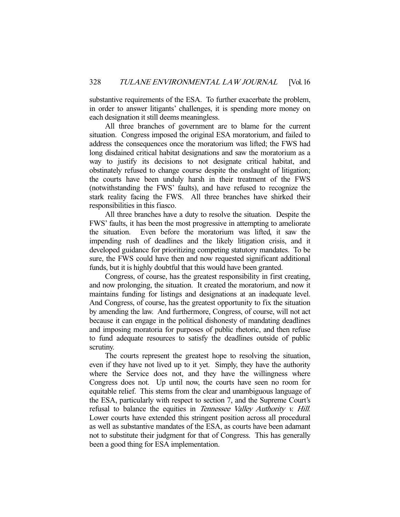substantive requirements of the ESA. To further exacerbate the problem, in order to answer litigants' challenges, it is spending more money on each designation it still deems meaningless.

 All three branches of government are to blame for the current situation. Congress imposed the original ESA moratorium, and failed to address the consequences once the moratorium was lifted; the FWS had long disdained critical habitat designations and saw the moratorium as a way to justify its decisions to not designate critical habitat, and obstinately refused to change course despite the onslaught of litigation; the courts have been unduly harsh in their treatment of the FWS (notwithstanding the FWS' faults), and have refused to recognize the stark reality facing the FWS. All three branches have shirked their responsibilities in this fiasco.

 All three branches have a duty to resolve the situation. Despite the FWS' faults, it has been the most progressive in attempting to ameliorate the situation. Even before the moratorium was lifted, it saw the impending rush of deadlines and the likely litigation crisis, and it developed guidance for prioritizing competing statutory mandates. To be sure, the FWS could have then and now requested significant additional funds, but it is highly doubtful that this would have been granted.

 Congress, of course, has the greatest responsibility in first creating, and now prolonging, the situation. It created the moratorium, and now it maintains funding for listings and designations at an inadequate level. And Congress, of course, has the greatest opportunity to fix the situation by amending the law. And furthermore, Congress, of course, will not act because it can engage in the political dishonesty of mandating deadlines and imposing moratoria for purposes of public rhetoric, and then refuse to fund adequate resources to satisfy the deadlines outside of public scrutiny.

 The courts represent the greatest hope to resolving the situation, even if they have not lived up to it yet. Simply, they have the authority where the Service does not, and they have the willingness where Congress does not. Up until now, the courts have seen no room for equitable relief. This stems from the clear and unambiguous language of the ESA, particularly with respect to section 7, and the Supreme Court's refusal to balance the equities in Tennessee Valley Authority v. Hill. Lower courts have extended this stringent position across all procedural as well as substantive mandates of the ESA, as courts have been adamant not to substitute their judgment for that of Congress. This has generally been a good thing for ESA implementation.